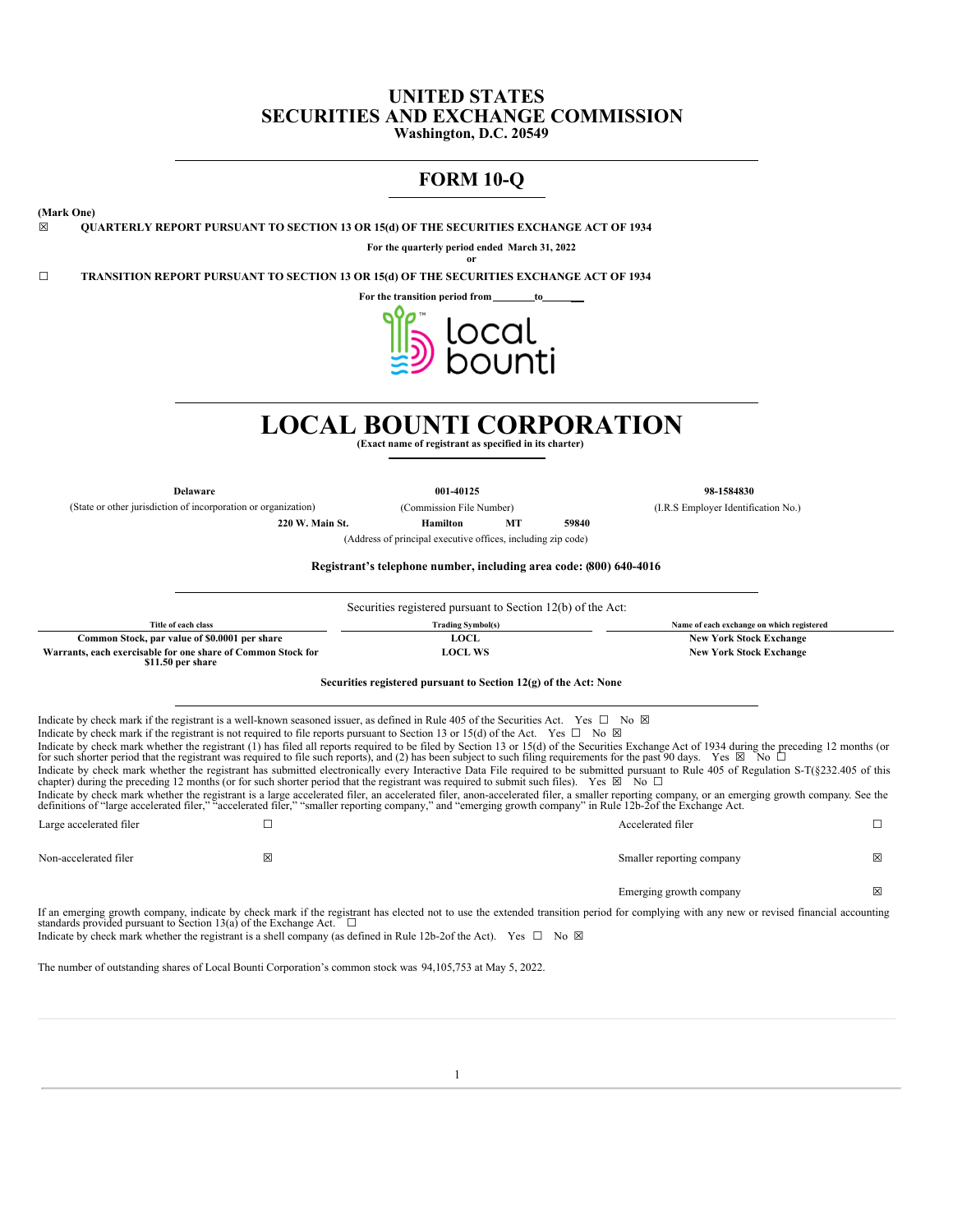# **UNITED STATES SECURITIES AND EXCHANGE COMMISSION**

**Washington, D.C. 20549**

# **FORM 10-Q**

**(Mark One)**

☒ **QUARTERLY REPORT PURSUANT TO SECTION 13 OR 15(d) OF THE SECURITIES EXCHANGE ACT OF 1934**

**For the quarterly period ended March 31, 2022 or**

☐ **TRANSITION REPORT PURSUANT TO SECTION 13 OR 15(d) OF THE SECURITIES EXCHANGE ACT OF 1934**

**For the transition period from to**



# **LOCAL BOUNTI CORPORATION**

**(Exact name of registrant as specified in its charter)**

**Delaware 001-40125 98-1584830** (State or other jurisdiction of incorporation or organization) (Commission File Number) (I.R.S Employer Identification No.)

**220 W. Main St. Hamilton MT 59840**

(Address of principal executive offices, including zip code)

**Registrant's telephone number, including area code: (800) 640-4016**

|                                                                                                                                                                                                                                                                                                                                                                                                                                                                                                                                                                                                                                                                                                                                                                                                                                                                                                                                                                                                                                                                                                                                                                                                                                                                                                                                                                                                                           | Securities registered pursuant to Section 12(b) of the Act:      |                                |                                           |   |  |
|---------------------------------------------------------------------------------------------------------------------------------------------------------------------------------------------------------------------------------------------------------------------------------------------------------------------------------------------------------------------------------------------------------------------------------------------------------------------------------------------------------------------------------------------------------------------------------------------------------------------------------------------------------------------------------------------------------------------------------------------------------------------------------------------------------------------------------------------------------------------------------------------------------------------------------------------------------------------------------------------------------------------------------------------------------------------------------------------------------------------------------------------------------------------------------------------------------------------------------------------------------------------------------------------------------------------------------------------------------------------------------------------------------------------------|------------------------------------------------------------------|--------------------------------|-------------------------------------------|---|--|
| Title of each class                                                                                                                                                                                                                                                                                                                                                                                                                                                                                                                                                                                                                                                                                                                                                                                                                                                                                                                                                                                                                                                                                                                                                                                                                                                                                                                                                                                                       | <b>Trading Symbol(s)</b>                                         |                                | Name of each exchange on which registered |   |  |
| Common Stock, par value of \$0.0001 per share                                                                                                                                                                                                                                                                                                                                                                                                                                                                                                                                                                                                                                                                                                                                                                                                                                                                                                                                                                                                                                                                                                                                                                                                                                                                                                                                                                             | <b>LOCL</b>                                                      |                                | <b>New York Stock Exchange</b>            |   |  |
| Warrants, each exercisable for one share of Common Stock for<br>\$11.50 per share                                                                                                                                                                                                                                                                                                                                                                                                                                                                                                                                                                                                                                                                                                                                                                                                                                                                                                                                                                                                                                                                                                                                                                                                                                                                                                                                         | <b>LOCL WS</b>                                                   | <b>New York Stock Exchange</b> |                                           |   |  |
|                                                                                                                                                                                                                                                                                                                                                                                                                                                                                                                                                                                                                                                                                                                                                                                                                                                                                                                                                                                                                                                                                                                                                                                                                                                                                                                                                                                                                           | Securities registered pursuant to Section 12(g) of the Act: None |                                |                                           |   |  |
| Indicate by check mark if the registrant is a well-known seasoned issuer, as defined in Rule 405 of the Securities Act. Yes $\square$ No $\boxtimes$<br>Indicate by check mark if the registrant is not required to file reports pursuant to Section 13 or 15(d) of the Act. Yes $\Box$ No $\boxtimes$<br>Indicate by check mark whether the registrant (1) has filed all reports required to be filed by Section 13 or 15(d) of the Securities Exchange Act of 1934 during the preceding 12 months (or<br>for such shorter period that the registrant was required to file such reports), and (2) has been subject to such filing requirements for the past 90 days. Yes $\boxtimes$ No $\square$<br>Indicate by check mark whether the registrant has submitted electronically every Interactive Data File required to be submitted pursuant to Rule 405 of Regulation S-T(§232.405 of this<br>chapter) during the preceding 12 months (or for such shorter period that the registrant was required to submit such files). Yes $\boxtimes$ No $\square$<br>Indicate by check mark whether the registrant is a large accelerated filer, an accelerated filer, anon-accelerated filer, a smaller reporting company, or an emerging growth company. See the<br>definitions of "large accelerated filer," "accelerated filer," "smaller reporting company," and "emerging growth company" in Rule 12b-2of the Exchange Act. |                                                                  |                                |                                           |   |  |
| Large accelerated filer<br>□                                                                                                                                                                                                                                                                                                                                                                                                                                                                                                                                                                                                                                                                                                                                                                                                                                                                                                                                                                                                                                                                                                                                                                                                                                                                                                                                                                                              |                                                                  | Accelerated filer              |                                           | П |  |
| Non-accelerated filer<br>X                                                                                                                                                                                                                                                                                                                                                                                                                                                                                                                                                                                                                                                                                                                                                                                                                                                                                                                                                                                                                                                                                                                                                                                                                                                                                                                                                                                                |                                                                  |                                | Smaller reporting company                 | 冈 |  |
|                                                                                                                                                                                                                                                                                                                                                                                                                                                                                                                                                                                                                                                                                                                                                                                                                                                                                                                                                                                                                                                                                                                                                                                                                                                                                                                                                                                                                           |                                                                  |                                | Emerging growth company                   | ⊠ |  |
| If an emerging growth company, indicate by check mark if the registrant has elected not to use the extended transition period for complying with any new or revised financial accounting<br>standards provided pursuant to Section 13(a) of the Exchange Act. $\square$<br>Indicate by check mark whether the registrant is a shell company (as defined in Rule 12b-2of the Act). Yes $\square$ No $\boxtimes$                                                                                                                                                                                                                                                                                                                                                                                                                                                                                                                                                                                                                                                                                                                                                                                                                                                                                                                                                                                                            |                                                                  |                                |                                           |   |  |

The number of outstanding shares of Local Bounti Corporation's common stock was 94,105,753 at May 5, 2022.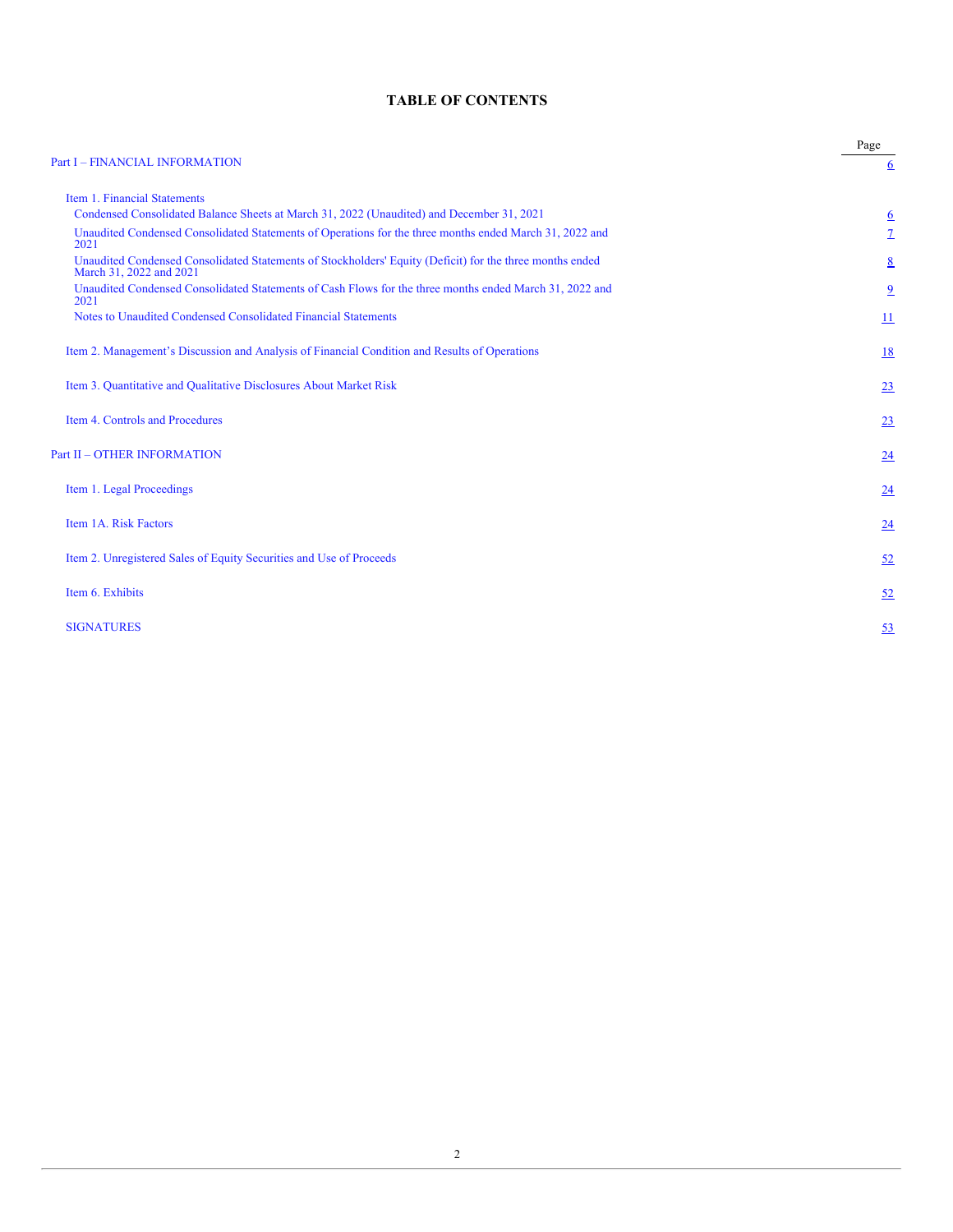# **TABLE OF CONTENTS**

| <b>Part I - FINANCIAL INFORMATION</b>                                                                                               | Page            |
|-------------------------------------------------------------------------------------------------------------------------------------|-----------------|
|                                                                                                                                     | $6\overline{6}$ |
| Item 1. Financial Statements                                                                                                        |                 |
| Condensed Consolidated Balance Sheets at March 31, 2022 (Unaudited) and December 31, 2021                                           | $\underline{6}$ |
| Unaudited Condensed Consolidated Statements of Operations for the three months ended March 31, 2022 and<br>2021                     | $\overline{1}$  |
| Unaudited Condensed Consolidated Statements of Stockholders' Equity (Deficit) for the three months ended<br>March 31, 2022 and 2021 | 8               |
| Unaudited Condensed Consolidated Statements of Cash Flows for the three months ended March 31, 2022 and<br>2021                     | $\overline{6}$  |
| Notes to Unaudited Condensed Consolidated Financial Statements                                                                      | $\overline{11}$ |
| Item 2. Management's Discussion and Analysis of Financial Condition and Results of Operations                                       | 18              |
| Item 3. Quantitative and Qualitative Disclosures About Market Risk                                                                  | 23              |
| Item 4. Controls and Procedures                                                                                                     | 23              |
| <b>Part II - OTHER INFORMATION</b>                                                                                                  | 24              |
| Item 1. Legal Proceedings                                                                                                           | 24              |
| Item 1A. Risk Factors                                                                                                               | 24              |
| Item 2. Unregistered Sales of Equity Securities and Use of Proceeds                                                                 | 52              |
| Item 6. Exhibits                                                                                                                    | 52              |
| <b>SIGNATURES</b>                                                                                                                   | 53              |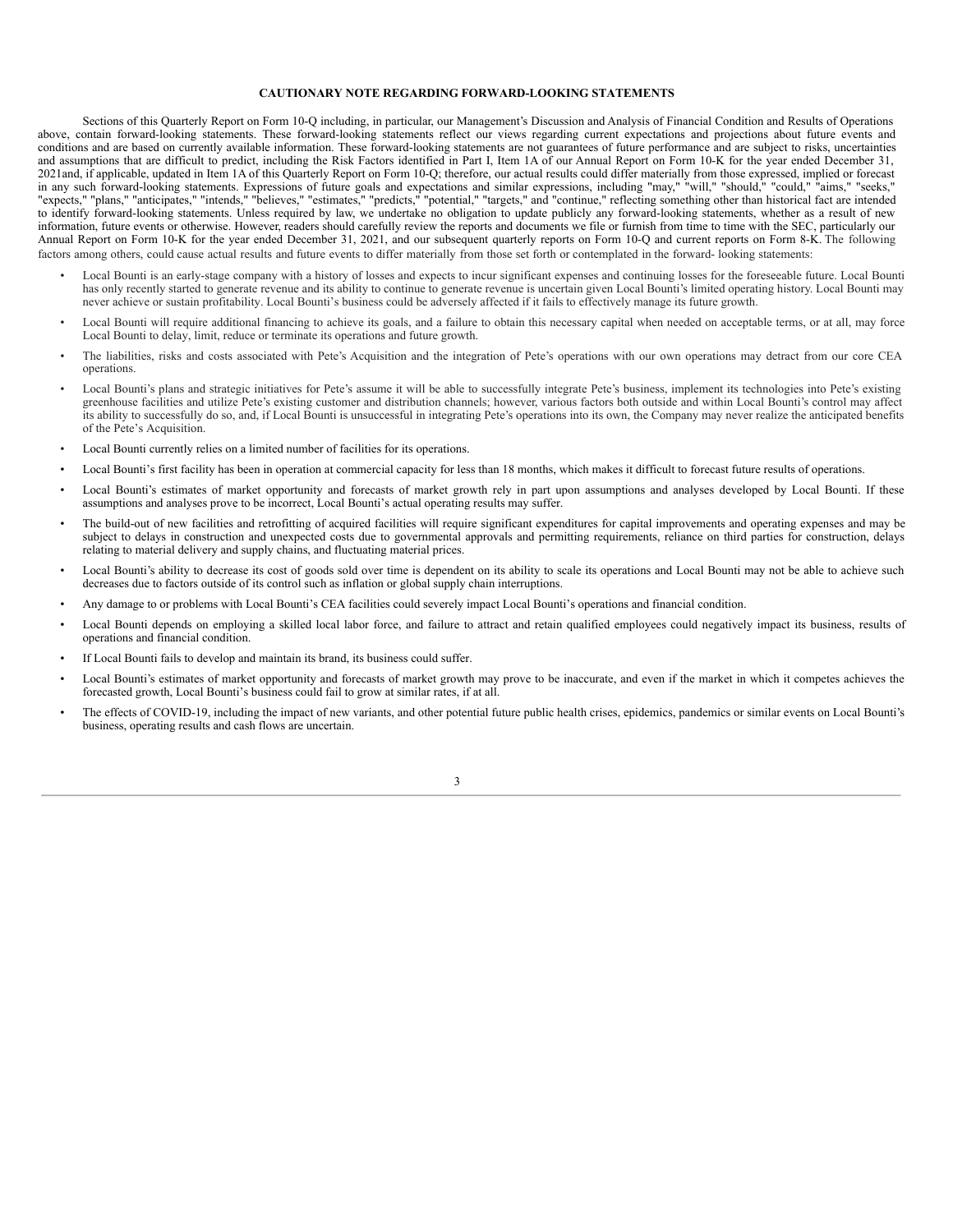#### **CAUTIONARY NOTE REGARDING FORWARD-LOOKING STATEMENTS**

Sections of this Quarterly Report on Form 10-Q including, in particular, our Management's Discussion and Analysis of Financial Condition and Results of Operations above, contain forward-looking statements. These forward-looking statements reflect our views regarding current expectations and projections about future events and conditions and are based on currently available information. These forward-looking statements are not guarantees of future performance and are subject to risks, uncertainties and assumptions that are difficult to predict, including the Risk Factors identified in Part I, Item 1A of our Annual Report on Form 10-K for the year ended December 31, 2021and, if applicable, updated in Item 1A of this Quarterly Report on Form 10-Q; therefore, our actual results could differ materially from those expressed, implied or forecast in any such forward-looking statements. Expressions of future goals and expectations and similar expressions, including "may," "will," "should," "could," "aims," "seeks," "expects," "plans," "anticipates," "intends," "believes," "estimates," "predicts," "potential," "targets," and "continue," reflecting something other than historical fact are intended to identify forward-looking statements. Unless required by law, we undertake no obligation to update publicly any forward-looking statements, whether as a result of new information, future events or otherwise. However, readers should carefully review the reports and documents we file or furnish from time to time with the SEC, particularly our Annual Report on Form 10-K for the year ended December 31, 2021, and our subsequent quarterly reports on Form 10-Q and current reports on Form 8-K. The following factors among others, could cause actual results and future events to differ materially from those set forth or contemplated in the forward- looking statements:

- Local Bounti is an early-stage company with a history of losses and expects to incur significant expenses and continuing losses for the foreseeable future. Local Bounti has only recently started to generate revenue and its ability to continue to generate revenue is uncertain given Local Bounti's limited operating history. Local Bounti may never achieve or sustain profitability. Local Bounti's business could be adversely affected if it fails to effectively manage its future growth.
- Local Bounti will require additional financing to achieve its goals, and a failure to obtain this necessary capital when needed on acceptable terms, or at all, may force Local Bounti to delay, limit, reduce or terminate its operations and future growth.
- The liabilities, risks and costs associated with Pete's Acquisition and the integration of Pete's operations with our own operations may detract from our core CEA operations.
- Local Bounti's plans and strategic initiatives for Pete's assume it will be able to successfully integrate Pete's business, implement its technologies into Pete's existing greenhouse facilities and utilize Pete's existing customer and distribution channels; however, various factors both outside and within Local Bounti's control may affect its ability to successfully do so, and, if Local Bounti is unsuccessful in integrating Pete's operations into its own, the Company may never realize the anticipated benefits of the Pete's Acquisition.
- Local Bounti currently relies on a limited number of facilities for its operations.
- Local Bounti's first facility has been in operation at commercial capacity for less than 18 months, which makes it difficult to forecast future results of operations.
- Local Bounti's estimates of market opportunity and forecasts of market growth rely in part upon assumptions and analyses developed by Local Bounti. If these assumptions and analyses prove to be incorrect, Local Bounti's actual operating results may suffer.
- The build-out of new facilities and retrofitting of acquired facilities will require significant expenditures for capital improvements and operating expenses and may be subject to delays in construction and unexpected costs due to governmental approvals and permitting requirements, reliance on third parties for construction, delays relating to material delivery and supply chains, and fluctuating material prices.
- Local Bounti's ability to decrease its cost of goods sold over time is dependent on its ability to scale its operations and Local Bounti may not be able to achieve such decreases due to factors outside of its control such as inflation or global supply chain interruptions.
- Any damage to or problems with Local Bounti's CEA facilities could severely impact Local Bounti's operations and financial condition.
- Local Bounti depends on employing a skilled local labor force, and failure to attract and retain qualified employees could negatively impact its business, results of operations and financial condition.
- If Local Bounti fails to develop and maintain its brand, its business could suffer.
- Local Bounti's estimates of market opportunity and forecasts of market growth may prove to be inaccurate, and even if the market in which it competes achieves the forecasted growth, Local Bounti's business could fail to grow at similar rates, if at all.
- The effects of COVID-19, including the impact of new variants, and other potential future public health crises, epidemics, pandemics or similar events on Local Bounti's business, operating results and cash flows are uncertain.

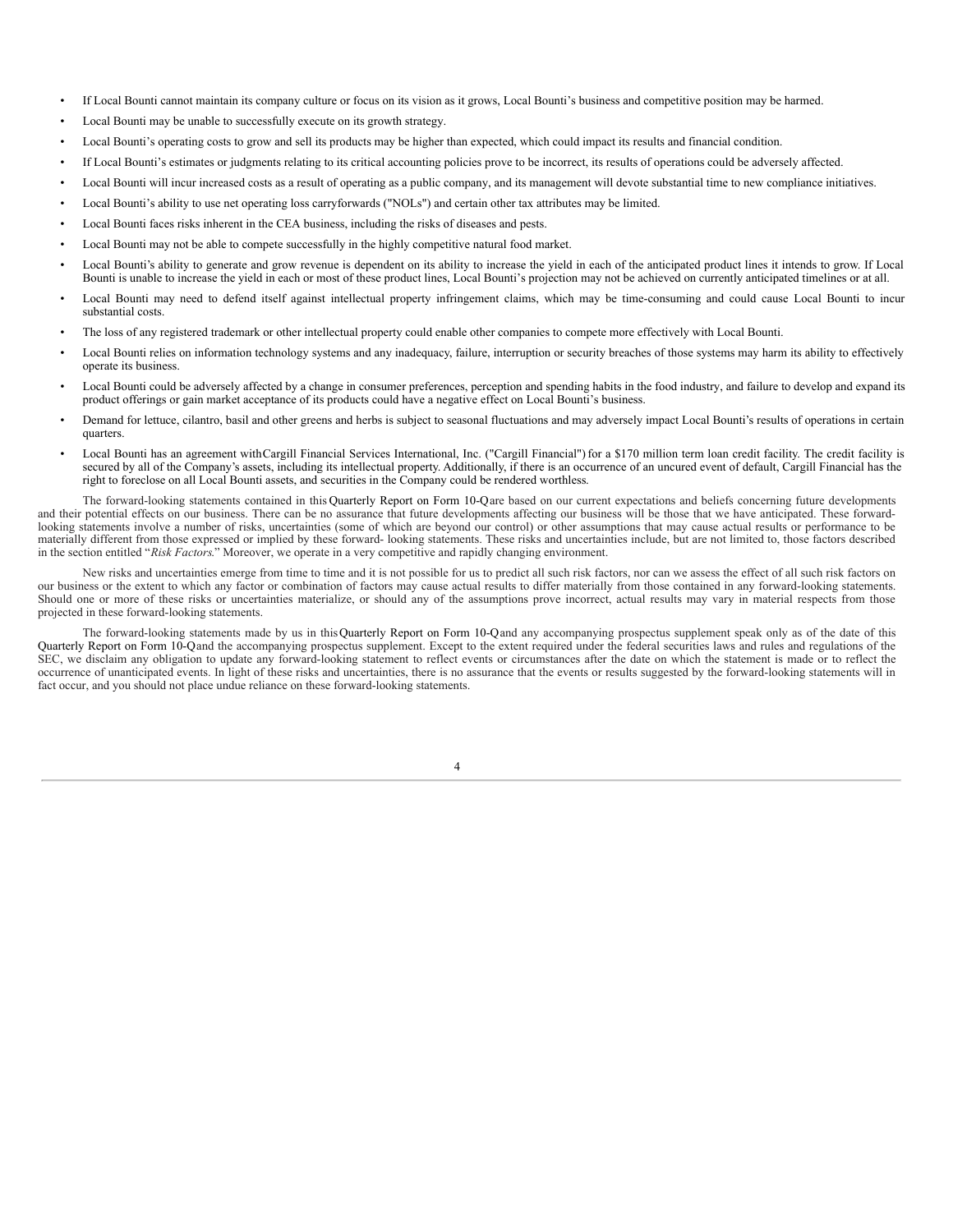- If Local Bounti cannot maintain its company culture or focus on its vision as it grows, Local Bounti's business and competitive position may be harmed.
- Local Bounti may be unable to successfully execute on its growth strategy.
- Local Bounti's operating costs to grow and sell its products may be higher than expected, which could impact its results and financial condition.
- If Local Bounti's estimates or judgments relating to its critical accounting policies prove to be incorrect, its results of operations could be adversely affected.
- Local Bounti will incur increased costs as a result of operating as a public company, and its management will devote substantial time to new compliance initiatives.
- Local Bounti's ability to use net operating loss carryforwards ("NOLs") and certain other tax attributes may be limited.
- Local Bounti faces risks inherent in the CEA business, including the risks of diseases and pests.
- Local Bounti may not be able to compete successfully in the highly competitive natural food market.
- Local Bounti's ability to generate and grow revenue is dependent on its ability to increase the yield in each of the anticipated product lines it intends to grow. If Local Bounti is unable to increase the yield in each or most of these product lines, Local Bounti's projection may not be achieved on currently anticipated timelines or at all.
- Local Bounti may need to defend itself against intellectual property infringement claims, which may be time-consuming and could cause Local Bounti to incur substantial costs.
- The loss of any registered trademark or other intellectual property could enable other companies to compete more effectively with Local Bounti.
- Local Bounti relies on information technology systems and any inadequacy, failure, interruption or security breaches of those systems may harm its ability to effectively operate its business.
- Local Bounti could be adversely affected by a change in consumer preferences, perception and spending habits in the food industry, and failure to develop and expand its product offerings or gain market acceptance of its products could have a negative effect on Local Bounti's business.
- Demand for lettuce, cilantro, basil and other greens and herbs is subject to seasonal fluctuations and may adversely impact Local Bounti's results of operations in certain quarters.
- Local Bounti has an agreement withCargill Financial Services International, Inc. ("Cargill Financial") for a \$170 million term loan credit facility. The credit facility is secured by all of the Company's assets, including its intellectual property. Additionally, if there is an occurrence of an uncured event of default, Cargill Financial has the right to foreclose on all Local Bounti assets, and securities in the Company could be rendered worthless.

The forward-looking statements contained in this Quarterly Report on Form 10-Qare based on our current expectations and beliefs concerning future developments and their potential effects on our business. There can be no assurance that future developments affecting our business will be those that we have anticipated. These forwardlooking statements involve a number of risks, uncertainties (some of which are beyond our control) or other assumptions that may cause actual results or performance to be materially different from those expressed or implied by these forward- looking statements. These risks and uncertainties include, but are not limited to, those factors described in the section entitled "*Risk Factors*." Moreover, we operate in a very competitive and rapidly changing environment.

New risks and uncertainties emerge from time to time and it is not possible for us to predict all such risk factors, nor can we assess the effect of all such risk factors on our business or the extent to which any factor or combination of factors may cause actual results to differ materially from those contained in any forward-looking statements. Should one or more of these risks or uncertainties materialize, or should any of the assumptions prove incorrect, actual results may vary in material respects from those projected in these forward-looking statements.

The forward-looking statements made by us in thisQuarterly Report on Form 10-Qand any accompanying prospectus supplement speak only as of the date of this Quarterly Report on Form 10-Qand the accompanying prospectus supplement. Except to the extent required under the federal securities laws and rules and regulations of the SEC, we disclaim any obligation to update any forward-looking statement to reflect events or circumstances after the date on which the statement is made or to reflect the occurrence of unanticipated events. In light of these risks and uncertainties, there is no assurance that the events or results suggested by the forward-looking statements will in fact occur, and you should not place undue reliance on these forward-looking statements.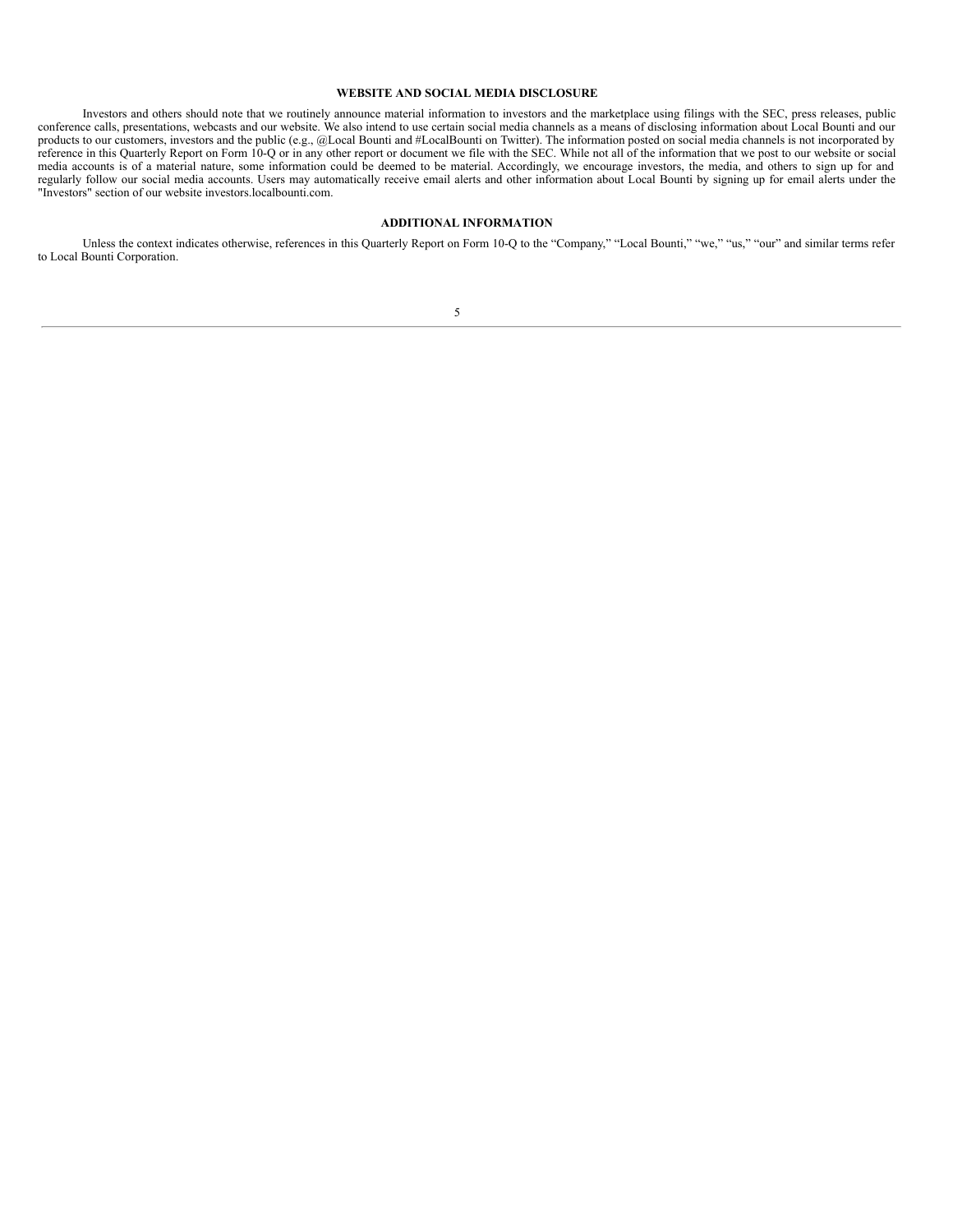#### **WEBSITE AND SOCIAL MEDIA DISCLOSURE**

Investors and others should note that we routinely announce material information to investors and the marketplace using filings with the SEC, press releases, public conference calls, presentations, webcasts and our website. We also intend to use certain social media channels as a means of disclosing information about Local Bounti and our products to our customers, investors and the public (e.g., @Local Bounti and #LocalBounti on Twitter). The information posted on social media channels is not incorporated by reference in this Quarterly Report on Form 10-Q or in any other report or document we file with the SEC. While not all of the information that we post to our website or social media accounts is of a material nature, some information could be deemed to be material. Accordingly, we encourage investors, the media, and others to sign up for and regularly follow our social media accounts. Users may automatically receive email alerts and other information about Local Bounti by signing up for email alerts under the "Investors" section of our website investors.localbounti.com.

### **ADDITIONAL INFORMATION**

<span id="page-4-0"></span>Unless the context indicates otherwise, references in this Quarterly Report on Form 10-Q to the "Company," "Local Bounti," "we," "us," "our" and similar terms refer to Local Bounti Corporation.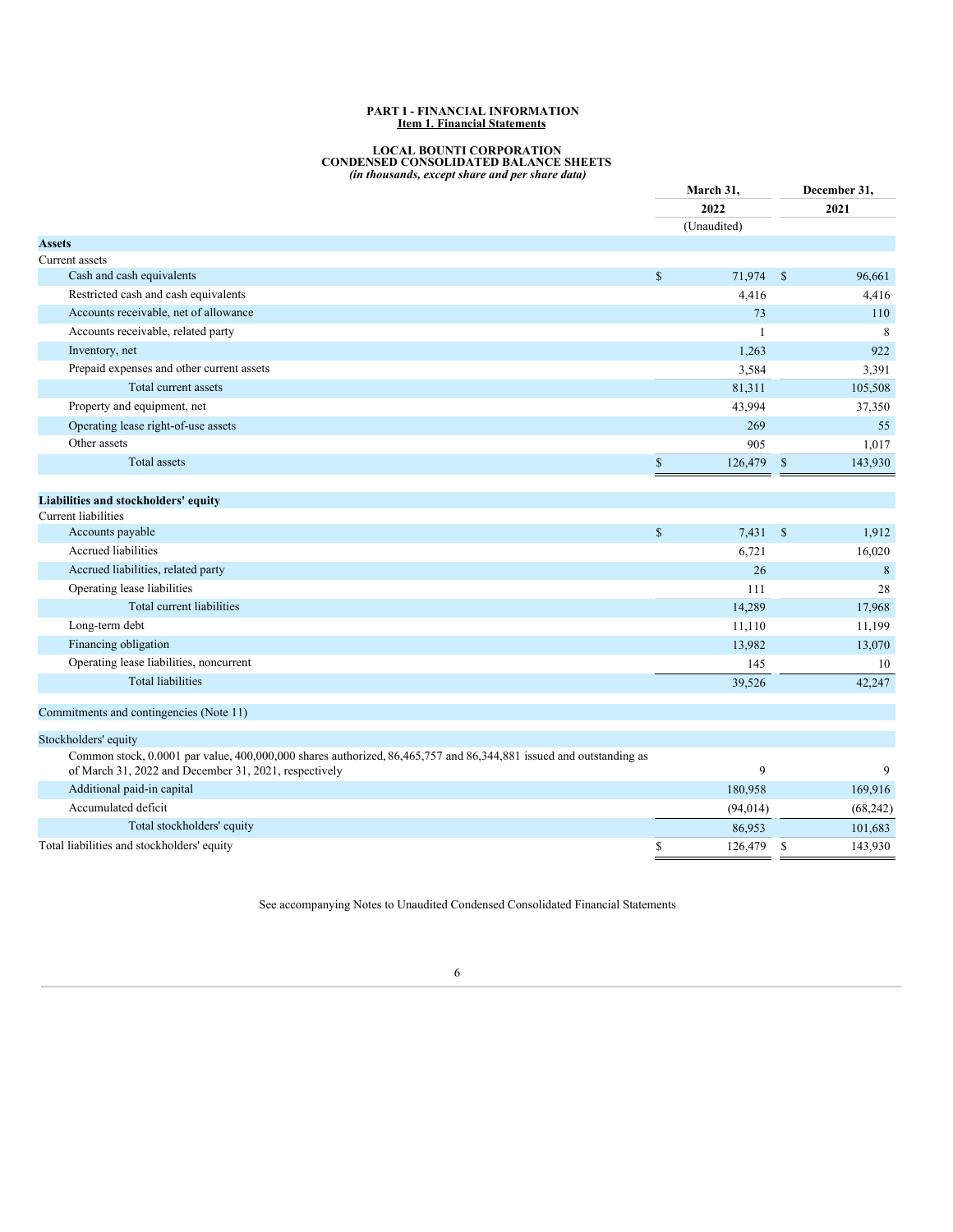#### **PART I - FINANCIAL INFORMATION Item 1. Financial Statements**

# **LOCAL BOUNTI CORPORATION CONDENSED CONSOLIDATED BALANCE SHEETS** *(in thousands, except share and per share data)*

<span id="page-5-0"></span>

|                                                                                                                    |                                                                       | March 31,<br>2022 |               | December 31, |
|--------------------------------------------------------------------------------------------------------------------|-----------------------------------------------------------------------|-------------------|---------------|--------------|
|                                                                                                                    |                                                                       |                   |               | 2021         |
|                                                                                                                    |                                                                       | (Unaudited)       |               |              |
| <b>Assets</b>                                                                                                      |                                                                       |                   |               |              |
| Current assets                                                                                                     |                                                                       |                   |               |              |
| Cash and cash equivalents                                                                                          | $\mathbb{S}$                                                          | 71,974            | $\mathbb{S}$  | 96,661       |
| Restricted cash and cash equivalents                                                                               |                                                                       | 4,416             |               | 4,416        |
| Accounts receivable, net of allowance                                                                              |                                                                       | 73                |               | 110          |
| Accounts receivable, related party                                                                                 |                                                                       | $\mathbf{1}$      |               | 8            |
| Inventory, net                                                                                                     |                                                                       | 1,263             |               | 922          |
| Prepaid expenses and other current assets                                                                          |                                                                       | 3,584             |               | 3,391        |
| Total current assets                                                                                               |                                                                       | 81,311            |               | 105,508      |
| Property and equipment, net                                                                                        |                                                                       | 43,994            |               | 37,350       |
| Operating lease right-of-use assets                                                                                |                                                                       | 269               |               | 55           |
| Other assets                                                                                                       |                                                                       | 905               |               | 1,017        |
| Total assets                                                                                                       | $\mathbb{S}% _{t}\left( t\right) \equiv\mathbb{S}_{t}\left( t\right)$ | 126,479           | $\mathbb{S}$  | 143,930      |
|                                                                                                                    |                                                                       |                   |               |              |
| Liabilities and stockholders' equity                                                                               |                                                                       |                   |               |              |
| Current liabilities                                                                                                |                                                                       |                   |               |              |
| Accounts payable                                                                                                   | $\mathbb S$                                                           | 7,431             | $\mathcal{S}$ | 1,912        |
| Accrued liabilities                                                                                                |                                                                       | 6,721             |               | 16,020       |
| Accrued liabilities, related party                                                                                 |                                                                       | 26                |               | 8            |
| Operating lease liabilities                                                                                        |                                                                       | 111               |               | 28           |
| Total current liabilities                                                                                          |                                                                       | 14,289            |               | 17,968       |
| Long-term debt                                                                                                     |                                                                       | 11,110            |               | 11,199       |
| Financing obligation                                                                                               |                                                                       | 13,982            |               | 13,070       |
| Operating lease liabilities, noncurrent                                                                            |                                                                       | 145               |               | 10           |
| <b>Total liabilities</b>                                                                                           |                                                                       | 39,526            |               | 42,247       |
|                                                                                                                    |                                                                       |                   |               |              |
| Commitments and contingencies (Note 11)                                                                            |                                                                       |                   |               |              |
| Stockholders' equity                                                                                               |                                                                       |                   |               |              |
| Common stock, 0.0001 par value, 400,000,000 shares authorized, 86,465,757 and 86,344,881 issued and outstanding as |                                                                       | 9                 |               | 9            |
| of March 31, 2022 and December 31, 2021, respectively<br>Additional paid-in capital                                |                                                                       |                   |               |              |
| Accumulated deficit                                                                                                |                                                                       | 180,958           |               | 169,916      |
|                                                                                                                    |                                                                       | (94, 014)         |               | (68, 242)    |
| Total stockholders' equity                                                                                         |                                                                       | 86,953            |               | 101,683      |
| Total liabilities and stockholders' equity                                                                         | \$<br>÷                                                               | 126,479           | \$            | 143,930      |

<span id="page-5-1"></span>See accompanying Notes to Unaudited Condensed Consolidated Financial Statements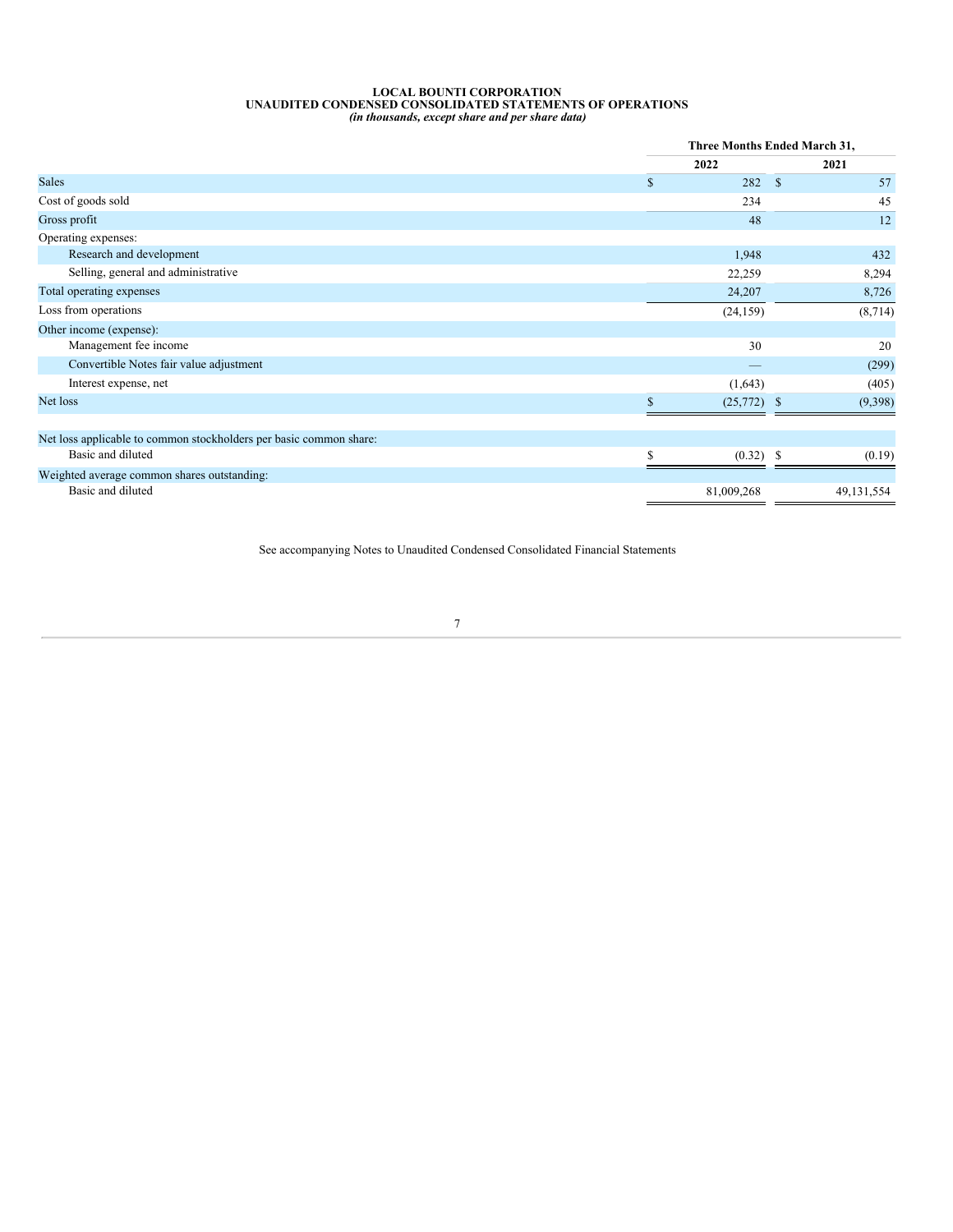# LOCAL BOUNTI CORPORATION<br>UNAUDITED CONDENSED CONSOLIDATED STATEMENTS OF OPERATIONS<br>(in thousands, except share and per share data)

|                                                                    |            | Three Months Ended March 31, |  |              |  |
|--------------------------------------------------------------------|------------|------------------------------|--|--------------|--|
|                                                                    | 2022       |                              |  | 2021         |  |
| <b>Sales</b>                                                       | \$         | 282<br>$\mathbf S$           |  | 57           |  |
| Cost of goods sold                                                 |            | 234                          |  | 45           |  |
| Gross profit                                                       |            | 48                           |  | 12           |  |
| Operating expenses:                                                |            |                              |  |              |  |
| Research and development                                           |            | 1,948                        |  | 432          |  |
| Selling, general and administrative                                |            | 22,259                       |  | 8,294        |  |
| Total operating expenses                                           |            | 24,207                       |  | 8,726        |  |
| Loss from operations                                               |            | (24, 159)                    |  | (8, 714)     |  |
| Other income (expense):                                            |            |                              |  |              |  |
| Management fee income                                              |            | 30                           |  | 20           |  |
| Convertible Notes fair value adjustment                            |            |                              |  | (299)        |  |
| Interest expense, net                                              |            | (1,643)                      |  | (405)        |  |
| Net loss                                                           |            | (25,772)<br>-S               |  | (9,398)      |  |
| Net loss applicable to common stockholders per basic common share: |            |                              |  |              |  |
| Basic and diluted                                                  |            | $(0.32)$ \$                  |  | (0.19)       |  |
| Weighted average common shares outstanding:                        |            |                              |  |              |  |
| Basic and diluted                                                  | 81,009,268 |                              |  | 49, 131, 554 |  |

<span id="page-6-0"></span>See accompanying Notes to Unaudited Condensed Consolidated Financial Statements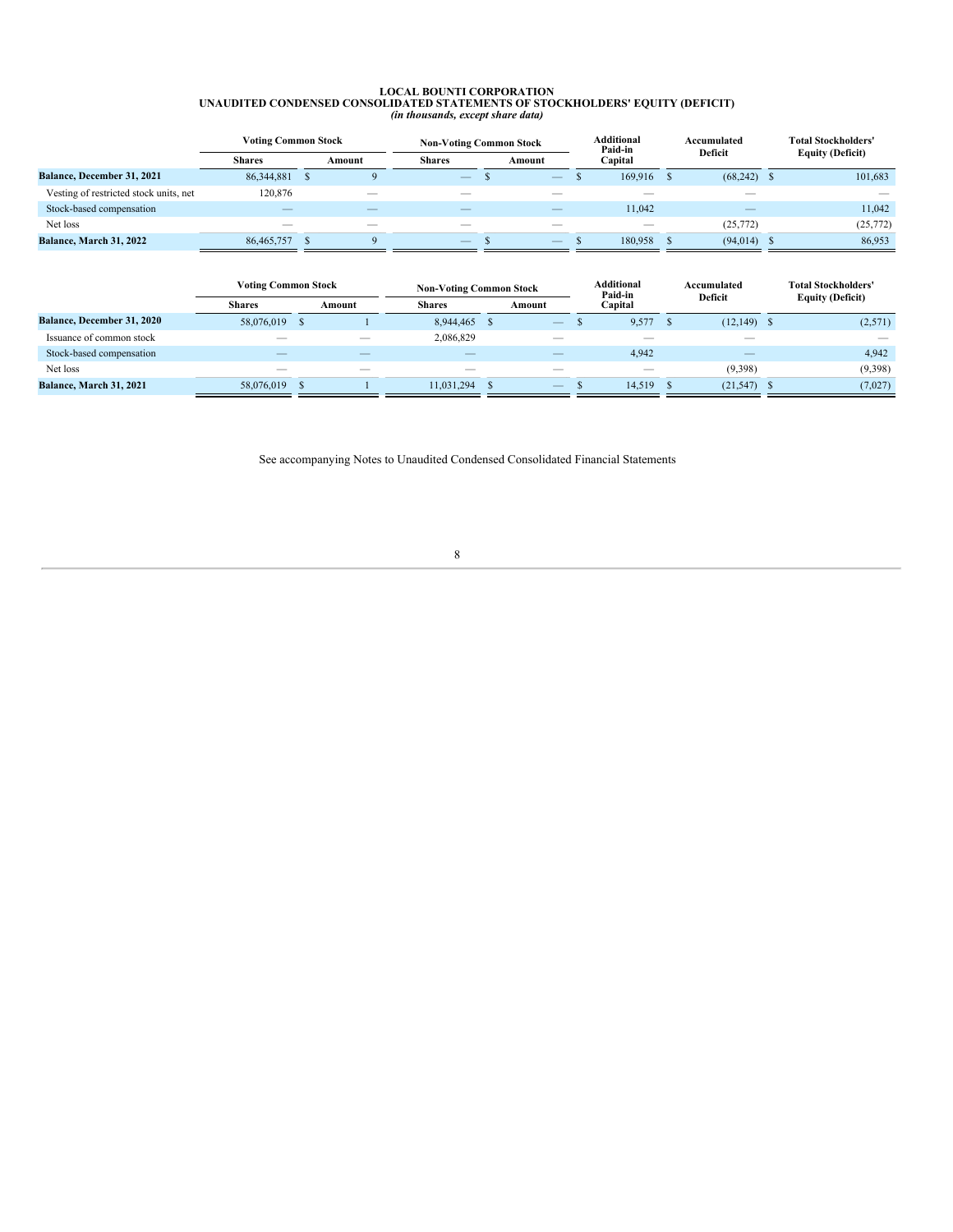# LOCAL BOUNTI CORPORATION<br>UNAUDITED CONDENSED CONSOLIDATED STATEMENTS OF STOCKHOLDERS' EQUITY (DEFICIT)<br>(in thousands, except share data)

|                                        | <b>Voting Common Stock</b> |  |        | <b>Non-Voting Common Stock</b> |  |                   | <b>Additional</b><br>Paid-in |                           |  |               |                         |           |  |  |  |  | Accumulated |  |  |  | <b>Total Stockholders'</b> |
|----------------------------------------|----------------------------|--|--------|--------------------------------|--|-------------------|------------------------------|---------------------------|--|---------------|-------------------------|-----------|--|--|--|--|-------------|--|--|--|----------------------------|
|                                        | <b>Shares</b>              |  | Amount | <b>Shares</b>                  |  | Amount            |                              | <b>Deficit</b><br>Capital |  |               | <b>Equity (Deficit)</b> |           |  |  |  |  |             |  |  |  |                            |
| <b>Balance, December 31, 2021</b>      | 86, 344, 881               |  |        | $\qquad \qquad -$              |  | $\qquad \qquad -$ |                              | 169,916                   |  | $(68,242)$ \$ |                         | 101,683   |  |  |  |  |             |  |  |  |                            |
| Vesting of restricted stock units, net | 120,876                    |  | __     | __                             |  | __                |                              | __                        |  |               |                         |           |  |  |  |  |             |  |  |  |                            |
| Stock-based compensation               |                            |  | __     | $-$                            |  | __                |                              | 11.042                    |  |               |                         | 11.042    |  |  |  |  |             |  |  |  |                            |
| Net loss                               | $\overline{\phantom{a}}$   |  | $-$    | $\overline{\phantom{a}}$       |  | $-$               |                              | $-$                       |  | (25, 772)     |                         | (25, 772) |  |  |  |  |             |  |  |  |                            |
| <b>Balance, March 31, 2022</b>         | 86,465,757                 |  |        | $\qquad \qquad -$              |  |                   |                              | 180.958                   |  | (94, 014)     |                         | 86,953    |  |  |  |  |             |  |  |  |                            |

|                                   | <b>Voting Common Stock</b> |    | <b>Non-Voting Common Stock</b> |                          |     |                          | Additional<br>Paid-in |                          | Accumulated |               | <b>Total Stockholders'</b> |         |                         |
|-----------------------------------|----------------------------|----|--------------------------------|--------------------------|-----|--------------------------|-----------------------|--------------------------|-------------|---------------|----------------------------|---------|-------------------------|
|                                   | <b>Shares</b>              |    | Amount                         | <b>Shares</b>            |     | Amount                   | Capital               |                          | Deficit     |               |                            |         | <b>Equity (Deficit)</b> |
| <b>Balance, December 31, 2020</b> | 58,076,019                 | -3 |                                | 8.944.465                | - 8 |                          |                       | 9,577                    |             | $(12,149)$ \$ |                            | (2,571) |                         |
| Issuance of common stock          | __                         |    |                                | 2,086,829                |     |                          |                       |                          |             |               |                            |         |                         |
| Stock-based compensation          | __                         |    |                                |                          |     |                          |                       | 4.942                    |             |               |                            | 4.942   |                         |
| Net loss                          | $\overline{\phantom{a}}$   |    |                                | $\overline{\phantom{a}}$ |     | $\overline{\phantom{a}}$ |                       | $\overline{\phantom{a}}$ |             | (9,398)       |                            | (9,398) |                         |
| Balance, March 31, 2021           | 58,076,019                 |    |                                | 11,031,294               |     | $\overline{\phantom{a}}$ |                       | 14,519                   |             | $(21,547)$ \$ |                            | (7,027) |                         |

<span id="page-7-0"></span>See accompanying Notes to Unaudited Condensed Consolidated Financial Statements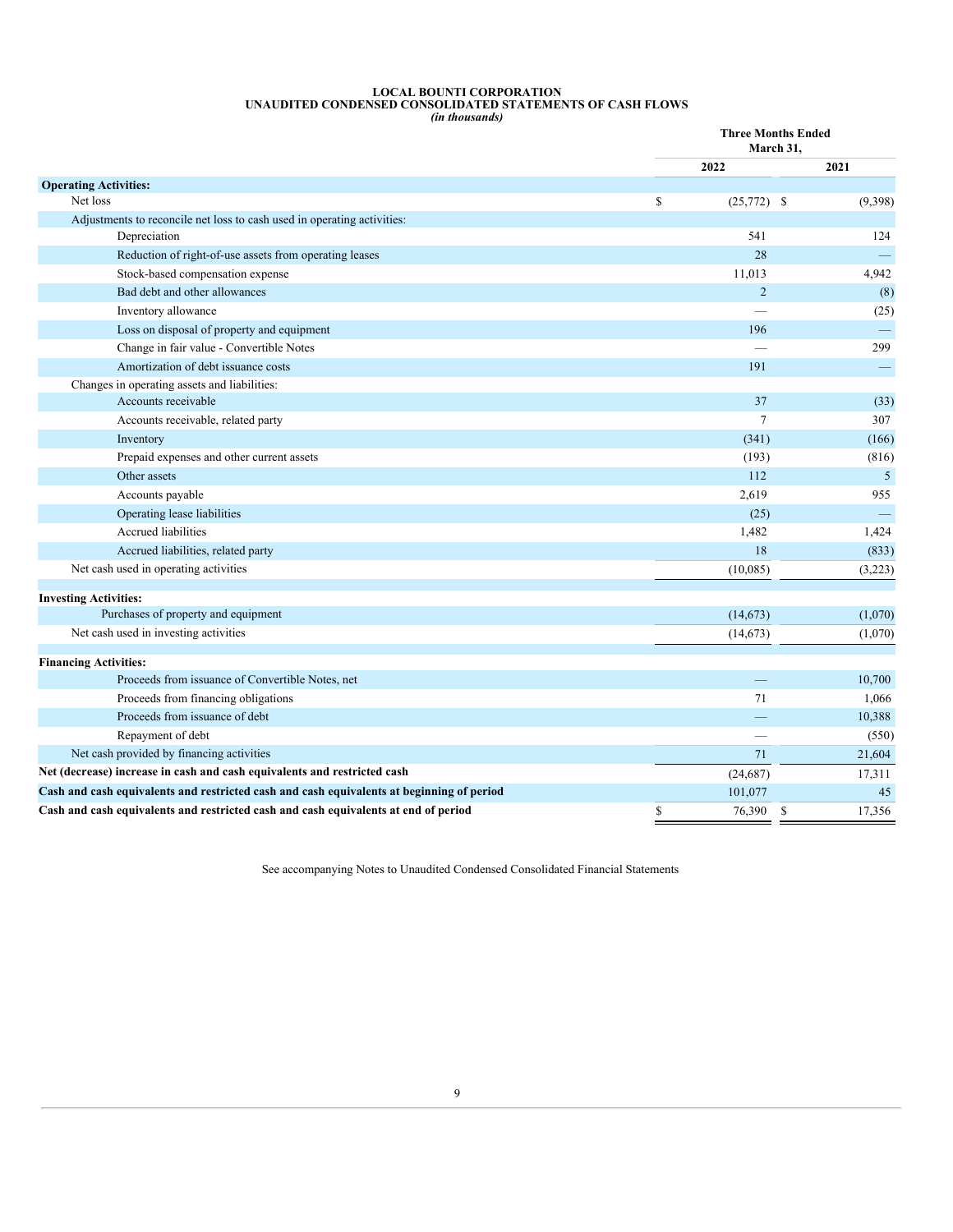# **LOCAL BOUNTI CORPORATION UNAUDITED CONDENSED CONSOLIDATED STATEMENTS OF CASH FLOWS**

*(in thousands)* **Three Months Ended March 31, 2022 2021 Operating Activities:** Net loss  $$^{(25,772)}$$  (9,398) Adjustments to reconcile net loss to cash used in operating activities: Depreciation 541 124 Reduction of right-of-use assets from operating leases 28 — Stock-based compensation expense 11,013 4,942 Bad debt and other allowances (8) and the state of the state of the state of the state of the state of the state of the state of the state of the state of the state of the state of the state of the state of the state of th Inventory allowance — (25) Loss on disposal of property and equipment 196 — 196 — 196 — 196 — 196 — 196 — 196 — 196 — 196 — 196 — 196 — 196 — 196 — 196 — 196 — 196 — 197 — 198 — 198 — 198 — 198 — 198 — 198 — 198 — 198 — 198 — 198 — 198 — 198 — 198 — Change in fair value - Convertible Notes — 299 Amortization of debt issuance costs 191 and the costs 191 and the costs 191 and the costs 191 and the costs 191 and the costs 191 and the costs 191 and the costs 191 and the costs 191 and the costs 191 and the costs 191 an Changes in operating assets and liabilities: Accounts receivable 37 (33) Accounts receivable, related party 307 307 Inventory  $(341)$  (166) Prepaid expenses and other current assets (193) (816) Other assets **112** 5 Accounts payable 2,619 955 Operating lease liabilities (25) — Contract Contract Contract Contract Contract Contract Contract Contract Contract Contract Contract Contract Contract Contract Contract Contract Contract Contract Contract Contract Contrac Accrued liabilities 1,424 1,424 1,424 Accrued liabilities, related party (833) (833) Net cash used in operating activities (10,085) (3,223) **Investing Activities:** Purchases of property and equipment (14,673) (1,070) Net cash used in investing activities (1,070) (1,070) **Financing Activities:** Proceeds from issuance of Convertible Notes, net — 10,700

| Proceeds from financing obligations                                                       |          | 1.066  |
|-------------------------------------------------------------------------------------------|----------|--------|
| Proceeds from issuance of debt                                                            |          | 10,388 |
| Repayment of debt                                                                         |          | (550)  |
| Net cash provided by financing activities                                                 |          | 21,604 |
| Net (decrease) increase in cash and cash equivalents and restricted cash                  | (24.687) | 17,311 |
| Cash and cash equivalents and restricted cash and cash equivalents at beginning of period | 101.077  | 45     |
| Cash and cash equivalents and restricted cash and cash equivalents at end of period       | 76.390   | 17.356 |

See accompanying Notes to Unaudited Condensed Consolidated Financial Statements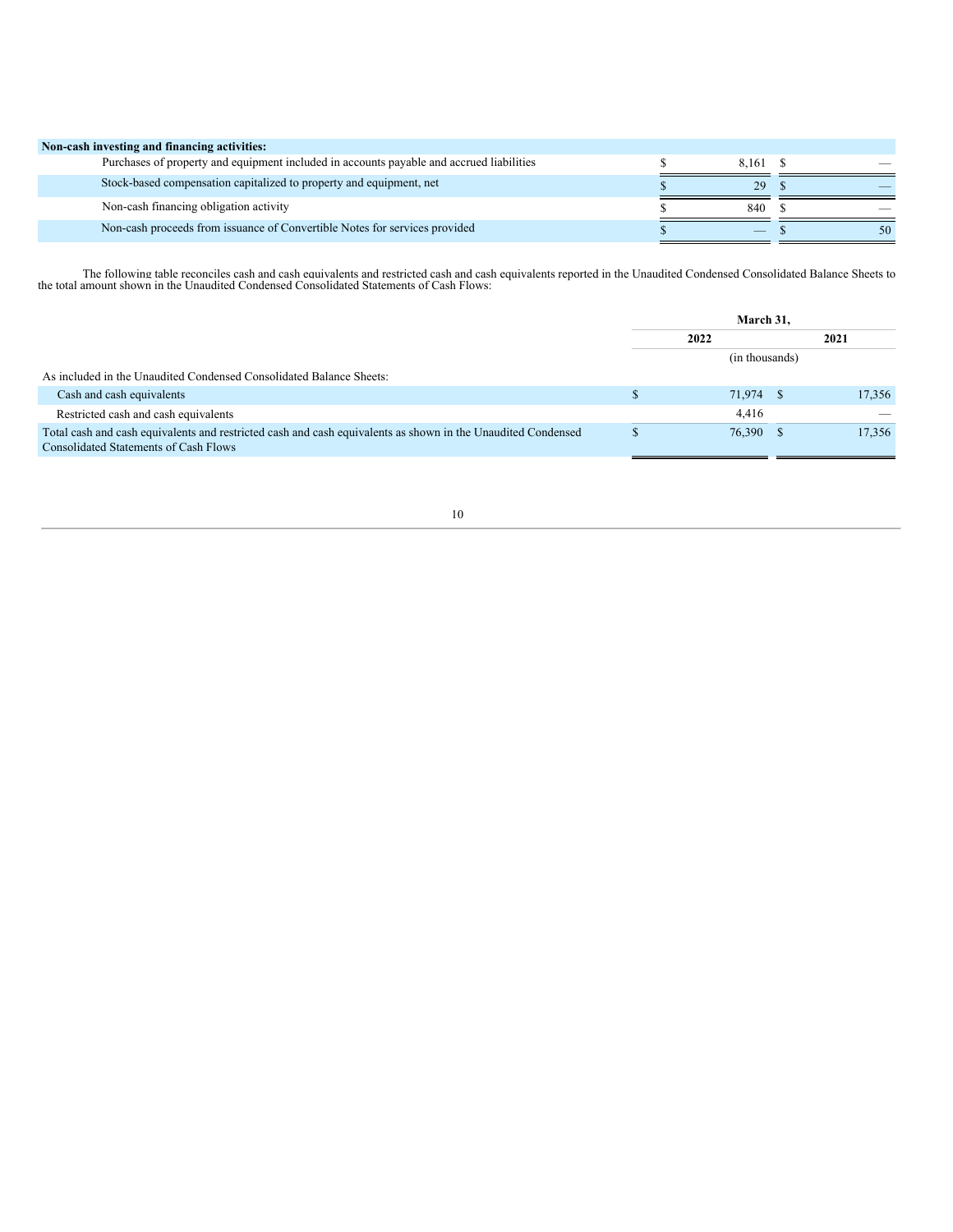| Non-cash investing and financing activities:                                             |          |    |
|------------------------------------------------------------------------------------------|----------|----|
| Purchases of property and equipment included in accounts payable and accrued liabilities | 8,161 \$ |    |
| Stock-based compensation capitalized to property and equipment, net                      | 29       |    |
| Non-cash financing obligation activity                                                   | 840      |    |
| Non-cash proceeds from issuance of Convertible Notes for services provided               | $-$      | 50 |

The following table reconciles cash and cash equivalents and restricted cash and cash equivalents reported in the Unaudited Condensed Consolidated Balance Sheets to the total amount shown in the Unaudited Condensed Consoli

<span id="page-9-0"></span>

|                                                                                                                                                       | March 31. |                |  |        |
|-------------------------------------------------------------------------------------------------------------------------------------------------------|-----------|----------------|--|--------|
|                                                                                                                                                       |           | 2022           |  | 2021   |
|                                                                                                                                                       |           | (in thousands) |  |        |
| As included in the Unaudited Condensed Consolidated Balance Sheets:                                                                                   |           |                |  |        |
| Cash and cash equivalents                                                                                                                             |           | 71,974         |  | 17.356 |
| Restricted cash and cash equivalents                                                                                                                  |           | 4.416          |  |        |
| Total cash and cash equivalents and restricted cash and cash equivalents as shown in the Unaudited Condensed<br>Consolidated Statements of Cash Flows |           | 76,390 \$      |  | 17,356 |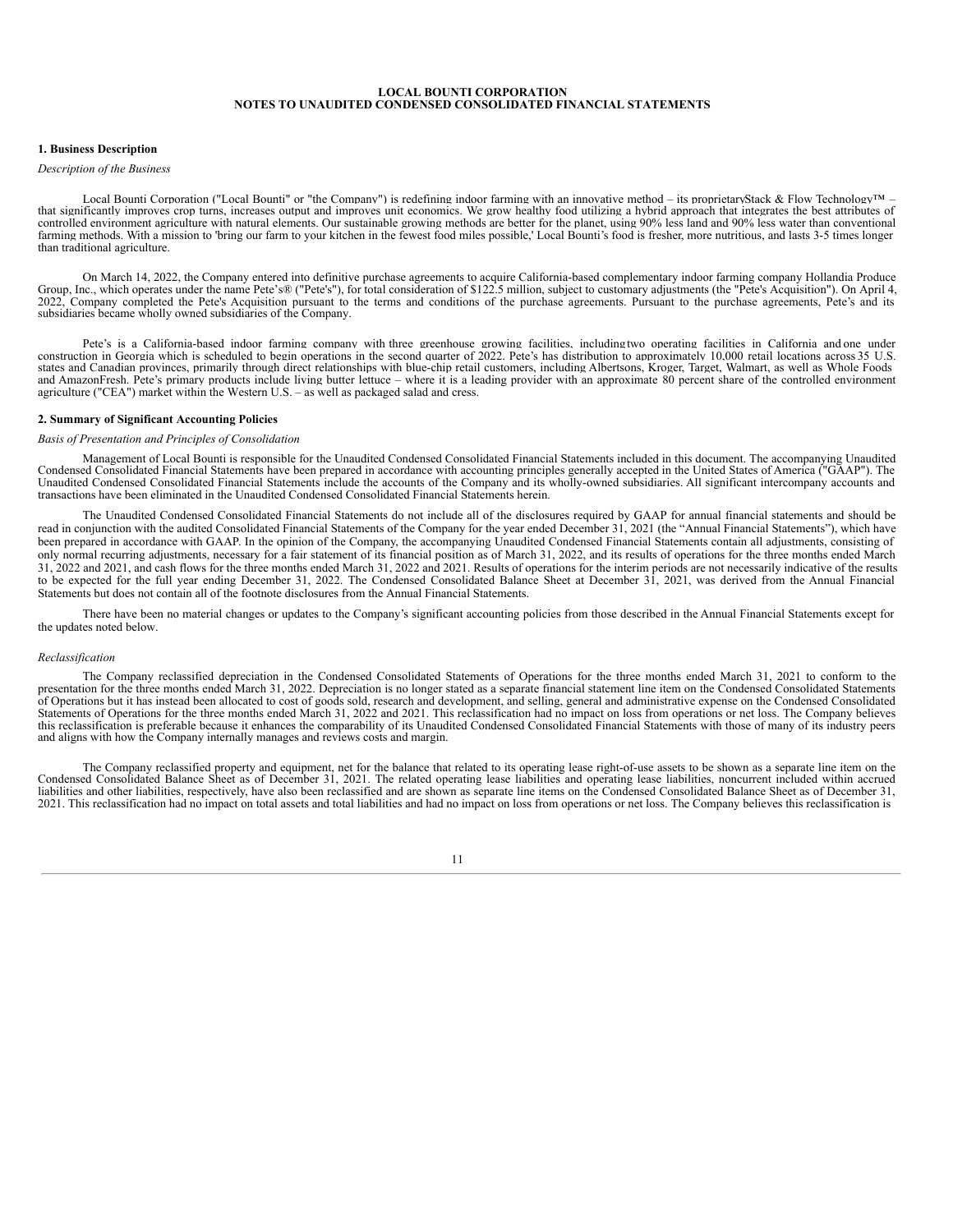# **LOCAL BOUNTI CORPORATION NOTES TO UNAUDITED CONDENSED CONSOLIDATED FINANCIAL STATEMENTS**

#### **1. Business Description**

#### *Description of the Business*

Local Bounti Corporation ("Local Bounti" or "the Company") is redefining indoor farming with an innovative method – its proprietaryStack & Flow Technology™ – that significantly improves crop turns, increases output and improves unit economics. We grow healthy food utilizing a hybrid approach that integrates the best attributes of controlled environment agriculture with natural elements. Our sustainable growing methods are better for the planet, using 90% less land and 90% less water than conventional farming methods. With a mission to 'bring our fa than traditional agriculture.

On March 14, 2022, the Company entered into definitive purchase agreements to acquire California-based complementary indoor farming company Hollandia Produce Group, Inc., which operates under the name Pete's® ("Pete's"), for total consideration of \$122.5 million, subject to customary adjustments (the "Pete's Acquisition"). On April 4, 2022, Company completed the Pete's Acquisit subsidiaries became wholly owned subsidiaries of the Company.

Pete's is a California-based indoor farming company with three greenhouse growing facilities, includingtwo operating facilities in California and one under construction in Georgia which is scheduled to begin operations in the second quarter of 2022. Pete's has distribution to approximately 10,000 retail locations across 35 U.S. states and Canadian provinces, primarily through direct relationships with blue-chip retail customers, including Albertsons, Kroger, Target, Walmart, as well as Whole Foods and AmazonFresh. Pete's primary products include living butter lettuce – where it is a leading provider with an approximate 80 percent share of the controlled environment agriculture ("CEA") market within the Western U.S. – as well as packaged salad and cress.

#### **2. Summary of Significant Accounting Policies**

#### *Basis of Presentation and Principles of Consolidation*

Management of Local Bounti is responsible for the Unaudited Condensed Consolidated Financial Statements included in this document. The accompanying Unaudited Condensed Consolidated Financial Statements have been prepared in accordance with accounting principles generally accepted in the United States of America ("GAAP"). The United States of America ("GAAP"). The United States transactions have been eliminated in the Unaudited Condensed Consolidated Financial Statements herein.

The Unaudited Condensed Consolidated Financial Statements do not include all of the disclosures required by GAAP for annual financial statements and should be read in conjunction with the audited Consolidated Financial Statements of the Company for the year ended December 31, 2021 (the "Annual Financial Statements"), which have been prepared in accordance with GAAP. In the opinion of the Company, the accompanying Unaudited Condensed Financial Statements contain all adjustments, consisting of only normal recurring adjustments, necessary for a fair statement of its financial position as of March 31, 2022, and its results of operations for the three months ended March 31, 2022 and 2021, and cash flows for the three months ended March 31, 2022 and 2021. Results of operations for the interim periods are not necessarily indicative of the results to be expected for the full year ending December 31, 2022. The Condensed Consolidated Balance Sheet at December 31, 2021, was derived from the Annual Financial Statements but does not contain all of the footnote disclosures from the Annual Financial Statements.

There have been no material changes or updates to the Company's significant accounting policies from those described in the Annual Financial Statements except for the updates noted below.

#### *Reclassification*

The Company reclassified depreciation in the Condensed Consolidated Statements of Operations for the three months ended March 31, 2021 to conform to the presentation for the three months ended March 31, 2022. Depreciation is no longer stated as a separate financial statement line item on the Condensed Consolidated Statements of Operations but it has instead been allocated to cost of goods sold, research and development, and selling, general and administrative expense on the Condensed Consolidated Statements of Operations for the three months ended March 31, 2022 and 2021. This reclassification had no impact on loss from operations or net loss. The Company believes this reclassification is preferable because it enhances the comparability of its Unaudited Condensed Consolidated Financial Statements with those of many of its industry peers and aligns with how the Company internally manages and reviews costs and margin.

The Company reclassified property and equipment, net for the balance that related to its operating lease right-of-use assets to be shown as a separate line item on the Condensed Consolidated Balance Sheet as of December 31, 2021. The related operating lease liabilities and operating lease liabilities, noncurrent included within accrued liabilities and other liabilities, respectively, have also been reclassified and are shown as separate line items on the Condensed Consolidated Balance Sheet as of December 31, 2021. This reclassification had no impact on total assets and total liabilities and had no impact on loss from operations or net loss. The Company believes this reclassification is

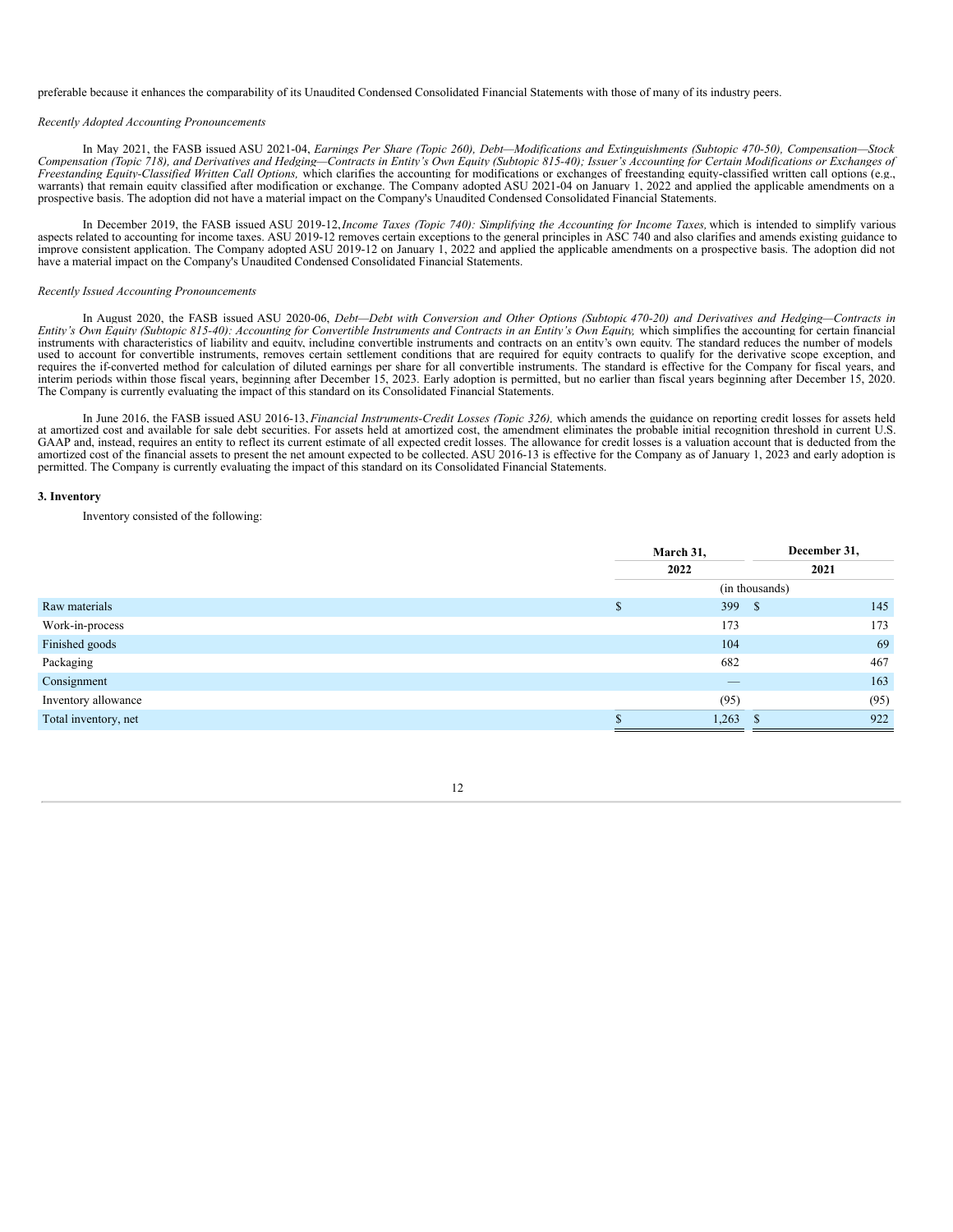preferable because it enhances the comparability of its Unaudited Condensed Consolidated Financial Statements with those of many of its industry peers.

#### *Recently Adopted Accounting Pronouncements*

In May 2021, the FASB issued ASU 2021-04, Earnings Per Share (Topic 260), Debt-Modifications and Extinguishments (Subtopic 470-50), Compensation-Stock Compensation (Topic 718), and Derivatives and Hedging-Contracts in Entity's Own Equity (Subtopic 815-40); Issuer's Accounting for Certain Modifications or Exchanges of *Freestanding Equity-Classified Written Call Options,* which clarifies the accounting for modifications or exchanges of freestanding equity-classified written call options (e.g., warrants) that remain equity classified after modification or exchange. The Company adopted ASU 2021-04 on January 1, 2022 and applied the applicable amendments on a prospective basis. The adoption did not have a material impact on the Company's Unaudited Condensed Consolidated Financial Statements.

In December 2019, the FASB issued ASU 2019-12,*Income Taxes (Topic 740): Simplifying the Accounting for Income Taxes,* which is intended to simplify various aspects related to accounting for income taxes. ASU 2019-12 removes certain exceptions to the general principles in ASC 740 and also clarifies and amends existing guidance to improve consistent application. The Company adopted ASU 2019-12 on January 1, 2022 and applied the applicable amendments on a prospective basis. The adoption did not have a material impact on the Company's Unaudited Condensed Consolidated Financial Statements.

#### *Recently Issued Accounting Pronouncements*

In August 2020, the FASB issued ASU 2020-06, Debt-Debt with Conversion and Other Options (Subtopic 470-20) and Derivatives and Hedging-Contracts in Entity's Own Equity (Subtopic 815-40): Accounting for Convertible Instruments and Contracts in an Entity's Own Equity, which simplifies the accounting for certain financial instruments with characteristics of liability and equity, including convertible instruments and contracts on an entity's own equity. The standard reduces the number of models used to account for convertible instruments, removes certain settlement conditions that are required for equity contracts to qualify for the derivative scope exception, and requires the if-converted method for calculation of diluted earnings per share for all convertible instruments. The standard is effective for the Company for fiscal years, and interim periods within those fiscal years, beg The Company is currently evaluating the impact of this standard on its Consolidated Financial Statements.

In June 2016, the FASB issued ASU 2016-13, *Financial Instruments-Credit Losses (Topic 326),* which amends the guidance on reporting credit losses for assets held at amortized cost and available for sale debt securities. For assets held at amortized cost, the amendment eliminates the probable initial recognition threshold in current U.S. GAAP and, instead, requires an entity to reflect its current estimate of all expected credit losses. The allowance for credit losses is a valuation account that is deducted from the amortized cost of the financial assets to present the net amount expected to be collected. ASU 2016-13 is effective for the Company as of January 1, 2023 and early adoption is permitted. The Company is currently evaluating the impact of this standard on its Consolidated Financial Statements.

#### **3. Inventory**

Inventory consisted of the following:

|                      | March 31, |                | December 31, |
|----------------------|-----------|----------------|--------------|
|                      | 2022      |                | 2021         |
|                      |           | (in thousands) |              |
| Raw materials        |           | 399<br>- \$    | 145          |
| Work-in-process      |           | 173            | 173          |
| Finished goods       |           | 104            | 69           |
| Packaging            |           | 682            | 467          |
| Consignment          |           |                | 163          |
| Inventory allowance  |           | (95)           | (95)         |
| Total inventory, net |           | 1,263<br>- \$  | 922          |
|                      |           |                |              |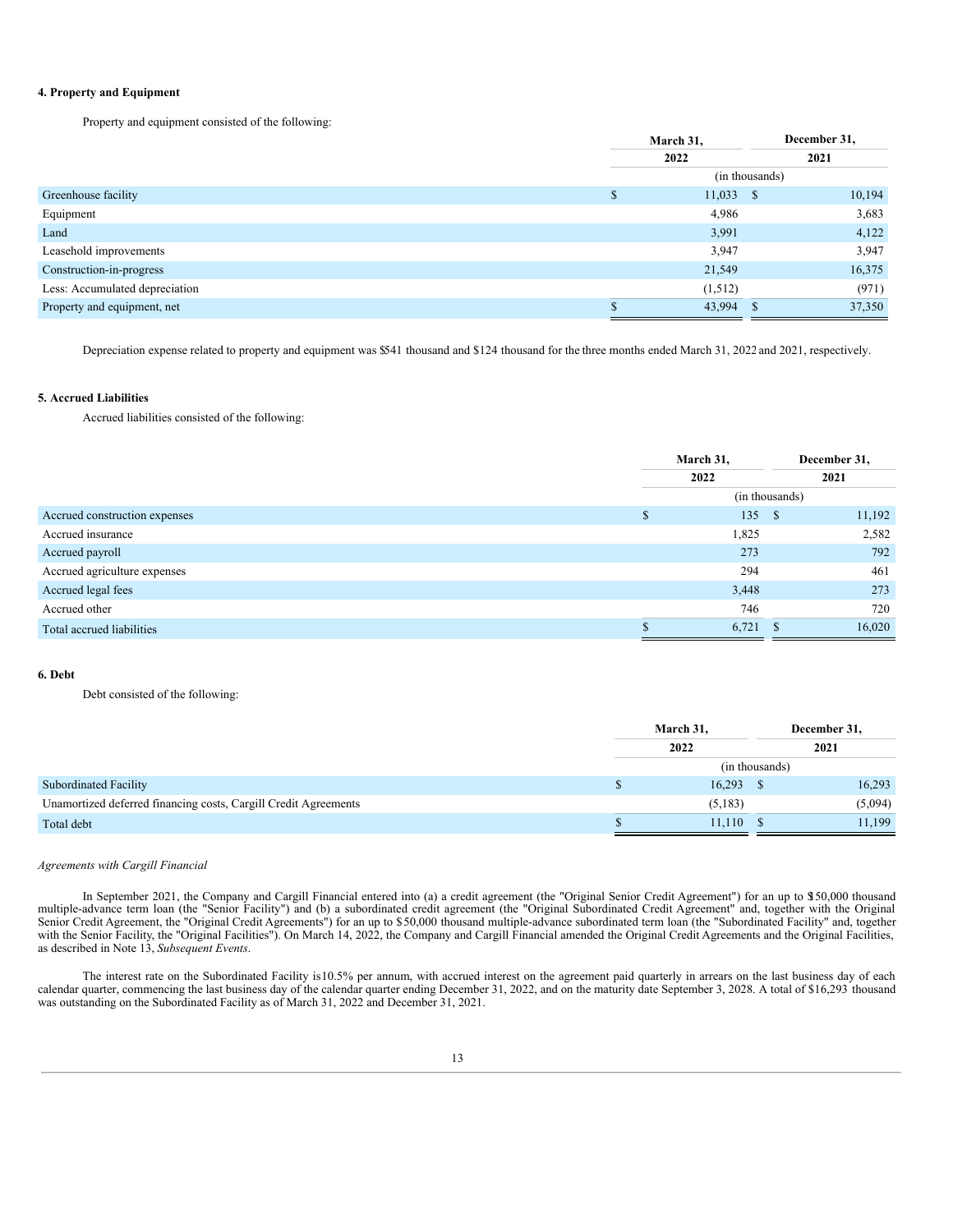### **4. Property and Equipment**

Property and equipment consisted of the following:

|                                |                | March 31,   |     | December 31, |  |  |  |  |
|--------------------------------|----------------|-------------|-----|--------------|--|--|--|--|
|                                |                | 2022        |     | 2021         |  |  |  |  |
|                                | (in thousands) |             |     |              |  |  |  |  |
| Greenhouse facility            | \$             | $11,033$ \$ |     | 10,194       |  |  |  |  |
| Equipment                      |                | 4,986       |     | 3,683        |  |  |  |  |
| Land                           |                | 3,991       |     | 4,122        |  |  |  |  |
| Leasehold improvements         |                | 3,947       |     | 3,947        |  |  |  |  |
| Construction-in-progress       |                | 21,549      |     | 16,375       |  |  |  |  |
| Less: Accumulated depreciation |                | (1,512)     |     | (971)        |  |  |  |  |
| Property and equipment, net    |                | 43,994      | ТЪ. | 37,350       |  |  |  |  |

Depreciation expense related to property and equipment was \$541 thousand and \$124 thousand for the three months ended March 31, 2022 and 2021, respectively.

#### **5. Accrued Liabilities**

Accrued liabilities consisted of the following:

|                               | March 31,      |      | December 31, |  |
|-------------------------------|----------------|------|--------------|--|
|                               | 2022           | 2021 |              |  |
|                               | (in thousands) |      |              |  |
| Accrued construction expenses | 135            | - \$ | 11,192       |  |
| Accrued insurance             | 1,825          |      | 2,582        |  |
| Accrued payroll               | 273            |      | 792          |  |
| Accrued agriculture expenses  | 294            |      | 461          |  |
| Accrued legal fees            | 3,448          |      | 273          |  |
| Accrued other                 | 746            |      | 720          |  |
| Total accrued liabilities     | 6,721          |      | 16,020       |  |

### **6. Debt**

Debt consisted of the following:

|                                                                 | March 31,   |                | December 31, |  |
|-----------------------------------------------------------------|-------------|----------------|--------------|--|
|                                                                 | 2022        | 2021           |              |  |
|                                                                 |             | (in thousands) |              |  |
| <b>Subordinated Facility</b>                                    | 16,293      |                | 16,293       |  |
| Unamortized deferred financing costs, Cargill Credit Agreements | (5, 183)    |                | (5,094)      |  |
| Total debt                                                      | $11,110$ \$ |                | 11,199       |  |

#### *Agreements with Cargill Financial*

In September 2021, the Company and Cargill Financial entered into (a) a credit agreement (the "Original Senior Credit Agreement") for an up to \$150,000 thousand multiple-advance term loan (the "Senior Facility") and (b) a subordinated credit agreement (the "Original Subordinated Credit Agreement" and, together with the Original Senior Credit Agreement, the "Original Credit Agreements") for an up to \$50,000 thousand multiple-advance subordinated term loan (the "Subordinated Facility" and, together with the Senior Facility, the "Original Facilities"). On March 14, 2022, the Company and Cargill Financial amended the Original Credit Agreements and the Original Facilities, as described in Note 13, *Subsequent Events*.

The interest rate on the Subordinated Facility is10.5% per annum, with accrued interest on the agreement paid quarterly in arrears on the last business day of each calendar quarter, commencing the last business day of the calendar quarter ending December 31, 2022, and on the maturity date September 3, 2028. A total of \$16,293 thousand was outstanding on the Subordinated Facility as of March 31, 2022 and December 31, 2021.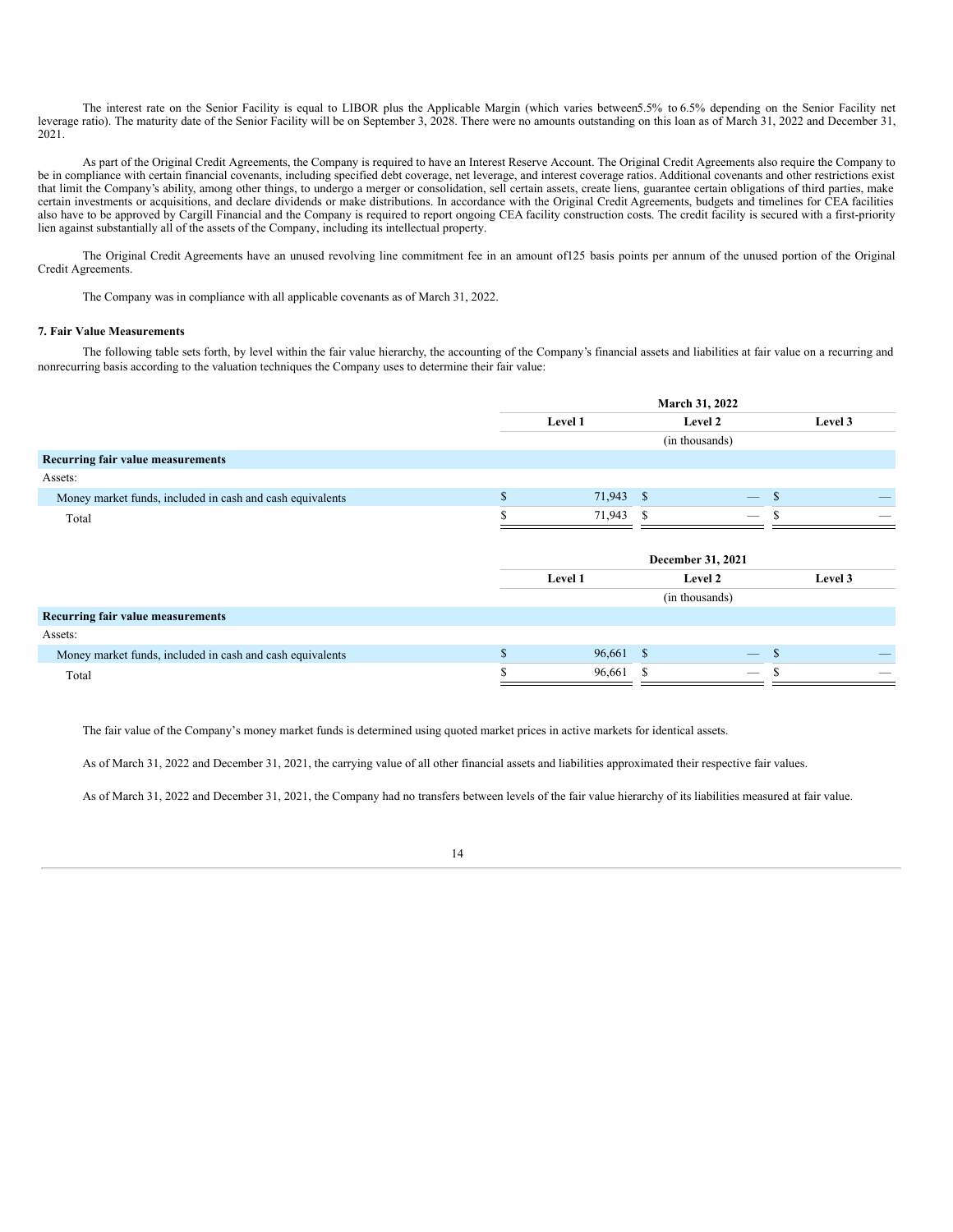The interest rate on the Senior Facility is equal to LIBOR plus the Applicable Margin (which varies between5.5% to 6.5% depending on the Senior Facility net leverage ratio). The maturity date of the Senior Facility will be on September 3, 2028. There were no amounts outstanding on this loan as of March 31, 2022 and December 31, 2021.

As part of the Original Credit Agreements, the Company is required to have an Interest Reserve Account. The Original Credit Agreements also require the Company to be in compliance with certain financial covenants, including specified debt coverage, net leverage, and interest coverage ratios. Additional covenants and other restrictions exist that limit the Company's ability, among other things, to undergo a merger or consolidation, sell certain assets, create liens, guarantee certain obligations of third parties, make certain investments or acquisitions, and declare dividends or make distributions. In accordance with the Original Credit Agreements, budgets and timelines for CEA facilities also have to be approved by Cargill Financial and the Company is required to report ongoing CEA facility construction costs. The credit facility is secured with a first-priority lien against substantially all of the assets of the Company, including its intellectual property.

The Original Credit Agreements have an unused revolving line commitment fee in an amount of125 basis points per annum of the unused portion of the Original Credit Agreements.

The Company was in compliance with all applicable covenants as of March 31, 2022.

#### **7. Fair Value Measurements**

The following table sets forth, by level within the fair value hierarchy, the accounting of the Company's financial assets and liabilities at fair value on a recurring and nonrecurring basis according to the valuation techniques the Company uses to determine their fair value:

|                                                           |             | March 31, 2022 |     |                   |         |
|-----------------------------------------------------------|-------------|----------------|-----|-------------------|---------|
|                                                           |             | Level 1        |     | Level 2           | Level 3 |
|                                                           |             |                |     | (in thousands)    |         |
| Recurring fair value measurements                         |             |                |     |                   |         |
| Assets:                                                   |             |                |     |                   |         |
| Money market funds, included in cash and cash equivalents | \$          | 71,943 \$      |     | $\mathcal{S}$     |         |
| Total                                                     |             | 71,943         | -S  | –                 |         |
|                                                           |             |                |     |                   |         |
|                                                           |             |                |     | December 31, 2021 |         |
|                                                           |             | Level 1        |     | Level 2           | Level 3 |
|                                                           |             |                |     | (in thousands)    |         |
| Recurring fair value measurements                         |             |                |     |                   |         |
| Assets:                                                   |             |                |     |                   |         |
| Money market funds, included in cash and cash equivalents | $\Phi$<br>ъ | 96,661 \$      |     | \$                |         |
| Total                                                     | S           | 96,661         | \$. | S                 | _       |

The fair value of the Company's money market funds is determined using quoted market prices in active markets for identical assets.

As of March 31, 2022 and December 31, 2021, the carrying value of all other financial assets and liabilities approximated their respective fair values.

As of March 31, 2022 and December 31, 2021, the Company had no transfers between levels of the fair value hierarchy of its liabilities measured at fair value.

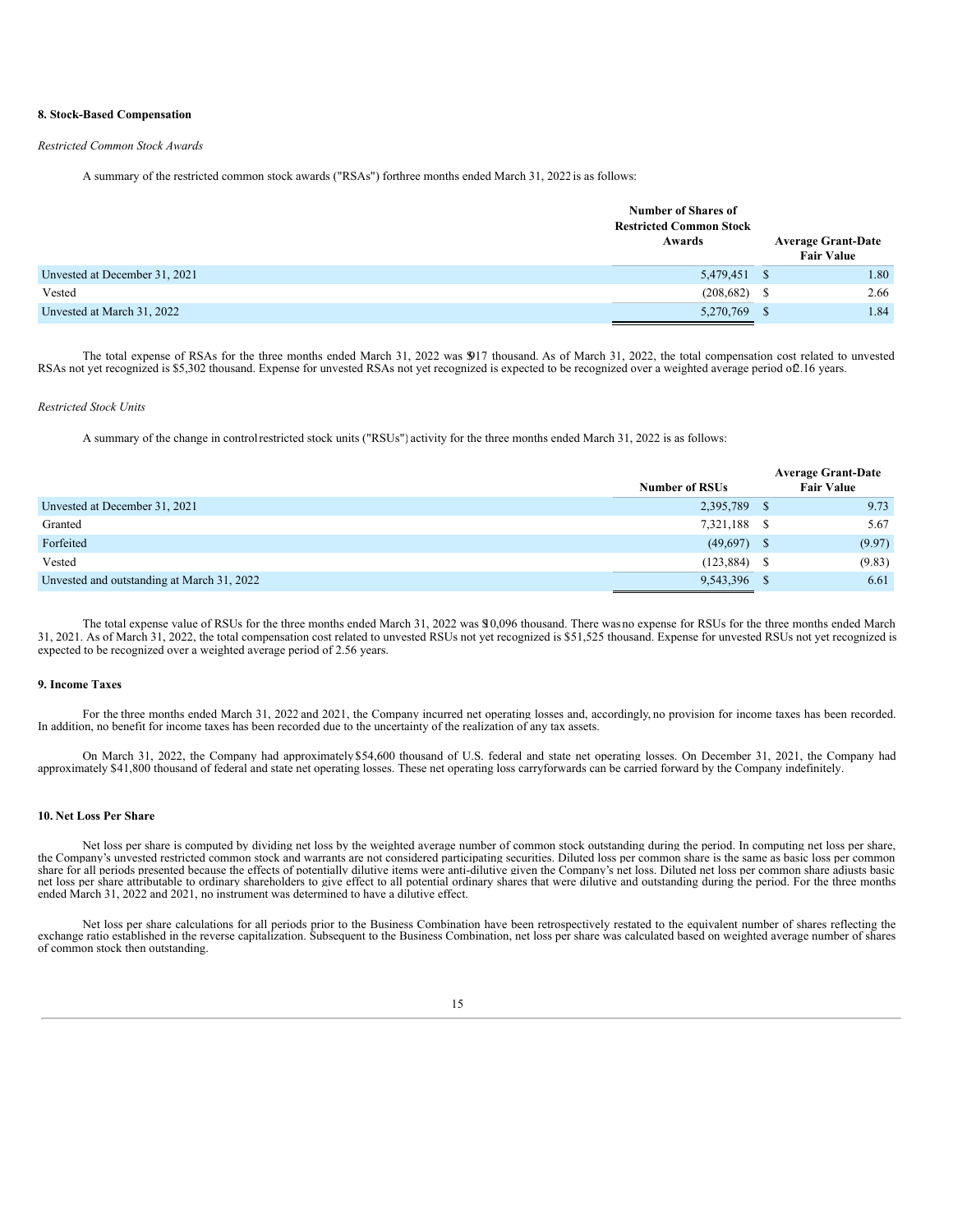#### **8. Stock-Based Compensation**

#### *Restricted Common Stock Awards*

A summary of the restricted common stock awards ("RSAs") forthree months ended March 31, 2022 is as follows:

|                               | <b>Number of Shares of</b><br><b>Restricted Common Stock</b><br>Awards |  | <b>Average Grant-Date</b><br><b>Fair Value</b> |
|-------------------------------|------------------------------------------------------------------------|--|------------------------------------------------|
| Unvested at December 31, 2021 | 5,479,451 \$                                                           |  | 1.80                                           |
| Vested                        | $(208,682)$ \$                                                         |  | 2.66                                           |
| Unvested at March 31, 2022    | 5,270,769 \$                                                           |  | 1.84                                           |

The total expense of RSAs for the three months ended March 31, 2022 was \$917 thousand. As of March 31, 2022, the total compensation cost related to unvested RSAs not yet recognized is \$5,302 thousand. Expense for unvested RSAs not yet recognized is expected to be recognized over a weighted average period of2.16 years.

#### *Restricted Stock Units*

A summary of the change in controlrestricted stock units ("RSUs") activity for the three months ended March 31, 2022 is as follows:

|                                            |                       | <b>Average Grant-Date</b> |
|--------------------------------------------|-----------------------|---------------------------|
|                                            | <b>Number of RSUs</b> | <b>Fair Value</b>         |
| Unvested at December 31, 2021              | 2,395,789 \$          | 9.73                      |
| Granted                                    | 7,321,188 \$          | 5.67                      |
| Forfeited                                  | $(49,697)$ \$         | (9.97)                    |
| Vested                                     | $(123, 884)$ \$       | (9.83)                    |
| Unvested and outstanding at March 31, 2022 | 9,543,396 \$          | 6.61                      |

The total expense value of RSUs for the three months ended March 31, 2022 was \$10,096 thousand. There was no expense for RSUs for the three months ended March 31, 2021. As of March 31, 2022, the total compensation cost related to unvested RSUs not yet recognized is \$51,525 thousand. Expense for unvested RSUs not yet recognized is expected to be recognized over a weighted average period of 2.56 years.

#### **9. Income Taxes**

For the three months ended March 31, 2022 and 2021, the Company incurred net operating losses and, accordingly, no provision for income taxes has been recorded. In addition, no benefit for income taxes has been recorded due to the uncertainty of the realization of any tax assets.

On March 31, 2022, the Company had approximately \$54,600 thousand of U.S. federal and state net operating losses. On December 31, 2021, the Company had approximately \$41,800 thousand of federal and state net operating losses. These net operating loss carryforwards can be carried forward by the Company indefinitely.

#### **10. Net Loss Per Share**

Net loss per share is computed by dividing net loss by the weighted average number of common stock outstanding during the period. In computing net loss per share, the Company's unvested restricted common stock and warrants are not considered participating securities. Diluted loss per common share is the same as basic loss per common share for all periods presented because the effects of potentially dilutive items were anti-dilutive given the Company's net loss. Diluted net loss per common share adjusts basic net loss per share attributable to ordinary shareholders to give effect to all potential ordinary shares that were dilutive and outstanding during the period. For the three months ended March 31, 2022 and 2021, no instrument was determined to have a dilutive effect.

Net loss per share calculations for all periods prior to the Business Combination have been retrospectively restated to the equivalent number of shares reflecting the exchange ratio established in the reverse capitalizatio of common stock then outstanding.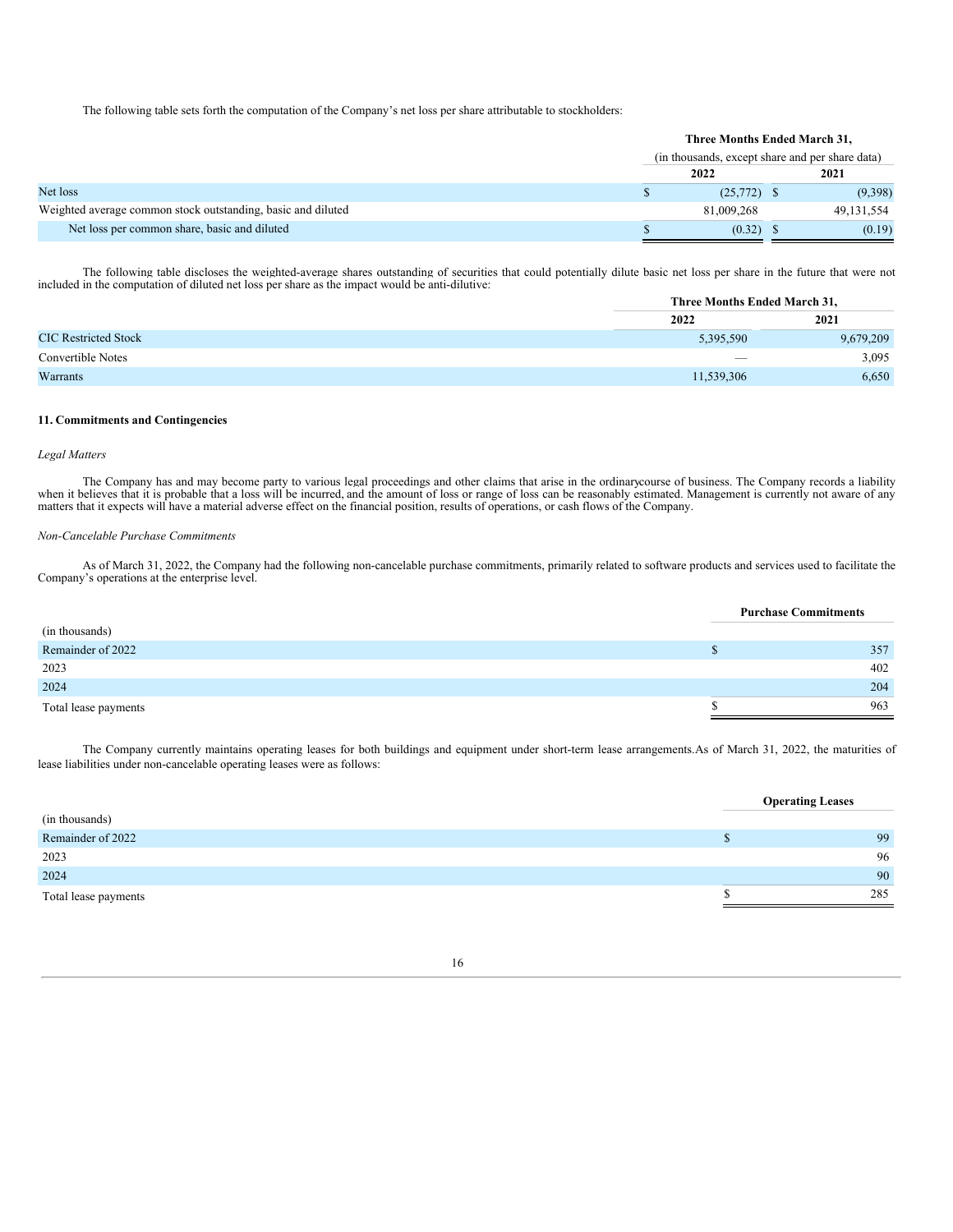The following table sets forth the computation of the Company's net loss per share attributable to stockholders:

|                                                              | Three Months Ended March 31,                    |               |  |            |
|--------------------------------------------------------------|-------------------------------------------------|---------------|--|------------|
|                                                              | (in thousands, except share and per share data) |               |  |            |
|                                                              |                                                 | 2022          |  | 2021       |
| Net loss                                                     |                                                 | $(25,772)$ \$ |  | (9,398)    |
| Weighted average common stock outstanding, basic and diluted |                                                 | 81,009,268    |  | 49.131.554 |
| Net loss per common share, basic and diluted                 |                                                 | (0.32)        |  | (0.19)     |

The following table discloses the weighted-average shares outstanding of securities that could potentially dilute basic net loss per share in the future that were not included in the computation of diluted net loss per sha

|                             |                                 | Three Months Ended March 31, |  |  |
|-----------------------------|---------------------------------|------------------------------|--|--|
|                             | 2022                            | 2021                         |  |  |
| <b>CIC</b> Restricted Stock | 5,395,590                       | 9,679,209                    |  |  |
| Convertible Notes           | $\hspace{0.1mm}-\hspace{0.1mm}$ | 3,095                        |  |  |
| Warrants                    | 11,539,306                      | 6,650                        |  |  |

#### **11. Commitments and Contingencies**

#### *Legal Matters*

The Company has and may become party to various legal proceedings and other claims that arise in the ordinarycourse of business. The Company records a liability when it believes that it is probable that a loss will be incu

#### *Non-Cancelable Purchase Commitments*

As of March 31, 2022, the Company had the following non-cancelable purchase commitments, primarily related to software products and services used to facilitate the Company's operations at the enterprise level.

|                      | <b>Purchase Commitments</b> |     |  |
|----------------------|-----------------------------|-----|--|
| (in thousands)       |                             |     |  |
| Remainder of 2022    |                             | 357 |  |
| 2023                 |                             | 402 |  |
| 2024                 |                             | 204 |  |
| Total lease payments |                             | 963 |  |

The Company currently maintains operating leases for both buildings and equipment under short-term lease arrangements.As of March 31, 2022, the maturities of lease liabilities under non-cancelable operating leases were as follows:

|                      | <b>Operating Leases</b> |     |
|----------------------|-------------------------|-----|
| (in thousands)       |                         |     |
| Remainder of 2022    |                         | 99  |
| 2023                 |                         | 96  |
| 2024                 |                         | 90  |
| Total lease payments |                         | 285 |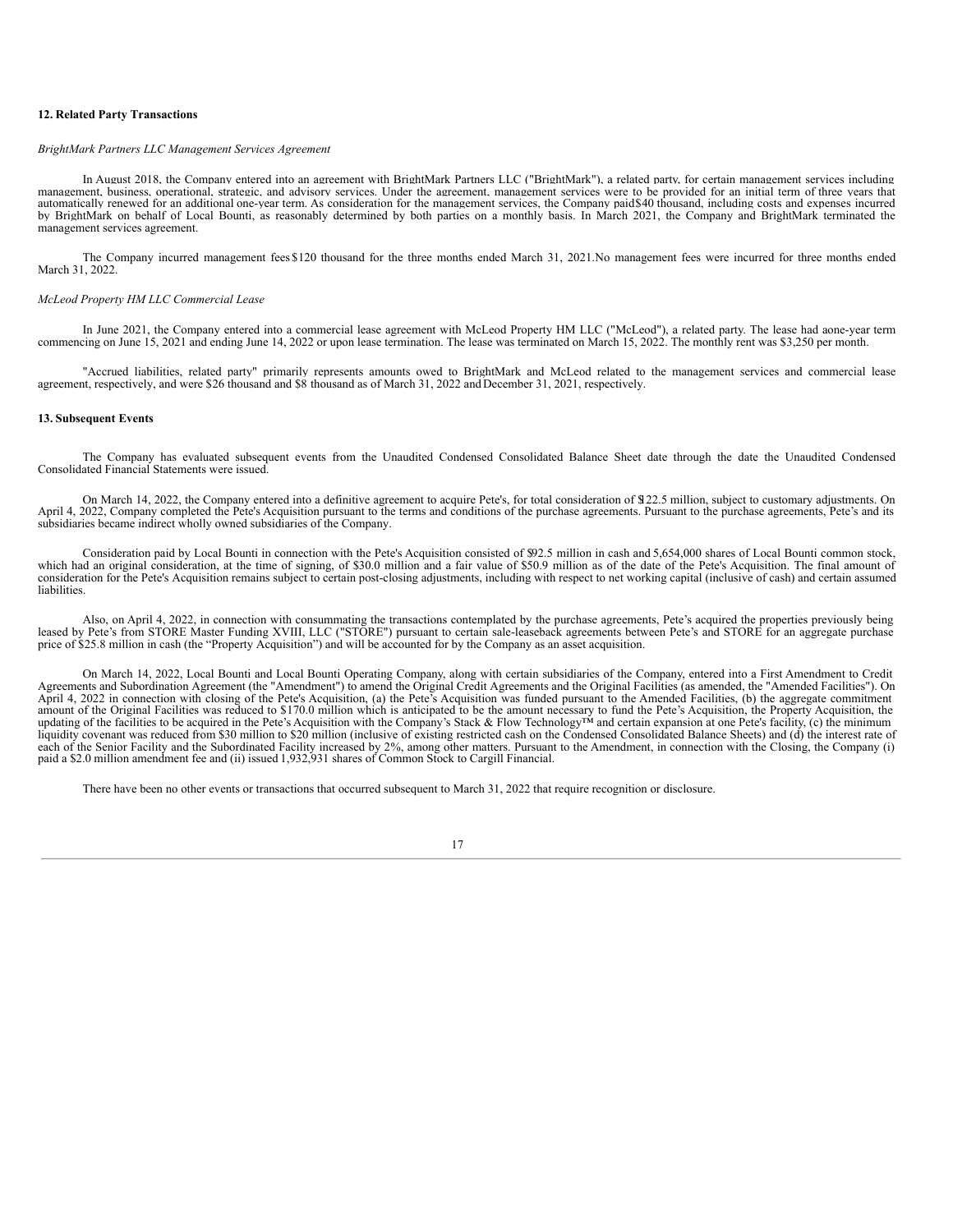#### **12. Related Party Transactions**

#### *BrightMark Partners LLC Management Services Agreement*

In August 2018, the Company entered into an agreement with BrightMark Partners LLC ("BrightMark"), a related party, for certain management services including management, business, operational, strategic, and advisory services. Under the agreement, management services were to be provided for an initial term of three years that automatically renewed for an additional one-year term. As consideration for the management services, the Company paid\$40 thousand, including costs and expenses incurred by BrightMark on behalf of Local Bounti, as reasonably determined by both parties on a monthly basis. In March 2021, the Company and BrightMark terminated the management services agreement.

The Company incurred management fees \$120 thousand for the three months ended March 31, 2021.No management fees were incurred for three months ended March 31, 2022.

#### *McLeod Property HM LLC Commercial Lease*

In June 2021, the Company entered into a commercial lease agreement with McLeod Property HM LLC ("McLeod"), a related party. The lease had aone-year term<br>commencing on June 15, 2021 and ending June 14, 2022 or upon lease t

"Accrued liabilities, related party" primarily represents amounts owed to BrightMark and McLeod related to the management services and commercial lease agreement, respectively, and were \$26 thousand and \$8 thousand as of M

#### **13. Subsequent Events**

The Company has evaluated subsequent events from the Unaudited Condensed Consolidated Balance Sheet date through the date the Unaudited Condensed Consolidated Financial Statements were issued.

On March 14, 2022, the Company entered into a definitive agreement to acquire Pete's, for total consideration of \$122.5 million, subject to customary adjustments. On April 4, 2022, Company completed the Pete's Acquisition pursuant to the terms and conditions of the purchase agreements. Pursuant to the purchase agreements, Pete's and its subsidiaries became indirect wholly owned subsidiaries of the Company.

Consideration paid by Local Bounti in connection with the Pete's Acquisition consisted of \$92.5 million in cash and 5,654,000 shares of Local Bounti common stock, which had an original consideration, at the time of signing, of \$30.0 million and a fair value of \$50.9 million as of the date of the Pete's Acquisition. The final amount of consideration for the Pete's Acquisition remains subject to certain post-closing adjustments, including with respect to net working capital (inclusive of cash) and certain assumed liabilities.

Also, on April 4, 2022, in connection with consummating the transactions contemplated by the purchase agreements, Pete's acquired the properties previously being leased by Pete's from STORE Master Funding XVIII, LLC ("STORE") pursuant to certain sale-leaseback agreements between Pete's and STORE for an aggregate purchase price of \$25.8 million in cash (the "Property Acquisition") and will be accounted for by the Company as an asset acquisition.

On March 14, 2022, Local Bounti and Local Bounti Operating Company, along with certain subsidiaries of the Company, entered into a First Amendment to Credit Agreements and Subordination Agreement (the "Amendment") to amend the Original Credit Agreements and the Original Facilities (as amended, the "Amended Facilities"). On April 4, 2022 in connection with closing of the Pete's Acquisition, (a) the Pete's Acquisition was funded pursuant to the Amended Facilities, (b) the aggregate commitment amount of the Original Facilities was reduced to  $$170.0$  million which is anticipated to be the amount necessary to fund the Pete's Acquisition, the Property Acquisition, the  $\alpha$ updating of the facilities to be acquired in the Pete's Acquisition with the Company's Stack & Flow Technology<sup>TM</sup> and certain expansion at one Pete's facility, (c) the minimum liquidity covenant was reduced from \$30 milli each of the Senior Facility and the Subordinated Facility increased by 2%, among other matters. Pursuant to the Amendment, in connection with the Closing, the Company (i) paid a \$2.0 million amendment fee and (ii) issued 1

<span id="page-16-0"></span>There have been no other events or transactions that occurred subsequent to March 31, 2022 that require recognition or disclosure.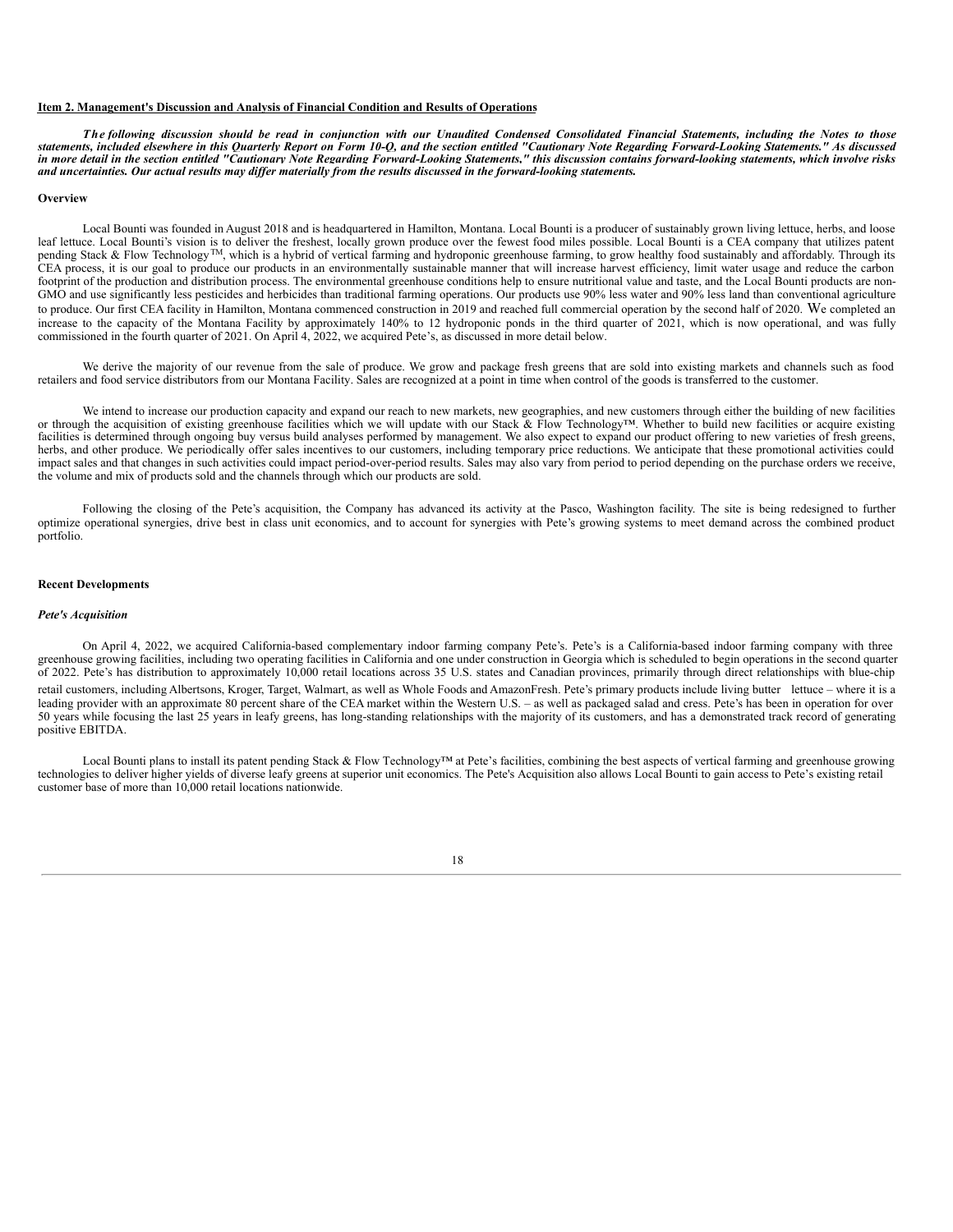#### **Item 2. Management's Discussion and Analysis of Financial Condition and Results of Operations**

The following discussion should be read in conjunction with our Unaudited Condensed Consolidated Financial Statements, including the Notes to those<br>statements, included elsewhere in this Quarterly Report on Form 10-O, and in more detail in the section entitled "Cautionary Note Regarding Forward-Looking Statements," this discussion contains forward-looking statements, which involve risks and uncertainties. Our actual results may differ materially from the results discussed in the forward-looking statements.

#### **Overview**

Local Bounti was founded in August 2018 and is headquartered in Hamilton, Montana. Local Bounti is a producer of sustainably grown living lettuce, herbs, and loose leaf lettuce. Local Bounti's vision is to deliver the freshest, locally grown produce over the fewest food miles possible. Local Bounti is a CEA company that utilizes patent pending Stack & Flow Technology<sup>TM</sup>, which is a hybrid of vertical farming and hydroponic greenhouse farming, to grow healthy food sustainably and affordably. Through its CEA process, it is our goal to produce our products in an environmentally sustainable manner that will increase harvest efficiency, limit water usage and reduce the carbon footprint of the production and distribution process. The environmental greenhouse conditions help to ensure nutritional value and taste, and the Local Bounti products are non-GMO and use significantly less pesticides and herbicides than traditional farming operations. Our products use 90% less water and 90% less land than conventional agriculture to produce. Our first CEA facility in Hamilton, Montana commenced construction in 2019 and reached full commercial operation by the second half of 2020. We completed an increase to the capacity of the Montana Facility by approximately 140% to 12 hydroponic ponds in the third quarter of 2021, which is now operational, and was fully commissioned in the fourth quarter of 2021. On April 4, 2022, we acquired Pete's, as discussed in more detail below.

We derive the majority of our revenue from the sale of produce. We grow and package fresh greens that are sold into existing markets and channels such as food retailers and food service distributors from our Montana Facility. Sales are recognized at a point in time when control of the goods is transferred to the customer.

We intend to increase our production capacity and expand our reach to new markets, new geographies, and new customers through either the building of new facilities or through the acquisition of existing greenhouse facilities which we will update with our Stack & Flow Technology™. Whether to build new facilities or acquire existing facilities is determined through ongoing buy versus build analyses performed by management. We also expect to expand our product offering to new varieties of fresh greens, herbs, and other produce. We periodically offer sales incentives to our customers, including temporary price reductions. We anticipate that these promotional activities could impact sales and that changes in such activities could impact period-over-period results. Sales may also vary from period to period depending on the purchase orders we receive, the volume and mix of products sold and the channels through which our products are sold.

Following the closing of the Pete's acquisition, the Company has advanced its activity at the Pasco, Washington facility. The site is being redesigned to further optimize operational synergies, drive best in class unit economics, and to account for synergies with Pete's growing systems to meet demand across the combined product portfolio.

#### **Recent Developments**

#### *Pete's Acquisition*

On April 4, 2022, we acquired California-based complementary indoor farming company Pete's. Pete's is a California-based indoor farming company with three greenhouse growing facilities, including two operating facilities in California and one under construction in Georgia which is scheduled to begin operations in the second quarter of 2022. Pete's has distribution to approximately 10,000 retail locations across 35 U.S. states and Canadian provinces, primarily through direct relationships with blue-chip retail customers, including Albertsons, Kroger, Target, Walmart, as well as Whole Foods and AmazonFresh. Pete's primary products include living butter lettuce – where it is a leading provider with an approximate 80 percent share of the CEA market within the Western U.S. – as well as packaged salad and cress. Pete's has been in operation for over 50 years while focusing the last 25 years in leafy greens, has long-standing relationships with the majority of its customers, and has a demonstrated track record of generating positive EBITDA.

Local Bounti plans to install its patent pending Stack & Flow Technology™ at Pete's facilities, combining the best aspects of vertical farming and greenhouse growing technologies to deliver higher yields of diverse leafy greens at superior unit economics. The Pete's Acquisition also allows Local Bounti to gain access to Pete's existing retail customer base of more than 10,000 retail locations nationwide.

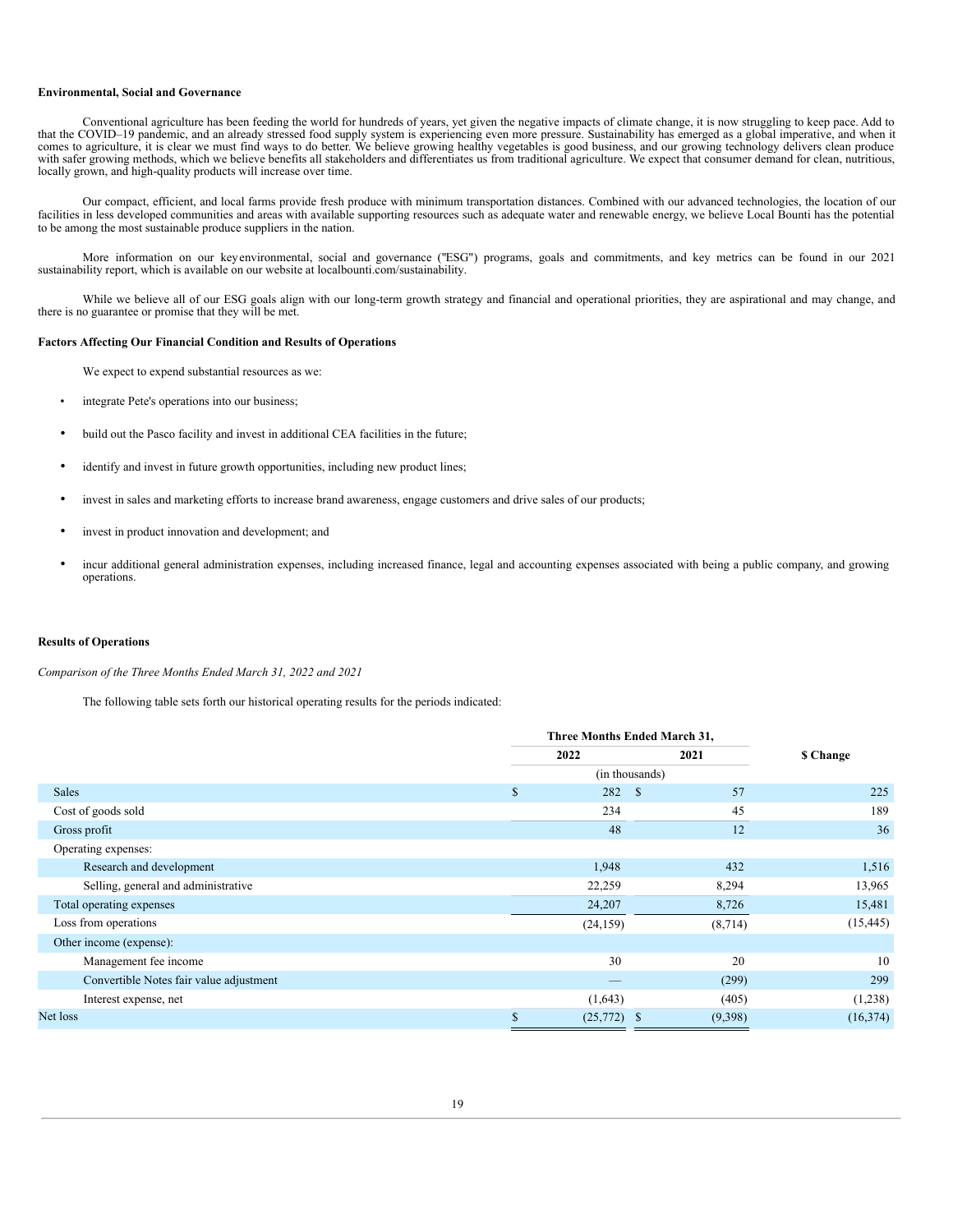#### **Environmental, Social and Governance**

Conventional agriculture has been feeding the world for hundreds of years, yet given the negative impacts of climate change, it is now struggling to keep pace. Add to that the COVID-19 pandemic, and an already stressed food supply system is experiencing even more pressure. Sustainability has emerged as a global imperative, and when it comes to agriculture, it is clear we must find ways with safer growing methods, which we believe benefits all stakeholders and differentiates us from traditional agriculture. We expect that consumer demand for clean, nutritious, locally grown, and high-quality products will increase over time.

Our compact, efficient, and local farms provide fresh produce with minimum transportation distances. Combined with our advanced technologies, the location of our facilities in less developed communities and areas with available supporting resources such as adequate water and renewable energy, we believe Local Bounti has the potential to be among the most sustainable produce suppliers in the nation.

More information on our keyenvironmental, social and governance ("ESG") programs, goals and commitments, and key metrics can be found in our 2021 sustainability report, which is available on our website at localbounti.com/sustainability.

While we believe all of our ESG goals align with our long-term growth strategy and financial and operational priorities, they are aspirational and may change, and there is no guarantee or promise that they will be met.

#### **Factors Affecting Our Financial Condition and Results of Operations**

We expect to expend substantial resources as we:

- integrate Pete's operations into our business;
- build out the Pasco facility and invest in additional CEA facilities in the future;
- identify and invest in future growth opportunities, including new product lines;
- invest in sales and marketing efforts to increase brand awareness, engage customers and drive sales of our products;
- invest in product innovation and development; and
- incur additional general administration expenses, including increased finance, legal and accounting expenses associated with being a public company, and growing operations.

#### **Results of Operations**

*Comparison of the Three Months Ended March 31, 2022 and 2021*

The following table sets forth our historical operating results for the periods indicated:

|                                         | Three Months Ended March 31, |               |                    |           |
|-----------------------------------------|------------------------------|---------------|--------------------|-----------|
|                                         |                              | 2021<br>2022  |                    | \$ Change |
|                                         |                              |               | (in thousands)     |           |
| <b>Sales</b>                            | \$                           | 282           | 57<br><sup>S</sup> | 225       |
| Cost of goods sold                      |                              | 234           | 45                 | 189       |
| Gross profit                            |                              | 48            | 12                 | 36        |
| Operating expenses:                     |                              |               |                    |           |
| Research and development                |                              | 1,948         | 432                | 1,516     |
| Selling, general and administrative     |                              | 22,259        | 8,294              | 13,965    |
| Total operating expenses                |                              | 24,207        | 8,726              | 15,481    |
| Loss from operations                    |                              | (24, 159)     | (8, 714)           | (15, 445) |
| Other income (expense):                 |                              |               |                    |           |
| Management fee income                   |                              | 30            | 20                 | 10        |
| Convertible Notes fair value adjustment |                              |               | (299)              | 299       |
| Interest expense, net                   |                              | (1,643)       | (405)              | (1,238)   |
| Net loss                                |                              | $(25,772)$ \$ | (9,398)            | (16, 374) |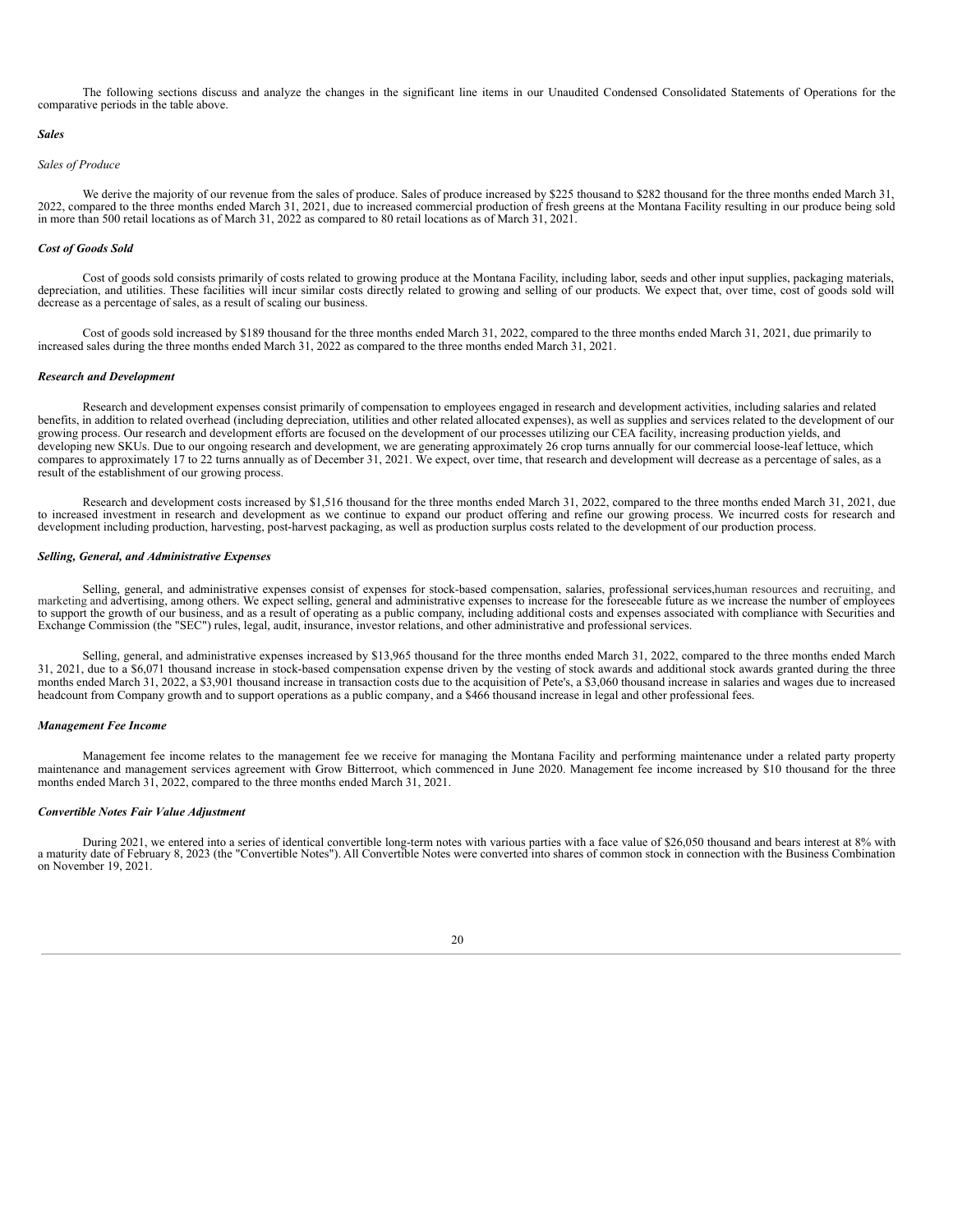The following sections discuss and analyze the changes in the significant line items in our Unaudited Condensed Consolidated Statements of Operations for the comparative periods in the table above.

#### *Sales*

#### *Sales of Produce*

We derive the majority of our revenue from the sales of produce. Sales of produce increased by \$225 thousand to \$282 thousand for the three months ended March 31, 2022, compared to the three months ended March 31, 2021, due to increased commercial production of fresh greens at the Montana Facility resulting in our produce being sold in more than 500 retail locations as of March 31, 2022 as compared to 80 retail locations as of March 31, 2021.

#### *Cost of Goods Sold*

Cost of goods sold consists primarily of costs related to growing produce at the Montana Facility, including labor, seeds and other input supplies, packaging materials, depreciation, and utilities. These facilities will incur similar costs directly related to growing and selling of our products. We expect that, over time, cost of goods sold will decrease as a percentage of sales, as a result of scaling our business.

Cost of goods sold increased by \$189 thousand for the three months ended March 31, 2022, compared to the three months ended March 31, 2021, due primarily to increased sales during the three months ended March 31, 2022 as compared to the three months ended March 31, 2021.

#### *Research and Development*

Research and development expenses consist primarily of compensation to employees engaged in research and development activities, including salaries and related benefits, in addition to related overhead (including depreciation, utilities and other related allocated expenses), as well as supplies and services related to the development of our growing process. Our research and development efforts are focused on the development of our processes utilizing our CEA facility, increasing production yields, and developing new SKUs. Due to our ongoing research and development, we are generating approximately 26 crop turns annually for our commercial loose-leaf lettuce, which compares to approximately 17 to 22 turns annually as of December 31, 2021. We expect, over time, that research and development will decrease as a percentage of sales, as a result of the establishment of our growing process.

Research and development costs increased by \$1,516 thousand for the three months ended March 31, 2022, compared to the three months ended March 31, 2021, due to increased investment in research and development as we continue to expand our product offering and refine our growing process. We incurred costs for research and development including production, harvesting, post-harvest packaging, as well as production surplus costs related to the development of our production process.

#### *Selling, General, and Administrative Expenses*

Selling, general, and administrative expenses consist of expenses for stock-based compensation, salaries, professional services,human resources and recruiting, and marketing and advertising, among others. We expect selling, general and administrative expenses to increase for the foreseeable future as we increase the number of employees<br>to support the growth of our business, and as a Exchange Commission (the "SEC") rules, legal, audit, insurance, investor relations, and other administrative and professional services.

Selling, general, and administrative expenses increased by \$13,965 thousand for the three months ended March 31, 2022, compared to the three months ended March 31, 2021, due to a \$6,071 thousand increase in stock-based compensation expense driven by the vesting of stock awards and additional stock awards granted during the three months ended March 31, 2022, a \$3,901 thousand increase in transaction costs due to the acquisition of Pete's, a \$3,060 thousand increase in salaries and wages due to increased headcount from Company growth and to support operations as a public company, and a \$466 thousand increase in legal and other professional fees.

#### *Management Fee Income*

Management fee income relates to the management fee we receive for managing the Montana Facility and performing maintenance under a related party property maintenance and management services agreement with Grow Bitterroot, which commenced in June 2020. Management fee income increased by \$10 thousand for the three months ended March 31, 2022, compared to the three months ended March 31, 2021.

#### *Convertible Notes Fair Value Adjustment*

During 2021, we entered into a series of identical convertible long-term notes with various parties with a face value of \$26,050 thousand and bears interest at 8% with a maturity date of February 8, 2023 (the "Convertible Notes"). All Convertible Notes were converted into shares of common stock in connection with the Business Combination on November 19, 2021.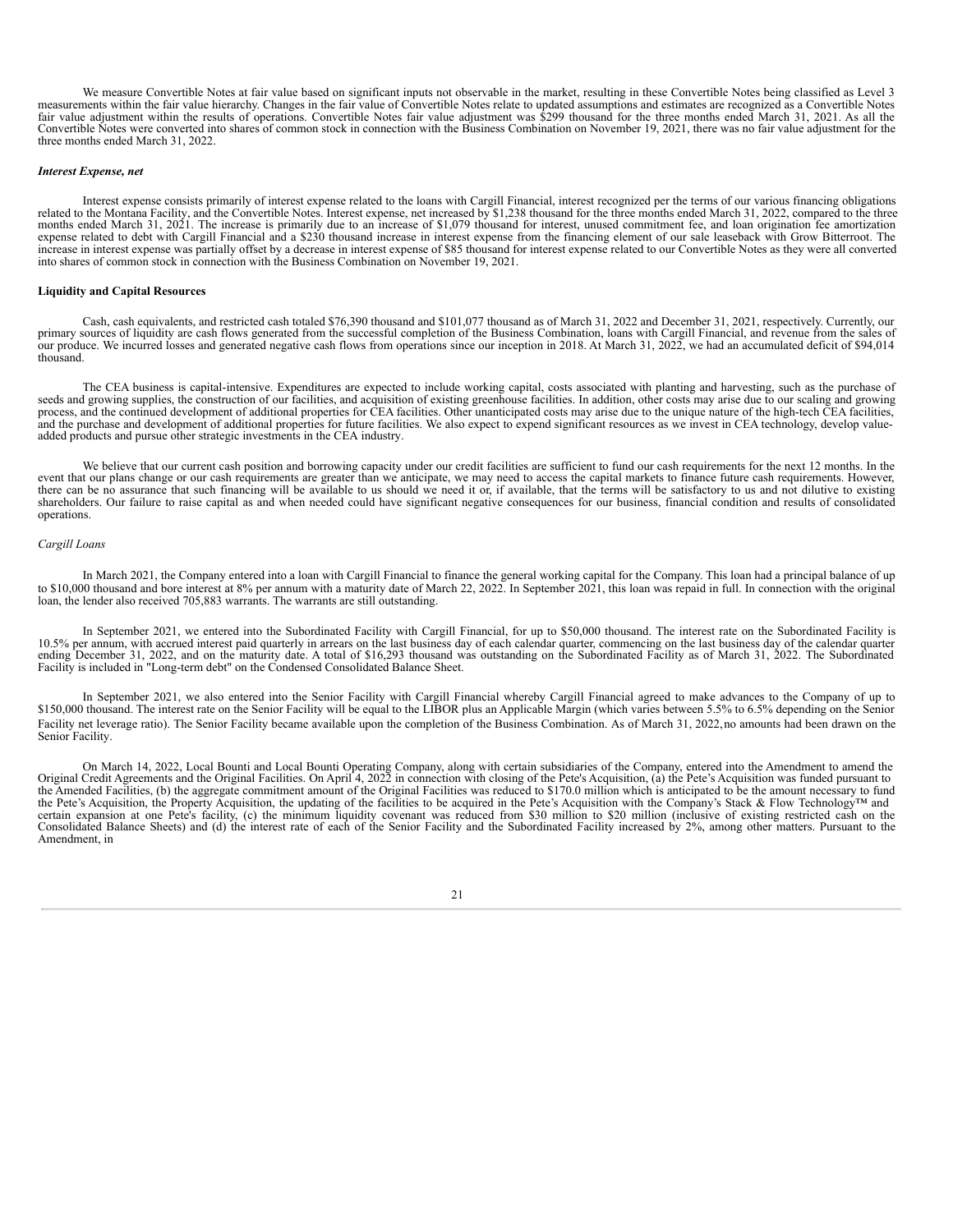We measure Convertible Notes at fair value based on significant inputs not observable in the market, resulting in these Convertible Notes being classified as Level 3 measurements within the fair value hierarchy. Changes in the fair value of Convertible Notes relate to updated assumptions and estimates are recognized as a Convertible Notes fair value adjustment within the results of operations. Convertible Notes fair value adjustment was \$299 thousand for the three months ended March 31, 2021. As all the Convertible Notes were converted into shares of common stock in connection with the Business Combination on November 19, 2021, there was no fair value adjustment for the three months ended March 31, 2022.

#### *Interest Expense, net*

Interest expense consists primarily of interest expense related to the loans with Cargill Financial, interest recognized per the terms of our various financing obligations related to the Montana Facility, and the Convertible Notes. Interest expense, net increased by \$1,238 thousand for the three months ended March 31, 2022, compared to the three months ended March 31, 2021. The increase is primarily due to an increase of \$1,079 thousand for interest, unused commitment fee, and loan origination fee amortization expense related to debt with Cargill Financial and a \$230 thousand increase in interest expense from the financing element of our sale leaseback with Grow Bitterroot. The increase in interest expense was partially offset by a decrease in interest expense of \$85 thousand for interest expense related to our Convertible Notes as they were all converted into shares of common stock in connection with the Business Combination on November 19, 2021.

#### **Liquidity and Capital Resources**

Cash, cash equivalents, and restricted cash totaled \$76,390 thousand and \$101,077 thousand as of March 31, 2022 and December 31, 2021, respectively. Currently, our primary sources of liquidity are cash flows generated from the successful completion of the Business Combination, loans with Cargill Financial, and revenue from the sales of our produce. We incurred losses and generated negative cash flows from operations since our inception in 2018. At March 31, 2022, we had an accumulated deficit of \$94,014 thousand.

The CEA business is capital-intensive. Expenditures are expected to include working capital, costs associated with planting and harvesting, such as the purchase of seeds and growing supplies, the construction of our facili process, and the continued development of additional properties for CEA facilities. Other unanticipated costs may arise due to the unique nature of the high-tech CEA facilities, and the purchase and development of additional properties for future facilities. We also expect to expend significant resources as we invest in CEA technology, develop valueadded products and pursue other strategic investments in the CEA industry.

We believe that our current cash position and borrowing capacity under our credit facilities are sufficient to fund our cash requirements for the next 12 months. In the event that our plans change or our cash requirements are greater than we anticipate, we may need to access the capital markets to finance future cash requirements. However, there can be no assurance that such financing will be available to us should we need it or, if available, that the terms will be satisfactory to us and not dilutive to existing<br>shareholders. Our failure to raise capital as operations.

## *Cargill Loans*

In March 2021, the Company entered into a loan with Cargill Financial to finance the general working capital for the Company. This loan had a principal balance of up to \$10,000 thousand and bore interest at 8% per annum with a maturity date of March 22, 2022. In September 2021, this loan was repaid in full. In connection with the original loan, the lender also received 705,883 warrants. The warrants are still outstanding.

In September 2021, we entered into the Subordinated Facility with Cargill Financial, for up to \$50,000 thousand. The interest rate on the Subordinated Facility is 10.5% per annum, with accrued interest paid quarterly in arrears on the last business day of each calendar quarter, commencing on the last business day of the calendar quarter ending December 31, 2022, and on the maturity date. A total of \$16,293 thousand was outstanding on the Subordinated Facility as of March 31, 2022. The Subordinated Facility is included in "Long-term debt" on the Condensed Consolidated Balance Sheet.

In September 2021, we also entered into the Senior Facility with Cargill Financial whereby Cargill Financial agreed to make advances to the Company of up to \$150,000 thousand. The interest rate on the Senior Facility will be equal to the LIBOR plus an Applicable Margin (which varies between 5.5% to 6.5% depending on the Senior Facility net leverage ratio). The Senior Facility became available upon the completion of the Business Combination. As of March 31, 2022, no amounts had been drawn on the Senior Facility.

On March 14, 2022, Local Bounti and Local Bounti Operating Company, along with certain subsidiaries of the Company, entered into the Amendment to amend the Original Credit Agreements and the Original Facilities. On April 4 the Amended Facilities, (b) the aggregate commitment amount of the Original Facilities was reduced to \$170.0 million which is anticipated to be the amount necessary to fund the Pete's Acquisition, the Property Acquisition, the updating of the facilities to be acquired in the Pete's Acquisition with the Company's Stack & Flow Technology™ and certain expansion at one Pete's facility, (c) the minimum liquidity covenant was reduced from \$30 million to \$20 million (inclusive of existing restricted cash on the Consolidated Balance Sheets) and (d) the interest rate Amendment, in

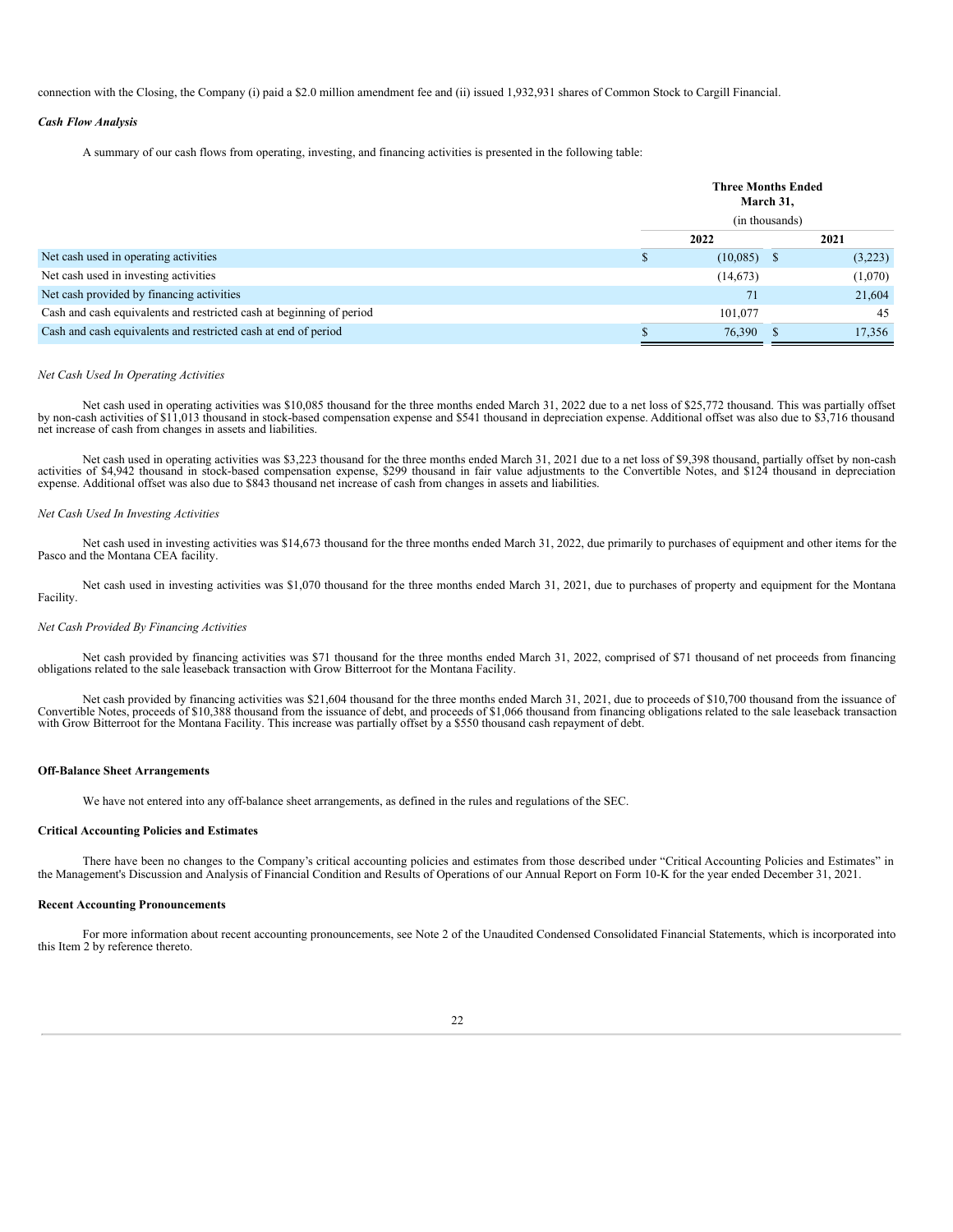connection with the Closing, the Company (i) paid a \$2.0 million amendment fee and (ii) issued 1,932,931 shares of Common Stock to Cargill Financial.

#### *Cash Flow Analysis*

A summary of our cash flows from operating, investing, and financing activities is presented in the following table:

|                                                                      | <b>Three Months Ended</b><br>March 31,<br>(in thousands) |               |  |         |
|----------------------------------------------------------------------|----------------------------------------------------------|---------------|--|---------|
|                                                                      |                                                          |               |  |         |
|                                                                      |                                                          | 2022          |  | 2021    |
| Net cash used in operating activities                                |                                                          | $(10,085)$ \$ |  | (3,223) |
| Net cash used in investing activities                                |                                                          | (14, 673)     |  | (1,070) |
| Net cash provided by financing activities                            |                                                          | 71            |  | 21,604  |
| Cash and cash equivalents and restricted cash at beginning of period |                                                          | 101.077       |  | 45      |
| Cash and cash equivalents and restricted cash at end of period       |                                                          | 76,390        |  | 17.356  |

#### *Net Cash Used In Operating Activities*

Net cash used in operating activities was \$10,085 thousand for the three months ended March 31, 2022 due to a net loss of \$25,772 thousand. This was partially offset<br>by non-cash activities of \$11,013 thousand in stock-base net increase of cash from changes in assets and liabilities.

Net cash used in operating activities was \$3,223 thousand for the three months ended March 31, 2021 due to a net loss of \$9,398 thousand, partially offset by non-cash activities of \$4,942 thousand in stock-based compensation expense, \$299 thousand in fair value adjustments to the Convertible Notes, and \$124 thousand in depreciation expense. Additional offset was also due to \$843 thousand net increase of cash from changes in assets and liabilities.

#### *Net Cash Used In Investing Activities*

Net cash used in investing activities was \$14,673 thousand for the three months ended March 31, 2022, due primarily to purchases of equipment and other items for the Pasco and the Montana CEA facility.

Net cash used in investing activities was \$1,070 thousand for the three months ended March 31, 2021, due to purchases of property and equipment for the Montana Facility.

#### *Net Cash Provided By Financing Activities*

Net cash provided by financing activities was \$71 thousand for the three months ended March 31, 2022, comprised of \$71 thousand of net proceeds from financing obligations related to the sale leaseback transaction with Grow Bitterroot for the Montana Facility.

Net cash provided by financing activities was \$21,604 thousand for the three months ended March 31, 2021, due to proceeds of \$10,700 thousand from the issuance of Convertible Notes, proceeds of \$10,388 thousand from the is with Grow Bitterroot for the Montana Facility. This increase was partially offset by a \$550 thousand cash repayment of debt.

#### **Off-Balance Sheet Arrangements**

We have not entered into any off-balance sheet arrangements, as defined in the rules and regulations of the SEC.

#### **Critical Accounting Policies and Estimates**

There have been no changes to the Company's critical accounting policies and estimates from those described under "Critical Accounting Policies and Estimates" in the Management's Discussion and Analysis of Financial Condition and Results of Operations of our Annual Report on Form 10-K for the year ended December 31, 2021.

### **Recent Accounting Pronouncements**

<span id="page-21-0"></span>For more information about recent accounting pronouncements, see Note 2 of the Unaudited Condensed Consolidated Financial Statements, which is incorporated into this Item 2 by reference thereto.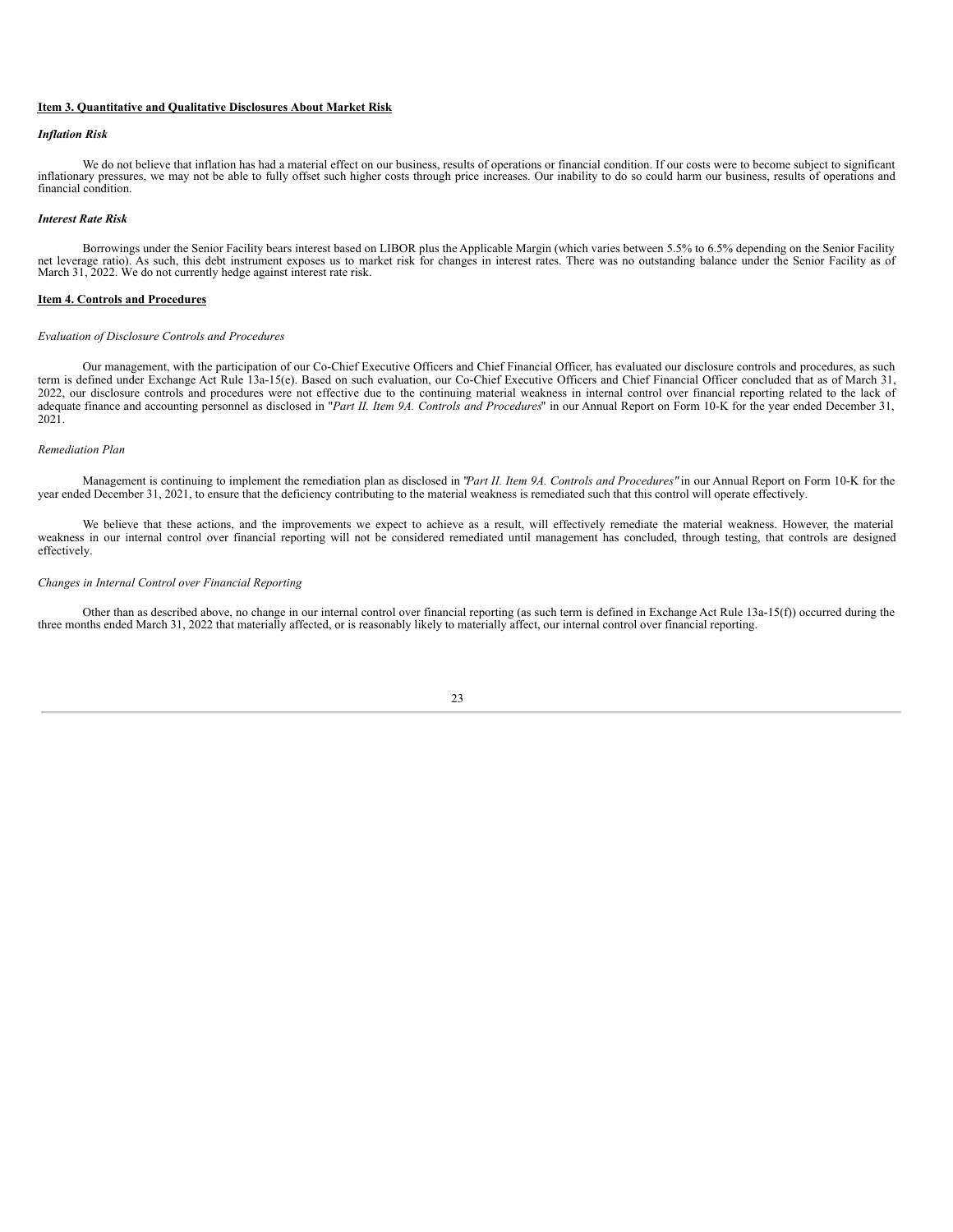#### **Item 3. Quantitative and Qualitative Disclosures About Market Risk**

#### *Inflation Risk*

We do not believe that inflation has had a material effect on our business, results of operations or financial condition. If our costs were to become subject to significant inflationary pressures, we may not be able to fully offset such higher costs through price increases. Our inability to do so could harm our business, results of operations and financial condition.

#### *Interest Rate Risk*

Borrowings under the Senior Facility bears interest based on LIBOR plus the Applicable Margin (which varies between 5.5% to 6.5% depending on the Senior Facility net leverage ratio). As such, this debt instrument exposes us to market risk for changes in interest rates. There was no outstanding balance under the Senior Facility as of<br>March 31, 2022. We do not currently hedge against

#### <span id="page-22-0"></span>**Item 4. Controls and Procedures**

#### *Evaluation of Disclosure Controls and Procedures*

Our management, with the participation of our Co-Chief Executive Officers and Chief Financial Officer, has evaluated our disclosure controls and procedures, as such term is defined under Exchange Act Rule 13a-15(e). Based on such evaluation, our Co-Chief Executive Officers and Chief Financial Officer concluded that as of March 31, 2022, our disclosure controls and procedures were not effective due to the continuing material weakness in internal control over financial reporting related to the lack of adequate finance and accounting personnel as disclosed in "*Part II. Item 9A. Controls and Procedures*" in our Annual Report on Form 10-K for the year ended December 31, 2021.

#### *Remediation Plan*

Management is continuing to implement the remediation plan as disclosed in "*Part II. Item 9A. Controls and Procedures"* in our Annual Report on Form 10-K for the year ended December 31, 2021, to ensure that the deficiency contributing to the material weakness is remediated such that this control will operate effectively.

We believe that these actions, and the improvements we expect to achieve as a result, will effectively remediate the material weakness. However, the material weakness in our internal control over financial reporting will not be considered remediated until management has concluded, through testing, that controls are designed effectively.

#### *Changes in Internal Control over Financial Reporting*

<span id="page-22-1"></span>Other than as described above, no change in our internal control over financial reporting (as such term is defined in Exchange Act Rule 13a-15(f)) occurred during the three months ended March 31, 2022 that materially affected, or is reasonably likely to materially affect, our internal control over financial reporting.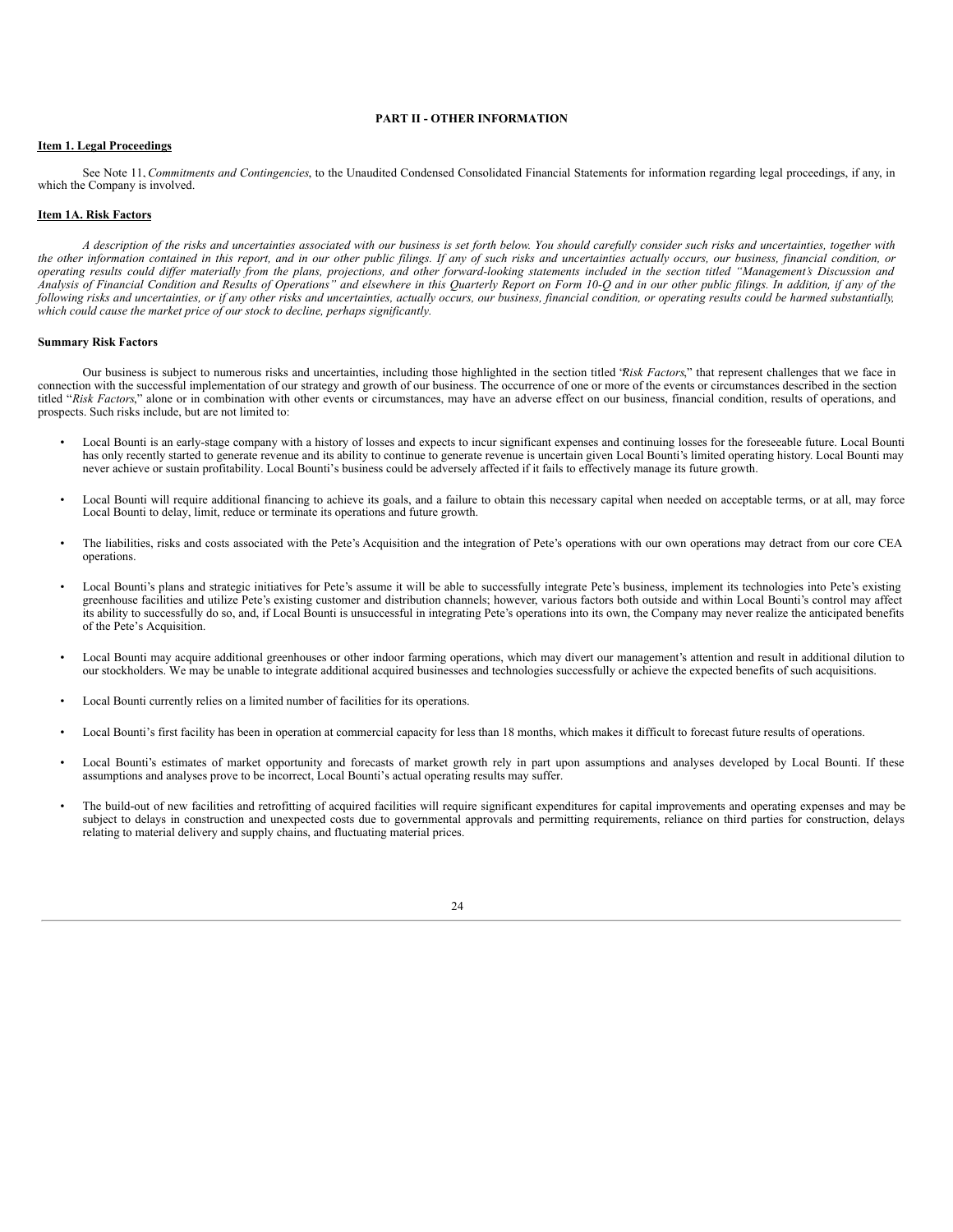#### **PART II - OTHER INFORMATION**

#### <span id="page-23-0"></span>**Item 1. Legal Proceedings**

See Note 11, *Commitments and Contingencies*, to the Unaudited Condensed Consolidated Financial Statements for information regarding legal proceedings, if any, in which the Company is involved.

#### <span id="page-23-1"></span>**Item 1A. Risk Factors**

A description of the risks and uncertainties associated with our business is set forth below. You should carefully consider such risks and uncertainties, together with the other information contained in this report, and in our other public filings. If any of such risks and uncertainties actually occurs, our business, financial condition, or operating results could differ materially from the plans, projections, and other forward-looking statements included in the section titled "Management's Discussion and Analysis of Financial Condition and Results of Operations" and elsewhere in this Quarterly Report on Form 10-Q and in our other public filings. In addition, if any of the following risks and uncertainties, or if any other risks and uncertainties, actually occurs, our business, financial condition, or operating results could be harmed substantially, *which could cause the market price of our stock to decline, perhaps significantly.*

#### **Summary Risk Factors**

Our business is subject to numerous risks and uncertainties, including those highlighted in the section titled "*Risk Factors*," that represent challenges that we face in connection with the successful implementation of our strategy and growth of our business. The occurrence of one or more of the events or circumstances described in the section titled "*Risk Factors*," alone or in combination with other events or circumstances, may have an adverse effect on our business, financial condition, results of operations, and prospects. Such risks include, but are not limited to:

- Local Bounti is an early-stage company with a history of losses and expects to incur significant expenses and continuing losses for the foreseeable future. Local Bounti has only recently started to generate revenue and its ability to continue to generate revenue is uncertain given Local Bounti's limited operating history. Local Bounti may never achieve or sustain profitability. Local Bounti's business could be adversely affected if it fails to effectively manage its future growth.
- Local Bounti will require additional financing to achieve its goals, and a failure to obtain this necessary capital when needed on acceptable terms, or at all, may force Local Bounti to delay, limit, reduce or terminate its operations and future growth.
- The liabilities, risks and costs associated with the Pete's Acquisition and the integration of Pete's operations with our own operations may detract from our core CEA operations.
- Local Bounti's plans and strategic initiatives for Pete's assume it will be able to successfully integrate Pete's business, implement its technologies into Pete's existing greenhouse facilities and utilize Pete's existing customer and distribution channels; however, various factors both outside and within Local Bounti's control may affect its ability to successfully do so, and, if Local Bounti is unsuccessful in integrating Pete's operations into its own, the Company may never realize the anticipated benefits of the Pete's Acquisition.
- Local Bounti may acquire additional greenhouses or other indoor farming operations, which may divert our management's attention and result in additional dilution to our stockholders. We may be unable to integrate additional acquired businesses and technologies successfully or achieve the expected benefits of such acquisitions.
- Local Bounti currently relies on a limited number of facilities for its operations.
- Local Bounti's first facility has been in operation at commercial capacity for less than 18 months, which makes it difficult to forecast future results of operations.
- Local Bounti's estimates of market opportunity and forecasts of market growth rely in part upon assumptions and analyses developed by Local Bounti. If these assumptions and analyses prove to be incorrect, Local Bounti's actual operating results may suffer.
- The build-out of new facilities and retrofitting of acquired facilities will require significant expenditures for capital improvements and operating expenses and may be subject to delays in construction and unexpected costs due to governmental approvals and permitting requirements, reliance on third parties for construction, delays relating to material delivery and supply chains, and fluctuating material prices.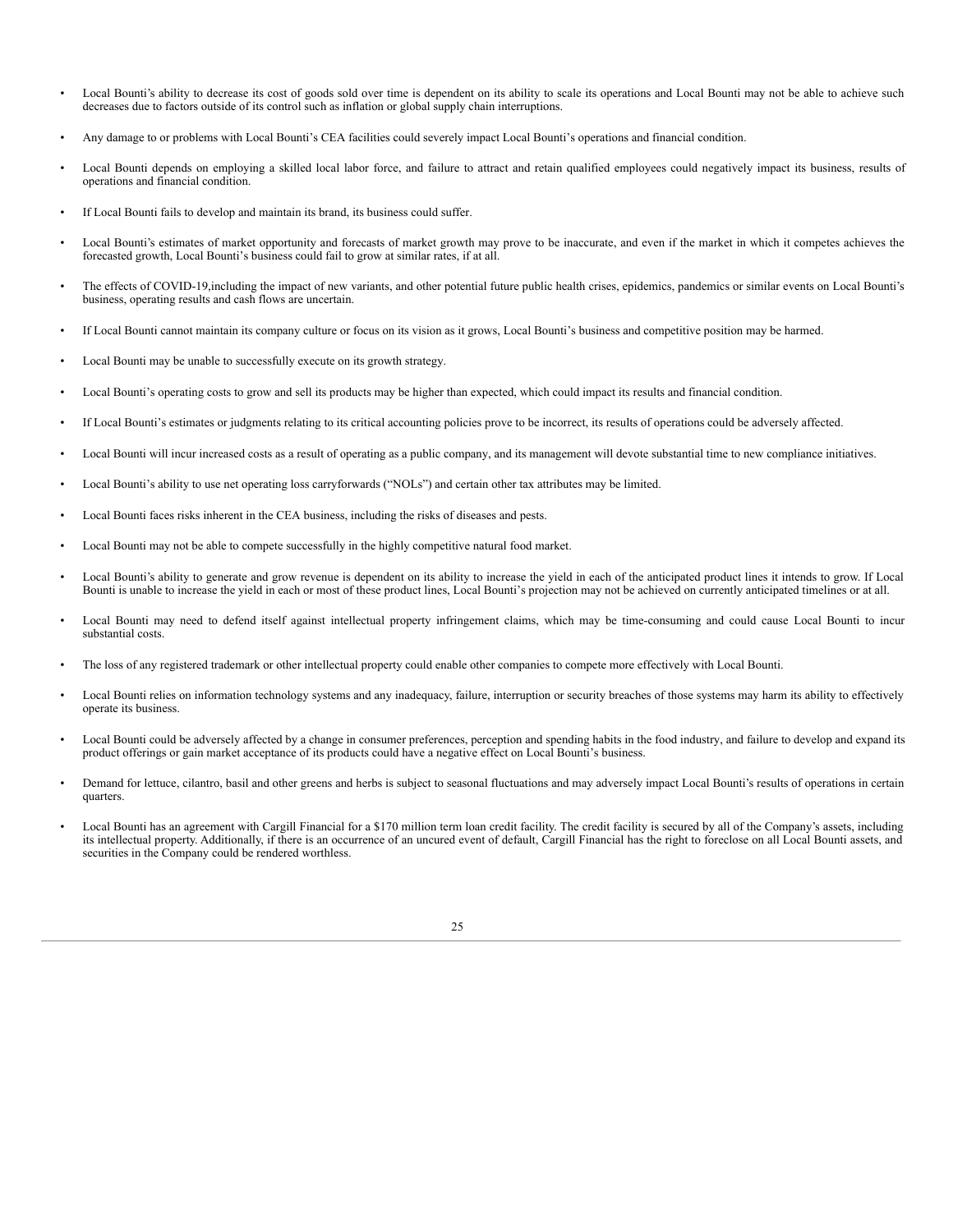- Local Bounti's ability to decrease its cost of goods sold over time is dependent on its ability to scale its operations and Local Bounti may not be able to achieve such decreases due to factors outside of its control such as inflation or global supply chain interruptions.
- Any damage to or problems with Local Bounti's CEA facilities could severely impact Local Bounti's operations and financial condition.
- Local Bounti depends on employing a skilled local labor force, and failure to attract and retain qualified employees could negatively impact its business, results of operations and financial condition.
- If Local Bounti fails to develop and maintain its brand, its business could suffer.
- Local Bounti's estimates of market opportunity and forecasts of market growth may prove to be inaccurate, and even if the market in which it competes achieves the forecasted growth, Local Bounti's business could fail to grow at similar rates, if at all.
- The effects of COVID-19,including the impact of new variants, and other potential future public health crises, epidemics, pandemics or similar events on Local Bounti's business, operating results and cash flows are uncertain.
- If Local Bounti cannot maintain its company culture or focus on its vision as it grows, Local Bounti's business and competitive position may be harmed.
- Local Bounti may be unable to successfully execute on its growth strategy.
- Local Bounti's operating costs to grow and sell its products may be higher than expected, which could impact its results and financial condition.
- If Local Bounti's estimates or judgments relating to its critical accounting policies prove to be incorrect, its results of operations could be adversely affected.
- Local Bounti will incur increased costs as a result of operating as a public company, and its management will devote substantial time to new compliance initiatives.
- Local Bounti's ability to use net operating loss carryforwards ("NOLs") and certain other tax attributes may be limited.
- Local Bounti faces risks inherent in the CEA business, including the risks of diseases and pests.
- Local Bounti may not be able to compete successfully in the highly competitive natural food market.
- Local Bounti's ability to generate and grow revenue is dependent on its ability to increase the yield in each of the anticipated product lines it intends to grow. If Local Bounti is unable to increase the yield in each or most of these product lines, Local Bounti's projection may not be achieved on currently anticipated timelines or at all.
- Local Bounti may need to defend itself against intellectual property infringement claims, which may be time-consuming and could cause Local Bounti to incur substantial costs.
- The loss of any registered trademark or other intellectual property could enable other companies to compete more effectively with Local Bounti.
- Local Bounti relies on information technology systems and any inadequacy, failure, interruption or security breaches of those systems may harm its ability to effectively operate its business.
- Local Bounti could be adversely affected by a change in consumer preferences, perception and spending habits in the food industry, and failure to develop and expand its product offerings or gain market acceptance of its products could have a negative effect on Local Bounti's business.
- Demand for lettuce, cilantro, basil and other greens and herbs is subject to seasonal fluctuations and may adversely impact Local Bounti's results of operations in certain quarters.
- Local Bounti has an agreement with Cargill Financial for a \$170 million term loan credit facility. The credit facility is secured by all of the Company's assets, including its intellectual property. Additionally, if there is an occurrence of an uncured event of default, Cargill Financial has the right to foreclose on all Local Bounti assets, and securities in the Company could be rendered worthless.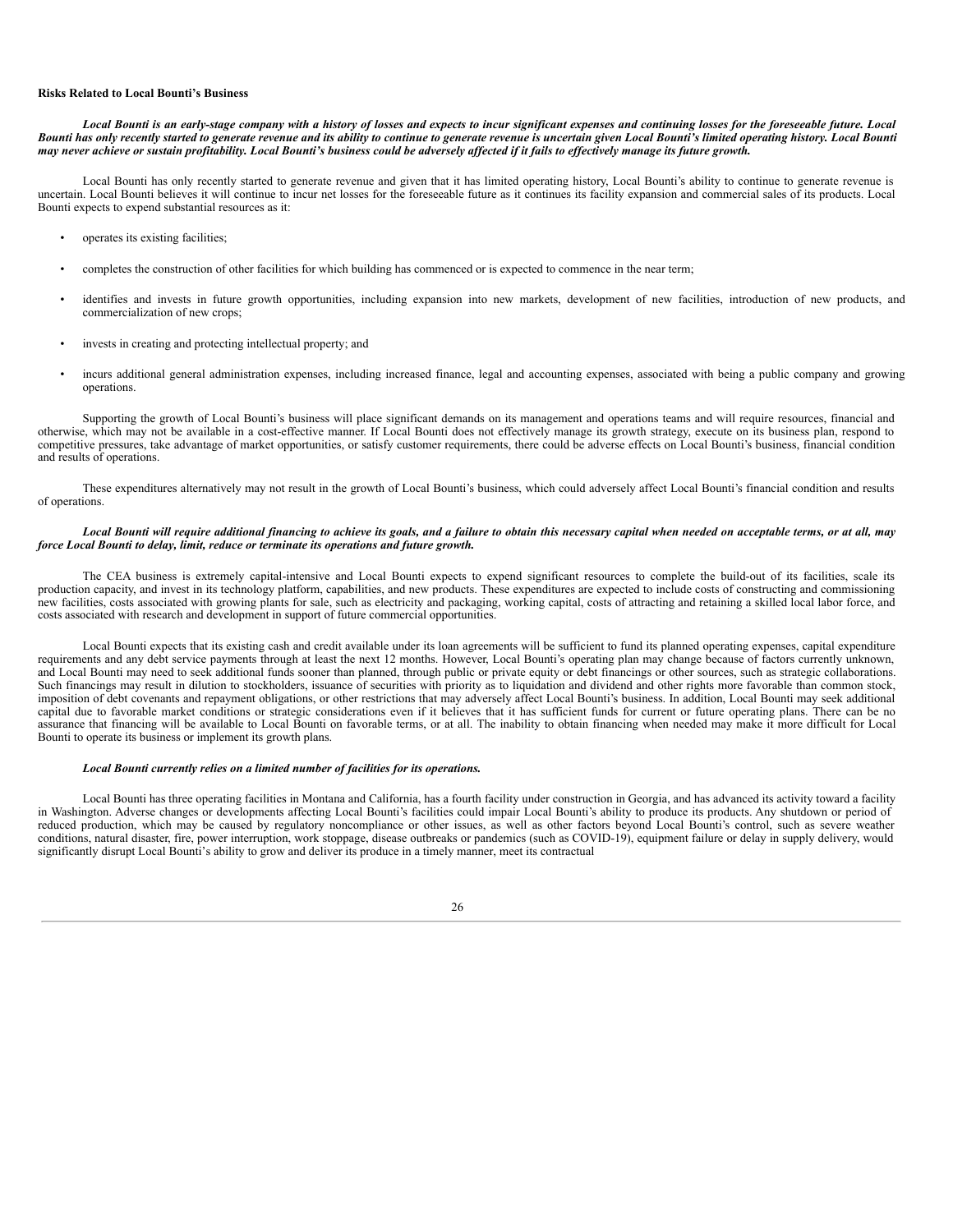#### **Risks Related to Local Bounti's Business**

Local Bounti is an early-stage company with a history of losses and expects to incur significant expenses and continuing losses for the foreseeable future. Local Bounti has only recently started to generate revenue and its ability to continue to generate revenue is uncertain given Local Bounti's limited operating history. Local Bounti may never achieve or sustain profitability. Local Bounti's business could be adversely affected if it fails to effectively manage its future growth.

Local Bounti has only recently started to generate revenue and given that it has limited operating history, Local Bounti's ability to continue to generate revenue is uncertain. Local Bounti believes it will continue to incur net losses for the foreseeable future as it continues its facility expansion and commercial sales of its products. Local Bounti expects to expend substantial resources as it:

- operates its existing facilities;
- completes the construction of other facilities for which building has commenced or is expected to commence in the near term;
- identifies and invests in future growth opportunities, including expansion into new markets, development of new facilities, introduction of new products, and commercialization of new crops;
- invests in creating and protecting intellectual property; and
- incurs additional general administration expenses, including increased finance, legal and accounting expenses, associated with being a public company and growing operations.

Supporting the growth of Local Bounti's business will place significant demands on its management and operations teams and will require resources, financial and otherwise, which may not be available in a cost-effective manner. If Local Bounti does not effectively manage its growth strategy, execute on its business plan, respond to competitive pressures, take advantage of market opportunities, or satisfy customer requirements, there could be adverse effects on Local Bounti's business, financial condition and results of operations.

These expenditures alternatively may not result in the growth of Local Bounti's business, which could adversely affect Local Bounti's financial condition and results of operations.

#### Local Bounti will require additional financing to achieve its goals, and a failure to obtain this necessary capital when needed on acceptable terms, or at all, may *force Local Bounti to delay, limit, reduce or terminate its operations and future growth.*

The CEA business is extremely capital-intensive and Local Bounti expects to expend significant resources to complete the build-out of its facilities, scale its production capacity, and invest in its technology platform, capabilities, and new products. These expenditures are expected to include costs of constructing and commissioning new facilities, costs associated with growing plants for sale, such as electricity and packaging, working capital, costs of attracting and retaining a skilled local labor force, and costs associated with research and development in support of future commercial opportunities.

Local Bounti expects that its existing cash and credit available under its loan agreements will be sufficient to fund its planned operating expenses, capital expenditure requirements and any debt service payments through at least the next 12 months. However, Local Bounti's operating plan may change because of factors currently unknown, and Local Bounti may need to seek additional funds sooner than planned, through public or private equity or debt financings or other sources, such as strategic collaborations. Such financings may result in dilution to stockholders, issuance of securities with priority as to liquidation and dividend and other rights more favorable than common stock, imposition of debt covenants and repayment obligations, or other restrictions that may adversely affect Local Bounti's business. In addition, Local Bounti may seek additional capital due to favorable market conditions or strategic considerations even if it believes that it has sufficient funds for current or future operating plans. There can be no assurance that financing will be available to Local Bounti on favorable terms, or at all. The inability to obtain financing when needed may make it more difficult for Local Bounti to operate its business or implement its growth plans.

## *Local Bounti currently relies on a limited number of facilities for its operations.*

Local Bounti has three operating facilities in Montana and California, has a fourth facility under construction in Georgia, and has advanced its activity toward a facility in Washington. Adverse changes or developments affecting Local Bounti's facilities could impair Local Bounti's ability to produce its products. Any shutdown or period of reduced production, which may be caused by regulatory noncompliance or other issues, as well as other factors beyond Local Bounti's control, such as severe weather conditions, natural disaster, fire, power interruption, work stoppage, disease outbreaks or pandemics (such as COVID-19), equipment failure or delay in supply delivery, would significantly disrupt Local Bounti's ability to grow and deliver its produce in a timely manner, meet its contractual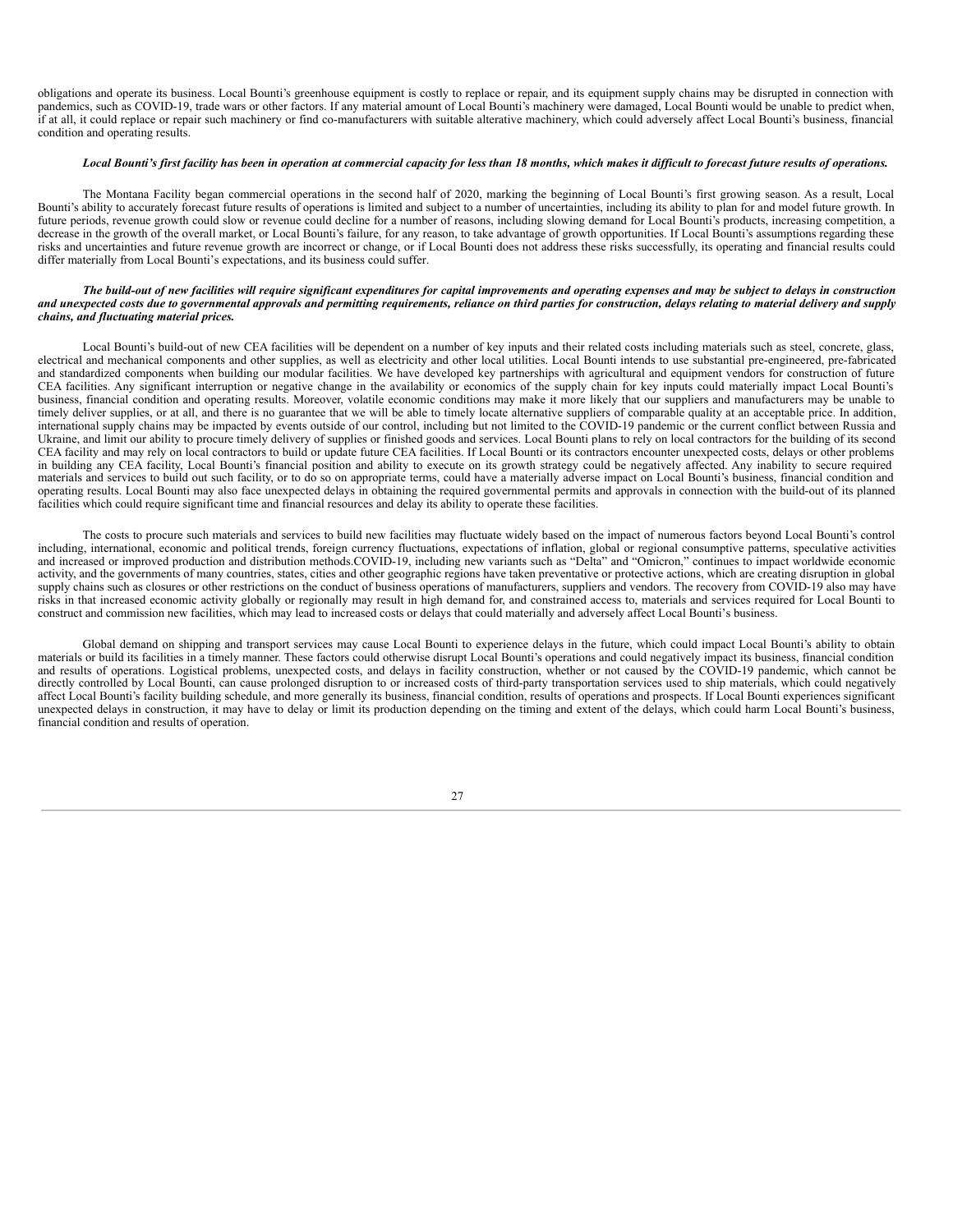obligations and operate its business. Local Bounti's greenhouse equipment is costly to replace or repair, and its equipment supply chains may be disrupted in connection with pandemics, such as COVID-19, trade wars or other factors. If any material amount of Local Bounti's machinery were damaged, Local Bounti would be unable to predict when, if at all, it could replace or repair such machinery or find co-manufacturers with suitable alterative machinery, which could adversely affect Local Bounti's business, financial condition and operating results.

#### Local Bounti's first facility has been in operation at commercial capacity for less than 18 months, which makes it difficult to forecast future results of operations.

The Montana Facility began commercial operations in the second half of 2020, marking the beginning of Local Bounti's first growing season. As a result, Local Bounti's ability to accurately forecast future results of operations is limited and subject to a number of uncertainties, including its ability to plan for and model future growth. In future periods, revenue growth could slow or revenue could decline for a number of reasons, including slowing demand for Local Bounti's products, increasing competition, a decrease in the growth of the overall market, or Local Bounti's failure, for any reason, to take advantage of growth opportunities. If Local Bounti's assumptions regarding these risks and uncertainties and future revenue growth are incorrect or change, or if Local Bounti does not address these risks successfully, its operating and financial results could differ materially from Local Bounti's expectations, and its business could suffer.

#### The build-out of new facilities will require significant expenditures for capital improvements and operating expenses and may be subject to delays in construction and unexpected costs due to governmental approvals and permitting requirements, reliance on third parties for construction, delays relating to material delivery and supply *chains, and fluctuating material prices.*

Local Bounti's build-out of new CEA facilities will be dependent on a number of key inputs and their related costs including materials such as steel, concrete, glass, electrical and mechanical components and other supplies, as well as electricity and other local utilities. Local Bounti intends to use substantial pre-engineered, pre-fabricated and standardized components when building our modular facilities. We have developed key partnerships with agricultural and equipment vendors for construction of future CEA facilities. Any significant interruption or negative change in the availability or economics of the supply chain for key inputs could materially impact Local Bounti's business, financial condition and operating results. Moreover, volatile economic conditions may make it more likely that our suppliers and manufacturers may be unable to timely deliver supplies, or at all, and there is no guarantee that we will be able to timely locate alternative suppliers of comparable quality at an acceptable price. In addition, international supply chains may be impacted by events outside of our control, including but not limited to the COVID-19 pandemic or the current conflict between Russia and Ukraine, and limit our ability to procure timely delivery of supplies or finished goods and services. Local Bounti plans to rely on local contractors for the building of its second CEA facility and may rely on local contractors to build or update future CEA facilities. If Local Bounti or its contractors encounter unexpected costs, delays or other problems in building any CEA facility, Local Bounti's financial position and ability to execute on its growth strategy could be negatively affected. Any inability to secure required materials and services to build out such facility, or to do so on appropriate terms, could have a materially adverse impact on Local Bounti's business, financial condition and operating results. Local Bounti may also face unexpected delays in obtaining the required governmental permits and approvals in connection with the build-out of its planned facilities which could require significant time and financial resources and delay its ability to operate these facilities.

The costs to procure such materials and services to build new facilities may fluctuate widely based on the impact of numerous factors beyond Local Bounti's control including, international, economic and political trends, foreign currency fluctuations, expectations of inflation, global or regional consumptive patterns, speculative activities and increased or improved production and distribution methods.COVID-19, including new variants such as "Delta" and "Omicron," continues to impact worldwide economic activity, and the governments of many countries, states, cities and other geographic regions have taken preventative or protective actions, which are creating disruption in global supply chains such as closures or other restrictions on the conduct of business operations of manufacturers, suppliers and vendors. The recovery from COVID-19 also may have risks in that increased economic activity globally or regionally may result in high demand for, and constrained access to, materials and services required for Local Bounti to construct and commission new facilities, which may lead to increased costs or delays that could materially and adversely affect Local Bounti's business.

Global demand on shipping and transport services may cause Local Bounti to experience delays in the future, which could impact Local Bounti's ability to obtain materials or build its facilities in a timely manner. These factors could otherwise disrupt Local Bounti's operations and could negatively impact its business, financial condition and results of operations. Logistical problems, unexpected costs, and delays in facility construction, whether or not caused by the COVID-19 pandemic, which cannot be directly controlled by Local Bounti, can cause prolonged disruption to or increased costs of third-party transportation services used to ship materials, which could negatively affect Local Bounti's facility building schedule, and more generally its business, financial condition, results of operations and prospects. If Local Bounti experiences significant unexpected delays in construction, it may have to delay or limit its production depending on the timing and extent of the delays, which could harm Local Bounti's business, financial condition and results of operation.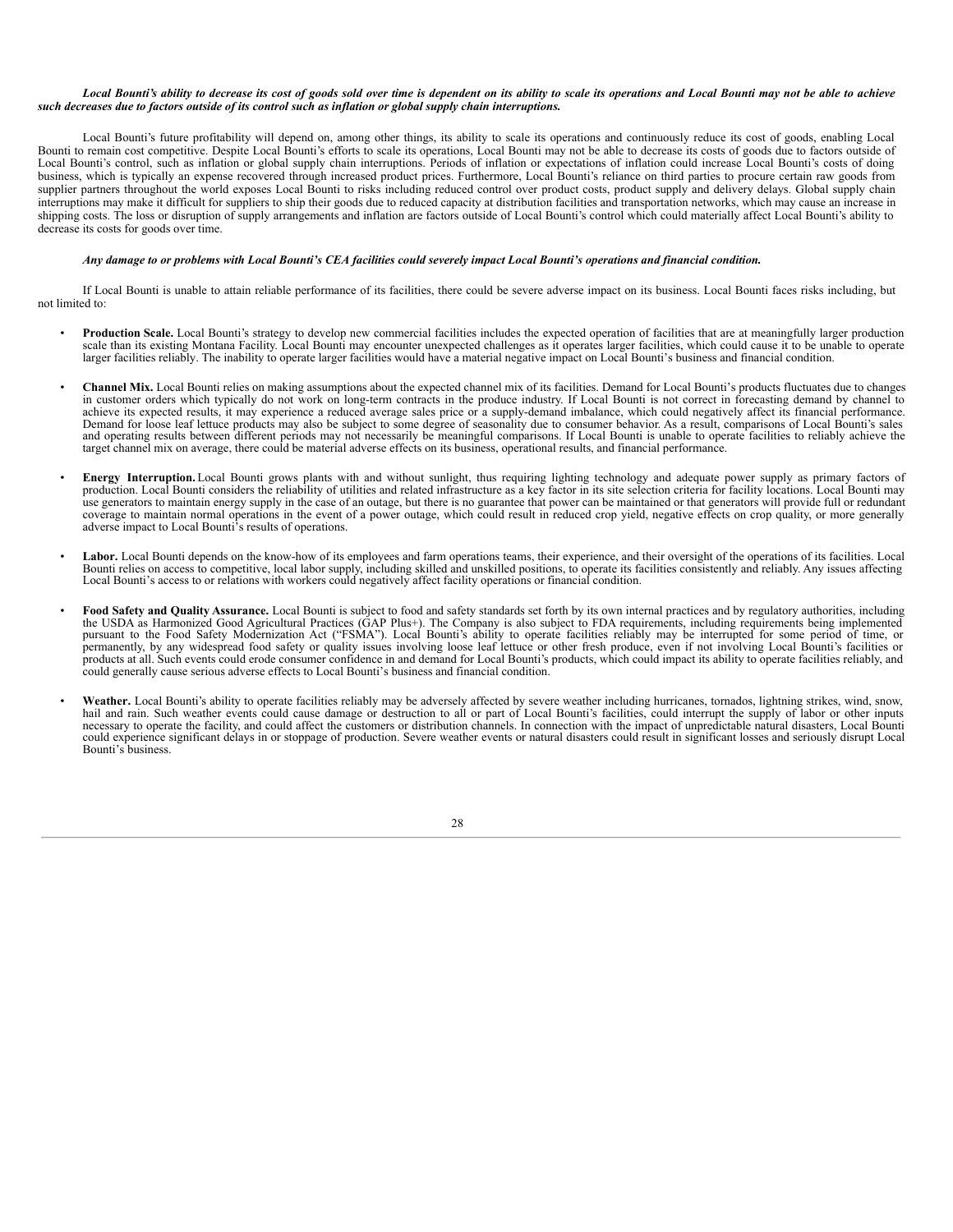#### Local Bounti's ability to decrease its cost of goods sold over time is dependent on its ability to scale its operations and Local Bounti may not be able to achieve such decreases due to factors outside of its control such as inflation or global supply chain interruptions.

Local Bounti's future profitability will depend on, among other things, its ability to scale its operations and continuously reduce its cost of goods, enabling Local Bounti to remain cost competitive. Despite Local Bounti's efforts to scale its operations, Local Bounti may not be able to decrease its costs of goods due to factors outside of Local Bounti's control, such as inflation or global supply chain interruptions. Periods of inflation or expectations of inflation could increase Local Bounti's costs of doing business, which is typically an expense recovered through increased product prices. Furthermore, Local Bounti's reliance on third parties to procure certain raw goods from supplier partners throughout the world exposes Local Bounti to risks including reduced control over product costs, product supply and delivery delays. Global supply chain interruptions may make it difficult for suppliers to ship their goods due to reduced capacity at distribution facilities and transportation networks, which may cause an increase in shipping costs. The loss or disruption of supply arrangements and inflation are factors outside of Local Bounti's control which could materially affect Local Bounti's ability to decrease its costs for goods over time.

#### Any damage to or problems with Local Bounti's CEA facilities could severely impact Local Bounti's operations and financial condition.

If Local Bounti is unable to attain reliable performance of its facilities, there could be severe adverse impact on its business. Local Bounti faces risks including, but not limited to:

- **Production Scale.** Local Bounti's strategy to develop new commercial facilities includes the expected operation of facilities that are at meaningfully larger production scale than its existing Montana Facility. Local Bounti may encounter unexpected challenges as it operates larger facilities, which could cause it to be unable to operate larger facilities reliably. The inability to operate larger facilities would have a material negative impact on Local Bounti's business and financial condition.
- **Channel Mix.** Local Bounti relies on making assumptions about the expected channel mix of its facilities. Demand for Local Bounti's products fluctuates due to changes in customer orders which typically do not work on long-term contracts in the produce industry. If Local Bounti is not correct in forecasting demand by channel to achieve its expected results, it may experience a reduced average sales price or a supply-demand imbalance, which could negatively affect its financial performance. Demand for loose leaf lettuce products may also be subject to some degree of seasonality due to consumer behavior. As a result, comparisons of Local Bounti's sales and operating results between different periods may not necessarily be meaningful comparisons. If Local Bounti is unable to operate facilities to reliably achieve the target channel mix on average, there could be material adverse effects on its business, operational results, and financial performance.
- **Energy Interruption.** Local Bounti grows plants with and without sunlight, thus requiring lighting technology and adequate power supply as primary factors of production. Local Bounti considers the reliability of utilities and related infrastructure as a key factor in its site selection criteria for facility locations. Local Bounti may use generators to maintain energy supply in the case of an outage, but there is no guarantee that power can be maintained or that generators will provide full or redundant coverage to maintain normal operations in the even adverse impact to Local Bounti's results of operations.
- **Labor.** Local Bounti depends on the know-how of its employees and farm operations teams, their experience, and their oversight of the operations of its facilities. Local Bounti relies on access to competitive, local labor supply, including skilled and unskilled positions, to operate its facilities consistently and reliably. Any issues affecting<br>Local Bounti's access to or relations with wo
- **Food Safety and Quality Assurance.** Local Bounti is subject to food and safety standards set forth by its own internal practices and by regulatory authorities, including the USDA as Harmonized Good Agricultural Practices (GAP Plus+). The Company is also subject to FDA requirements, including requirements being implemented pursuant to the Food Safety Modernization Act ("FSMA"). Local Bounti's ability to operate facilities reliably may be interrupted for some period of time, or permanently, by any widespread food safety or quality issues involving loose leaf lettuce or other fresh produce, even if not involving Local Bounti's facilities or<br>products at all. Such events could erode consumer confide could generally cause serious adverse effects to Local Bounti's business and financial condition.
- **Weather.** Local Bounti's ability to operate facilities reliably may be adversely affected by severe weather including hurricanes, tornados, lightning strikes, wind, snow, hail and rain. Such weather events could cause damage or destruction to all or part of Local Bounti's facilities, could interrupt the supply of labor or other inputs necessary to operate the facility, and could affect the customers or distribution channels. In connection with the impact of unpredictable natural disasters, Local Bounti could experience significant delays in or stoppage of production. Severe weather events or natural disasters could result in significant losses and seriously disrupt Local Bounti's business.

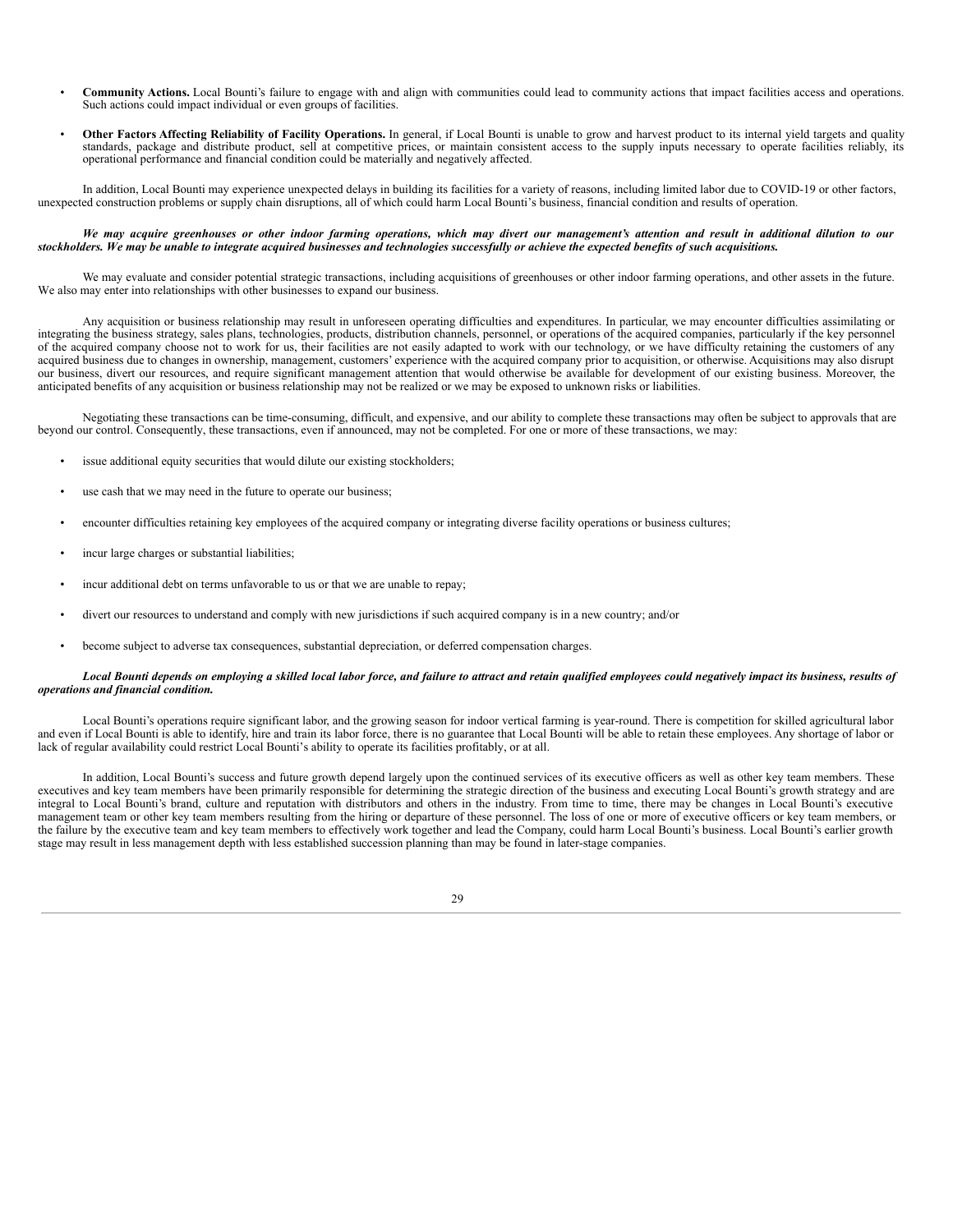- **Community Actions.** Local Bounti's failure to engage with and align with communities could lead to community actions that impact facilities access and operations. Such actions could impact individual or even groups of facilities.
- **Other Factors Affecting Reliability of Facility Operations.** In general, if Local Bounti is unable to grow and harvest product to its internal yield targets and quality standards, package and distribute product, sell at competitive prices, or maintain consistent access to the supply inputs necessary to operate facilities reliably, its operational performance and financial condition could be materially and negatively affected.

In addition, Local Bounti may experience unexpected delays in building its facilities for a variety of reasons, including limited labor due to COVID-19 or other factors, unexpected construction problems or supply chain disruptions, all of which could harm Local Bounti's business, financial condition and results of operation.

#### We may acquire greenhouses or other indoor farming operations, which may divert our management's attention and result in additional dilution to our stockholders. We may be unable to integrate acquired businesses and technologies successfully or achieve the expected benefits of such acquisitions.

We may evaluate and consider potential strategic transactions, including acquisitions of greenhouses or other indoor farming operations, and other assets in the future. We also may enter into relationships with other businesses to expand our business.

Any acquisition or business relationship may result in unforeseen operating difficulties and expenditures. In particular, we may encounter difficulties assimilating or integrating the business strategy, sales plans, technologies, products, distribution channels, personnel, or operations of the acquired companies, particularly if the key personnel of the acquired company choose not to work for us, their facilities are not easily adapted to work with our technology, or we have difficulty retaining the customers of any acquired business due to changes in ownership, management, customers' experience with the acquired company prior to acquisition, or otherwise. Acquisitions may also disrupt our business, divert our resources, and require significant management attention that would otherwise be available for development of our existing business. Moreover, the anticipated benefits of any acquisition or business relationship may not be realized or we may be exposed to unknown risks or liabilities.

Negotiating these transactions can be time-consuming, difficult, and expensive, and our ability to complete these transactions may often be subject to approvals that are beyond our control. Consequently, these transactions, even if announced, may not be completed. For one or more of these transactions, we may:

- issue additional equity securities that would dilute our existing stockholders;
- use cash that we may need in the future to operate our business;
- encounter difficulties retaining key employees of the acquired company or integrating diverse facility operations or business cultures;
- incur large charges or substantial liabilities;
- incur additional debt on terms unfavorable to us or that we are unable to repay;
- divert our resources to understand and comply with new jurisdictions if such acquired company is in a new country; and/or
- become subject to adverse tax consequences, substantial depreciation, or deferred compensation charges.

#### Local Bounti depends on employing a skilled local labor force, and failure to attract and retain qualified employees could negatively impact its business, results of *operations and financial condition.*

Local Bounti's operations require significant labor, and the growing season for indoor vertical farming is year-round. There is competition for skilled agricultural labor and even if Local Bounti is able to identify, hire and train its labor force, there is no guarantee that Local Bounti will be able to retain these employees. Any shortage of labor or lack of regular availability could restrict Local Bounti's ability to operate its facilities profitably, or at all.

In addition, Local Bounti's success and future growth depend largely upon the continued services of its executive officers as well as other key team members. These executives and key team members have been primarily responsible for determining the strategic direction of the business and executing Local Bounti's growth strategy and are integral to Local Bounti's brand, culture and reputation with distributors and others in the industry. From time to time, there may be changes in Local Bounti's executive management team or other key team members resulting from the hiring or departure of these personnel. The loss of one or more of executive officers or key team members, or the failure by the executive team and key team members to effectively work together and lead the Company, could harm Local Bounti's business. Local Bounti's earlier growth stage may result in less management depth with less established succession planning than may be found in later-stage companies.

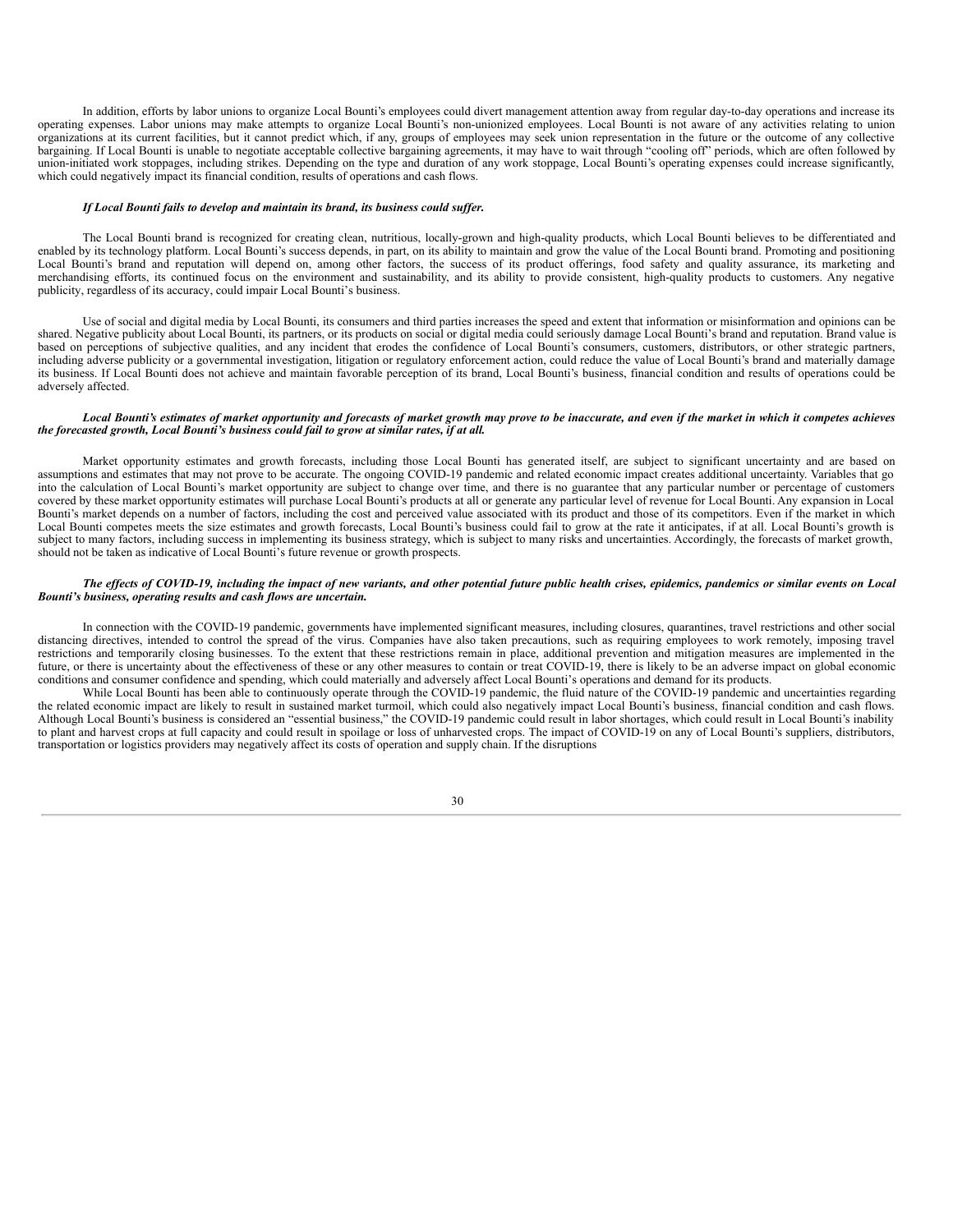In addition, efforts by labor unions to organize Local Bounti's employees could divert management attention away from regular day-to-day operations and increase its operating expenses. Labor unions may make attempts to organize Local Bounti's non-unionized employees. Local Bounti is not aware of any activities relating to union organizations at its current facilities, but it cannot predict which, if any, groups of employees may seek union representation in the future or the outcome of any collective bargaining. If Local Bounti is unable to negotiate acceptable collective bargaining agreements, it may have to wait through "cooling off" periods, which are often followed by union-initiated work stoppages, including strikes. Depending on the type and duration of any work stoppage, Local Bounti's operating expenses could increase significantly, which could negatively impact its financial condition, results of operations and cash flows.

#### *If Local Bounti fails to develop and maintain its brand, its business could suffer.*

The Local Bounti brand is recognized for creating clean, nutritious, locally-grown and high-quality products, which Local Bounti believes to be differentiated and enabled by its technology platform. Local Bounti's success depends, in part, on its ability to maintain and grow the value of the Local Bounti brand. Promoting and positioning Local Bounti's brand and reputation will depend on, among other factors, the success of its product offerings, food safety and quality assurance, its marketing and merchandising efforts, its continued focus on the environment and sustainability, and its ability to provide consistent, high-quality products to customers. Any negative publicity, regardless of its accuracy, could impair Local Bounti's business.

Use of social and digital media by Local Bounti, its consumers and third parties increases the speed and extent that information or misinformation and opinions can be shared. Negative publicity about Local Bounti, its partners, or its products on social or digital media could seriously damage Local Bounti's brand and reputation. Brand value is based on perceptions of subjective qualities, and any incident that erodes the confidence of Local Bounti's consumers, customers, distributors, or other strategic partners, including adverse publicity or a governmental investigation, litigation or regulatory enforcement action, could reduce the value of Local Bounti's brand and materially damage its business. If Local Bounti does not achieve and maintain favorable perception of its brand, Local Bounti's business, financial condition and results of operations could be adversely affected.

#### Local Bounti's estimates of market opportunity and forecasts of market growth may prove to be inaccurate, and even if the market in which it competes achieves *the forecasted growth, Local Bounti's business could fail to grow at similar rates, if at all.*

Market opportunity estimates and growth forecasts, including those Local Bounti has generated itself, are subject to significant uncertainty and are based on assumptions and estimates that may not prove to be accurate. The ongoing COVID-19 pandemic and related economic impact creates additional uncertainty. Variables that go into the calculation of Local Bounti's market opportunity are subject to change over time, and there is no guarantee that any particular number or percentage of customers covered by these market opportunity estimates will purchase Local Bounti's products at all or generate any particular level of revenue for Local Bounti. Any expansion in Local Bounti's market depends on a number of factors, including the cost and perceived value associated with its product and those of its competitors. Even if the market in which Local Bounti competes meets the size estimates and growth forecasts, Local Bounti's business could fail to grow at the rate it anticipates, if at all. Local Bounti's growth is subject to many factors, including success in implementing its business strategy, which is subject to many risks and uncertainties. Accordingly, the forecasts of market growth, should not be taken as indicative of Local Bounti's future revenue or growth prospects.

#### The effects of COVID-19, including the impact of new variants, and other potential future public health crises, epidemics, pandemics or similar events on Local *Bounti's business, operating results and cash flows are uncertain.*

In connection with the COVID-19 pandemic, governments have implemented significant measures, including closures, quarantines, travel restrictions and other social distancing directives, intended to control the spread of the virus. Companies have also taken precautions, such as requiring employees to work remotely, imposing travel restrictions and temporarily closing businesses. To the extent that these restrictions remain in place, additional prevention and mitigation measures are implemented in the future, or there is uncertainty about the effectiveness of these or any other measures to contain or treat COVID-19, there is likely to be an adverse impact on global economic conditions and consumer confidence and spending, which could materially and adversely affect Local Bounti's operations and demand for its products.

While Local Bounti has been able to continuously operate through the COVID-19 pandemic, the fluid nature of the COVID-19 pandemic and uncertainties regarding the related economic impact are likely to result in sustained market turmoil, which could also negatively impact Local Bounti's business, financial condition and cash flows. Although Local Bounti's business is considered an "essential business," the COVID-19 pandemic could result in labor shortages, which could result in Local Bounti's inability to plant and harvest crops at full capacity and could result in spoilage or loss of unharvested crops. The impact of COVID-19 on any of Local Bounti's suppliers, distributors, transportation or logistics providers may negatively affect its costs of operation and supply chain. If the disruptions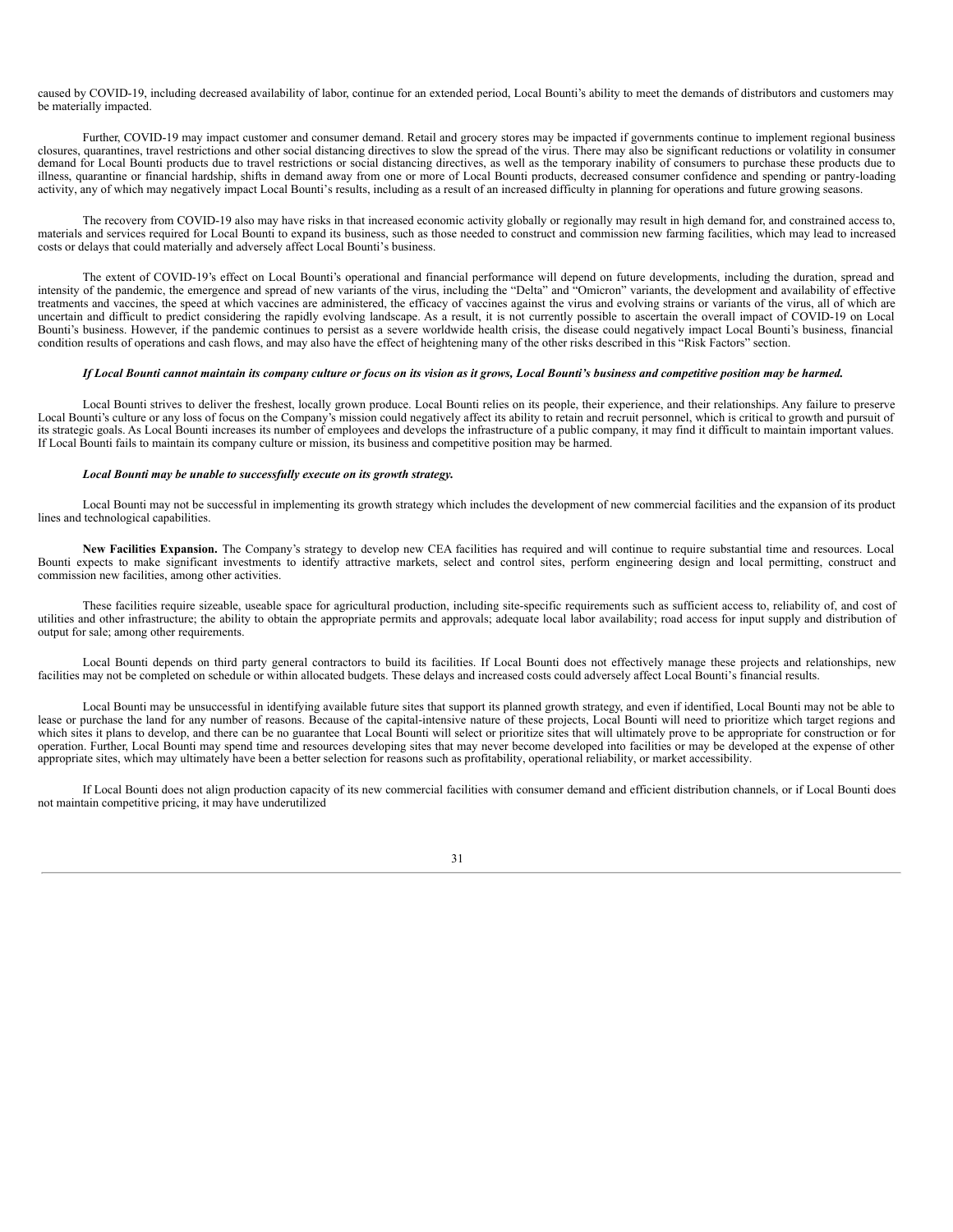caused by COVID-19, including decreased availability of labor, continue for an extended period, Local Bounti's ability to meet the demands of distributors and customers may be materially impacted.

Further, COVID-19 may impact customer and consumer demand. Retail and grocery stores may be impacted if governments continue to implement regional business closures, quarantines, travel restrictions and other social distancing directives to slow the spread of the virus. There may also be significant reductions or volatility in consumer demand for Local Bounti products due to travel restrictions or social distancing directives, as well as the temporary inability of consumers to purchase these products due to illness, quarantine or financial hardship, shifts in demand away from one or more of Local Bounti products, decreased consumer confidence and spending or pantry-loading activity, any of which may negatively impact Local Bounti's results, including as a result of an increased difficulty in planning for operations and future growing seasons.

The recovery from COVID-19 also may have risks in that increased economic activity globally or regionally may result in high demand for, and constrained access to, materials and services required for Local Bounti to expand its business, such as those needed to construct and commission new farming facilities, which may lead to increased costs or delays that could materially and adversely affect Local Bounti's business.

The extent of COVID-19's effect on Local Bounti's operational and financial performance will depend on future developments, including the duration, spread and intensity of the pandemic, the emergence and spread of new variants of the virus, including the "Delta" and "Omicron" variants, the development and availability of effective treatments and vaccines, the speed at which vaccines are administered, the efficacy of vaccines against the virus and evolving strains or variants of the virus, all of which are uncertain and difficult to predict considering the rapidly evolving landscape. As a result, it is not currently possible to ascertain the overall impact of COVID-19 on Local Bounti's business. However, if the pandemic continues to persist as a severe worldwide health crisis, the disease could negatively impact Local Bounti's business, financial condition results of operations and cash flows, and may also have the effect of heightening many of the other risks described in this "Risk Factors" section.

#### If Local Bounti cannot maintain its company culture or focus on its vision as it grows, Local Bounti's business and competitive position may be harmed.

Local Bounti strives to deliver the freshest, locally grown produce. Local Bounti relies on its people, their experience, and their relationships. Any failure to preserve Local Bounti's culture or any loss of focus on the Company's mission could negatively affect its ability to retain and recruit personnel, which is critical to growth and pursuit of its strategic goals. As Local Bounti increases its number of employees and develops the infrastructure of a public company, it may find it difficult to maintain important values. If Local Bounti fails to maintain its company culture or mission, its business and competitive position may be harmed.

#### *Local Bounti may be unable to successfully execute on its growth strategy.*

Local Bounti may not be successful in implementing its growth strategy which includes the development of new commercial facilities and the expansion of its product lines and technological capabilities.

**New Facilities Expansion.** The Company's strategy to develop new CEA facilities has required and will continue to require substantial time and resources. Local Bounti expects to make significant investments to identify attractive markets, select and control sites, perform engineering design and local permitting, construct and commission new facilities, among other activities.

These facilities require sizeable, useable space for agricultural production, including site-specific requirements such as sufficient access to, reliability of, and cost of utilities and other infrastructure; the ability to obtain the appropriate permits and approvals; adequate local labor availability; road access for input supply and distribution of output for sale; among other requirements.

Local Bounti depends on third party general contractors to build its facilities. If Local Bounti does not effectively manage these projects and relationships, new facilities may not be completed on schedule or within allocated budgets. These delays and increased costs could adversely affect Local Bounti's financial results.

Local Bounti may be unsuccessful in identifying available future sites that support its planned growth strategy, and even if identified, Local Bounti may not be able to lease or purchase the land for any number of reasons. Because of the capital-intensive nature of these projects, Local Bounti will need to prioritize which target regions and which sites it plans to develop, and there can be no guarantee that Local Bounti will select or prioritize sites that will ultimately prove to be appropriate for construction or for operation. Further, Local Bounti may spend time and resources developing sites that may never become developed into facilities or may be developed at the expense of other appropriate sites, which may ultimately have been a better selection for reasons such as profitability, operational reliability, or market accessibility.

If Local Bounti does not align production capacity of its new commercial facilities with consumer demand and efficient distribution channels, or if Local Bounti does not maintain competitive pricing, it may have underutilized

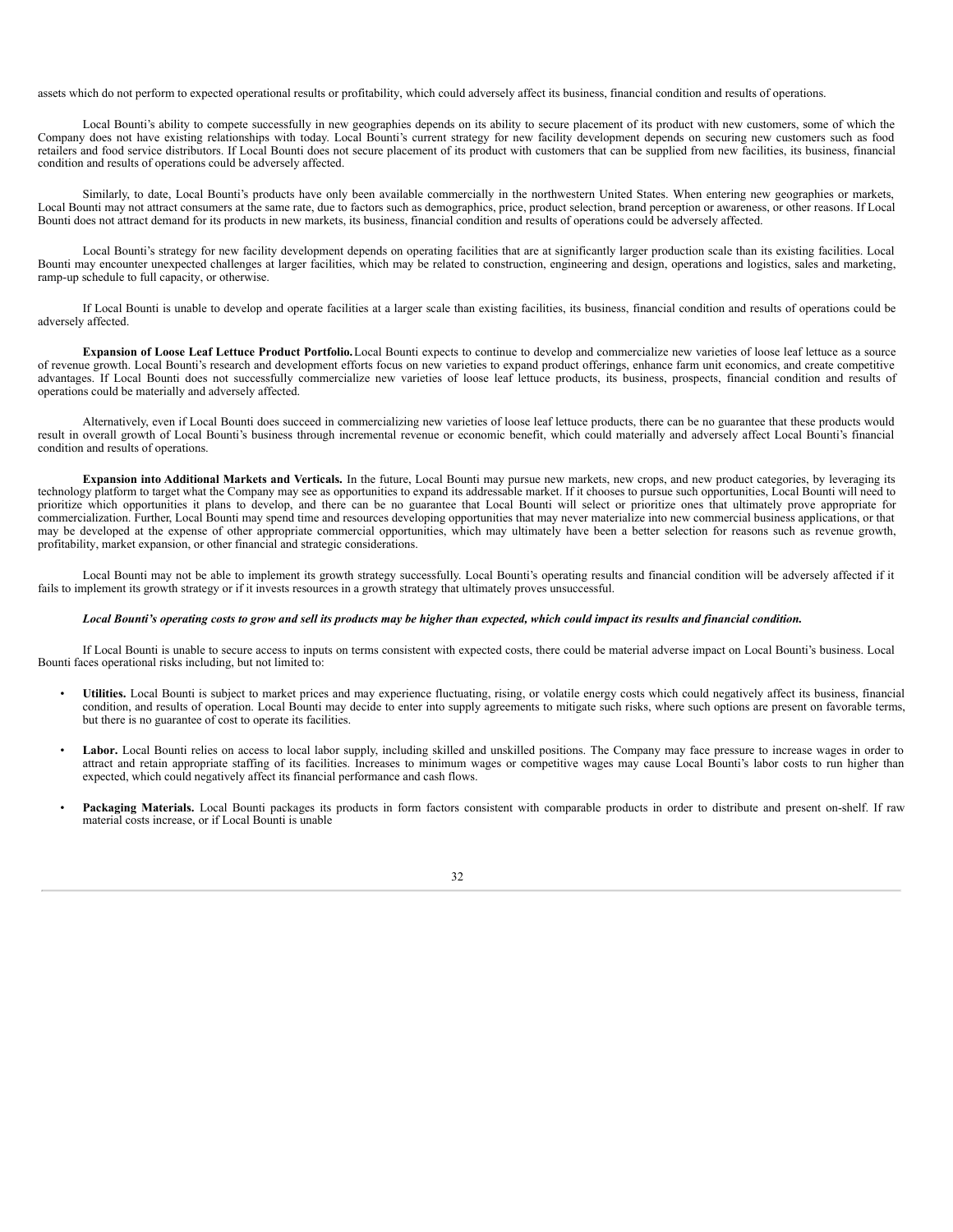assets which do not perform to expected operational results or profitability, which could adversely affect its business, financial condition and results of operations.

Local Bounti's ability to compete successfully in new geographies depends on its ability to secure placement of its product with new customers, some of which the Company does not have existing relationships with today. Local Bounti's current strategy for new facility development depends on securing new customers such as food retailers and food service distributors. If Local Bounti does not secure placement of its product with customers that can be supplied from new facilities, its business, financial condition and results of operations could be adversely affected.

Similarly, to date, Local Bounti's products have only been available commercially in the northwestern United States. When entering new geographies or markets, Local Bounti may not attract consumers at the same rate, due to factors such as demographics, price, product selection, brand perception or awareness, or other reasons. If Local Bounti does not attract demand for its products in new markets, its business, financial condition and results of operations could be adversely affected.

Local Bounti's strategy for new facility development depends on operating facilities that are at significantly larger production scale than its existing facilities. Local Bounti may encounter unexpected challenges at larger facilities, which may be related to construction, engineering and design, operations and logistics, sales and marketing, ramp-up schedule to full capacity, or otherwise.

If Local Bounti is unable to develop and operate facilities at a larger scale than existing facilities, its business, financial condition and results of operations could be adversely affected.

**Expansion of Loose Leaf Lettuce Product Portfolio.**Local Bounti expects to continue to develop and commercialize new varieties of loose leaf lettuce as a source of revenue growth. Local Bounti's research and development efforts focus on new varieties to expand product offerings, enhance farm unit economics, and create competitive advantages. If Local Bounti does not successfully commercialize new varieties of loose leaf lettuce products, its business, prospects, financial condition and results of operations could be materially and adversely affected.

Alternatively, even if Local Bounti does succeed in commercializing new varieties of loose leaf lettuce products, there can be no guarantee that these products would result in overall growth of Local Bounti's business through incremental revenue or economic benefit, which could materially and adversely affect Local Bounti's financial condition and results of operations.

**Expansion into Additional Markets and Verticals.** In the future, Local Bounti may pursue new markets, new crops, and new product categories, by leveraging its technology platform to target what the Company may see as opportunities to expand its addressable market. If it chooses to pursue such opportunities, Local Bounti will need to prioritize which opportunities it plans to develop, and there can be no guarantee that Local Bounti will select or prioritize ones that ultimately prove appropriate for commercialization. Further, Local Bounti may spend time and resources developing opportunities that may never materialize into new commercial business applications, or that may be developed at the expense of other appropriate commercial opportunities, which may ultimately have been a better selection for reasons such as revenue growth, profitability, market expansion, or other financial and strategic considerations.

Local Bounti may not be able to implement its growth strategy successfully. Local Bounti's operating results and financial condition will be adversely affected if it fails to implement its growth strategy or if it invests resources in a growth strategy that ultimately proves unsuccessful.

#### Local Bounti's operating costs to grow and sell its products may be higher than expected, which could impact its results and financial condition.

If Local Bounti is unable to secure access to inputs on terms consistent with expected costs, there could be material adverse impact on Local Bounti's business. Local Bounti faces operational risks including, but not limited to:

- **Utilities.** Local Bounti is subject to market prices and may experience fluctuating, rising, or volatile energy costs which could negatively affect its business, financial condition, and results of operation. Local Bounti may decide to enter into supply agreements to mitigate such risks, where such options are present on favorable terms, but there is no guarantee of cost to operate its facilities.
- Labor. Local Bounti relies on access to local labor supply, including skilled and unskilled positions. The Company may face pressure to increase wages in order to attract and retain appropriate staffing of its facilities. Increases to minimum wages or competitive wages may cause Local Bounti's labor costs to run higher than expected, which could negatively affect its financial performance and cash flows.
- Packaging Materials. Local Bounti packages its products in form factors consistent with comparable products in order to distribute and present on-shelf. If raw material costs increase, or if Local Bounti is unable

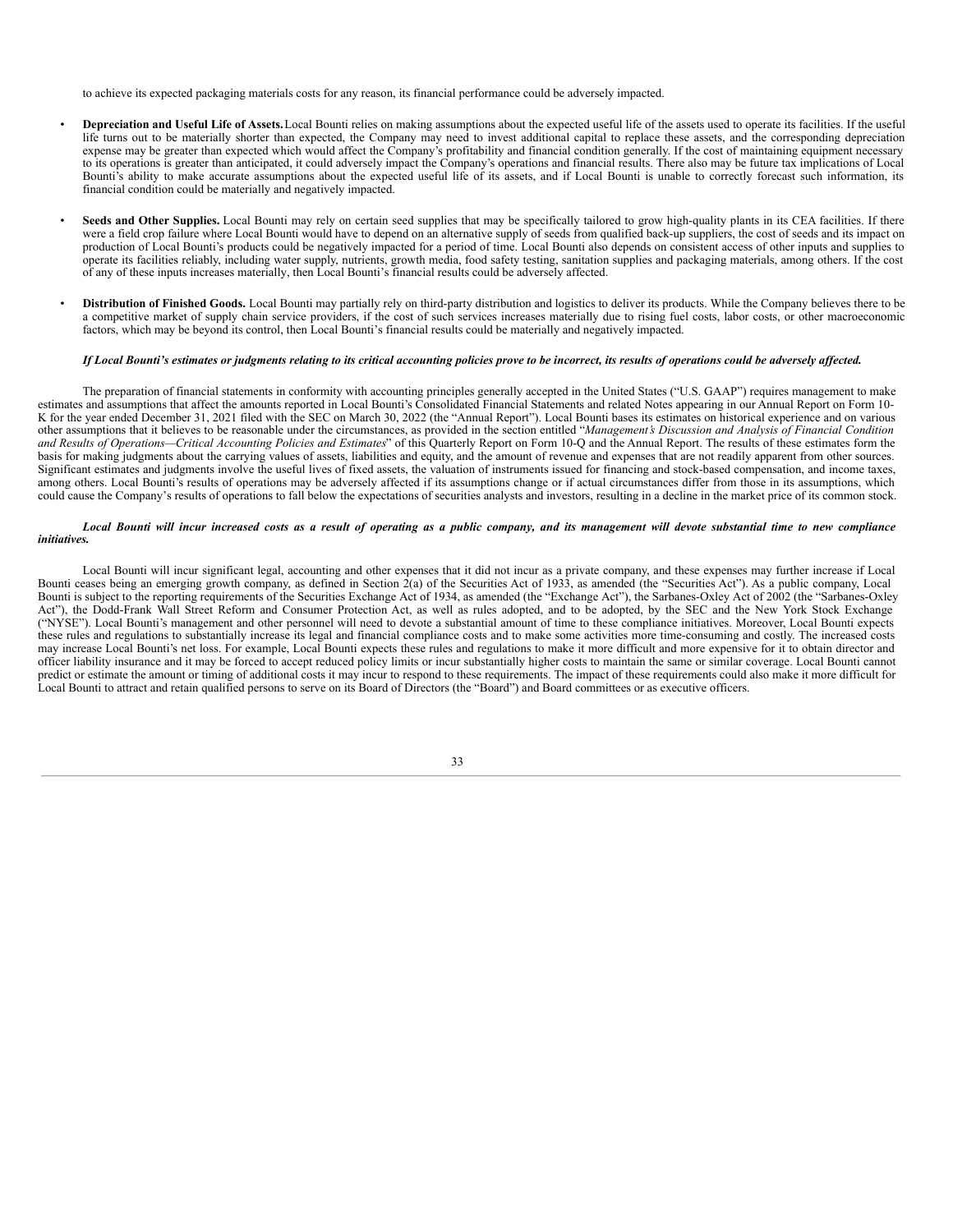to achieve its expected packaging materials costs for any reason, its financial performance could be adversely impacted.

- **Depreciation and Useful Life of Assets.**Local Bounti relies on making assumptions about the expected useful life of the assets used to operate its facilities. If the useful life turns out to be materially shorter than expected, the Company may need to invest additional capital to replace these assets, and the corresponding depreciation expense may be greater than expected which would affect the Company's profitability and financial condition generally. If the cost of maintaining equipment necessary to its operations is greater than anticipated, it could adversely impact the Company's operations and financial results. There also may be future tax implications of Local Bounti's ability to make accurate assumptions about the expected useful life of its assets, and if Local Bounti is unable to correctly forecast such information, its financial condition could be materially and negatively impacted.
- **Seeds and Other Supplies.** Local Bounti may rely on certain seed supplies that may be specifically tailored to grow high-quality plants in its CEA facilities. If there were a field crop failure where Local Bounti would have to depend on an alternative supply of seeds from qualified back-up suppliers, the cost of seeds and its impact on production of Local Bounti's products could be negatively impacted for a period of time. Local Bounti also depends on consistent access of other inputs and supplies to operate its facilities reliably, including water supply, nutrients, growth media, food safety testing, sanitation supplies and packaging materials, among others. If the cost of any of these inputs increases materially, then Local Bounti's financial results could be adversely affected.
- **Distribution of Finished Goods.** Local Bounti may partially rely on third-party distribution and logistics to deliver its products. While the Company believes there to be a competitive market of supply chain service providers, if the cost of such services increases materially due to rising fuel costs, labor costs, or other macroeconomic factors, which may be beyond its control, then Local Bounti's financial results could be materially and negatively impacted.

#### If Local Bounti's estimates or judgments relating to its critical accounting policies prove to be incorrect, its results of operations could be adversely affected.

The preparation of financial statements in conformity with accounting principles generally accepted in the United States ("U.S. GAAP") requires management to make estimates and assumptions that affect the amounts reported in Local Bounti's Consolidated Financial Statements and related Notes appearing in our Annual Report on Form 10- K for the year ended December 31, 2021 filed with the SEC on March 30, 2022 (the "Annual Report"). Local Bounti bases its estimates on historical experience and on various other assumptions that it believes to be reasonable under the circumstances, as provided in the section entitled "*Management's Discussion and Analysis of Financial Condition* and Results of Operations—Critical Accounting Policies and Estimates" of this Quarterly Report on Form 10-Q and the Annual Report. The results of these estimates form the basis for making judgments about the carrying values of assets, liabilities and equity, and the amount of revenue and expenses that are not readily apparent from other sources. Significant estimates and judgments involve the useful lives of fixed assets, the valuation of instruments issued for financing and stock-based compensation, and income taxes, among others. Local Bounti's results of operations may be adversely affected if its assumptions change or if actual circumstances differ from those in its assumptions, which could cause the Company's results of operations to fall below the expectations of securities analysts and investors, resulting in a decline in the market price of its common stock.

#### Local Bounti will incur increased costs as a result of operating as a public company, and its management will devote substantial time to new compliance *initiatives.*

Local Bounti will incur significant legal, accounting and other expenses that it did not incur as a private company, and these expenses may further increase if Local Bounti ceases being an emerging growth company, as defined in Section 2(a) of the Securities Act of 1933, as amended (the "Securities Act"). As a public company, Local Bounti is subject to the reporting requirements of the Securities Exchange Act of 1934, as amended (the "Exchange Act"), the Sarbanes-Oxley Act of 2002 (the "Sarbanes-Oxley Act"), the Dodd-Frank Wall Street Reform and Consumer Protection Act, as well as rules adopted, and to be adopted, by the SEC and the New York Stock Exchange ("NYSE"). Local Bounti's management and other personnel will need to devote a substantial amount of time to these compliance initiatives. Moreover, Local Bounti expects these rules and regulations to substantially increase its legal and financial compliance costs and to make some activities more time-consuming and costly. The increased costs may increase Local Bounti's net loss. For example, Local Bounti expects these rules and regulations to make it more difficult and more expensive for it to obtain director and officer liability insurance and it may be forced to accept reduced policy limits or incur substantially higher costs to maintain the same or similar coverage. Local Bounti cannot predict or estimate the amount or timing of additional costs it may incur to respond to these requirements. The impact of these requirements could also make it more difficult for Local Bounti to attract and retain qualified persons to serve on its Board of Directors (the "Board") and Board committees or as executive officers.

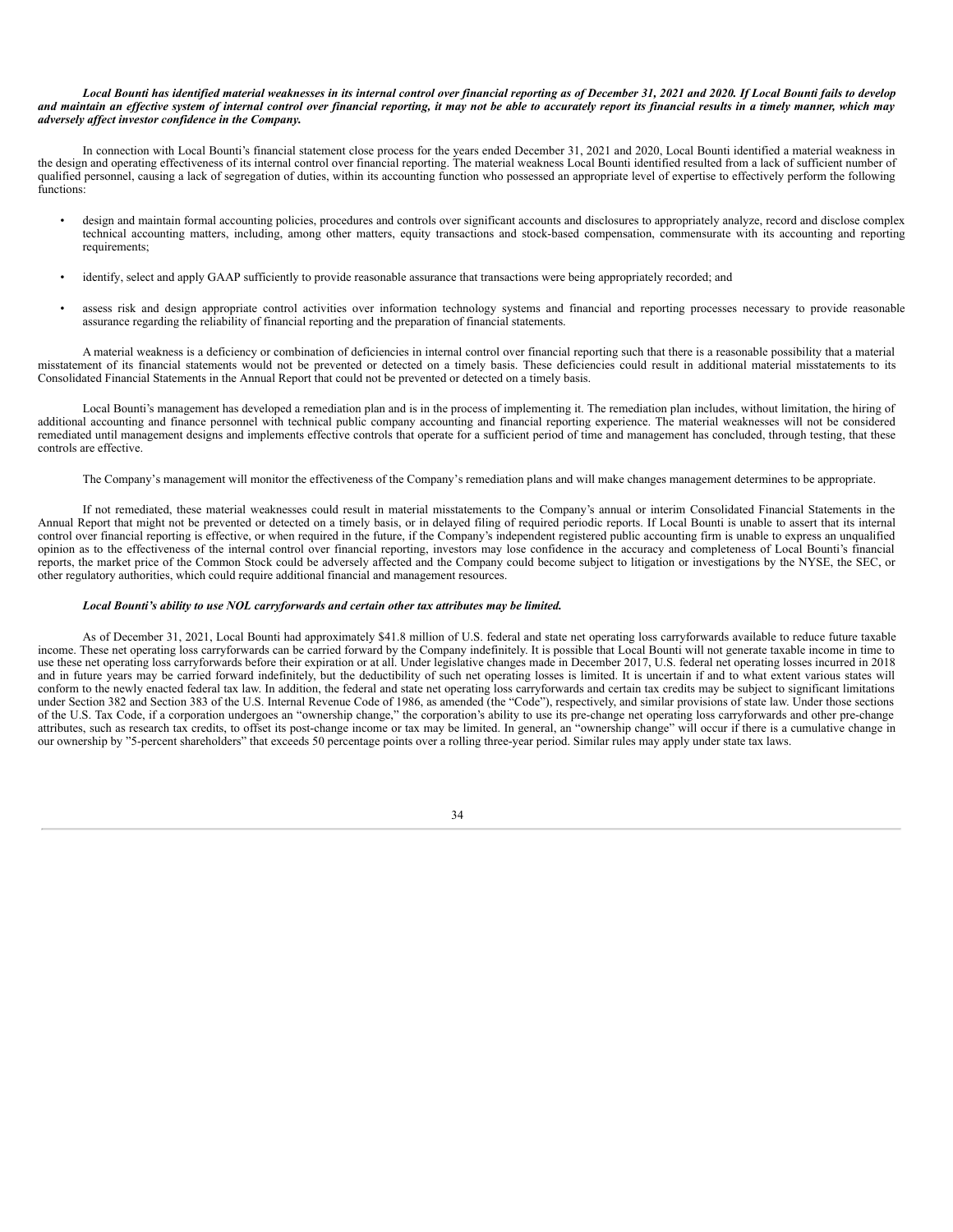#### Local Bounti has identified material weaknesses in its internal control over financial reporting as of December 31, 2021 and 2020. If Local Bounti fails to develop and maintain an effective system of internal control over financial reporting, it may not be able to accurately report its financial results in a timely manner, which may *adversely af ect investor confidence in the Company.*

In connection with Local Bounti's financial statement close process for the years ended December 31, 2021 and 2020, Local Bounti identified a material weakness in the design and operating effectiveness of its internal control over financial reporting. The material weakness Local Bounti identified resulted from a lack of sufficient number of qualified personnel, causing a lack of segregation of duties, within its accounting function who possessed an appropriate level of expertise to effectively perform the following functions:

- design and maintain formal accounting policies, procedures and controls over significant accounts and disclosures to appropriately analyze, record and disclose complex technical accounting matters, including, among other matters, equity transactions and stock-based compensation, commensurate with its accounting and reporting requirements;
- identify, select and apply GAAP sufficiently to provide reasonable assurance that transactions were being appropriately recorded; and
- assess risk and design appropriate control activities over information technology systems and financial and reporting processes necessary to provide reasonable assurance regarding the reliability of financial reporting and the preparation of financial statements.

A material weakness is a deficiency or combination of deficiencies in internal control over financial reporting such that there is a reasonable possibility that a material misstatement of its financial statements would not be prevented or detected on a timely basis. These deficiencies could result in additional material misstatements to its Consolidated Financial Statements in the Annual Report that could not be prevented or detected on a timely basis.

Local Bounti's management has developed a remediation plan and is in the process of implementing it. The remediation plan includes, without limitation, the hiring of additional accounting and finance personnel with technical public company accounting and financial reporting experience. The material weaknesses will not be considered remediated until management designs and implements effective controls that operate for a sufficient period of time and management has concluded, through testing, that these controls are effective.

The Company's management will monitor the effectiveness of the Company's remediation plans and will make changes management determines to be appropriate.

If not remediated, these material weaknesses could result in material misstatements to the Company's annual or interim Consolidated Financial Statements in the Annual Report that might not be prevented or detected on a timely basis, or in delayed filing of required periodic reports. If Local Bounti is unable to assert that its internal control over financial reporting is effective, or when required in the future, if the Company's independent registered public accounting firm is unable to express an unqualified opinion as to the effectiveness of the internal control over financial reporting, investors may lose confidence in the accuracy and completeness of Local Bounti's financial reports, the market price of the Common Stock could be adversely affected and the Company could become subject to litigation or investigations by the NYSE, the SEC, or other regulatory authorities, which could require additional financial and management resources.

#### *Local Bounti's ability to use NOL carryforwards and certain other tax attributes may be limited.*

As of December 31, 2021, Local Bounti had approximately \$41.8 million of U.S. federal and state net operating loss carryforwards available to reduce future taxable income. These net operating loss carryforwards can be carried forward by the Company indefinitely. It is possible that Local Bounti will not generate taxable income in time to use these net operating loss carryforwards before their expiration or at all. Under legislative changes made in December 2017, U.S. federal net operating losses incurred in 2018 and in future years may be carried forward indefinitely, but the deductibility of such net operating losses is limited. It is uncertain if and to what extent various states will conform to the newly enacted federal tax law. In addition, the federal and state net operating loss carryforwards and certain tax credits may be subject to significant limitations under Section 382 and Section 383 of the U.S. Internal Revenue Code of 1986, as amended (the "Code"), respectively, and similar provisions of state law. Under those sections of the U.S. Tax Code, if a corporation undergoes an "ownership change," the corporation's ability to use its pre-change net operating loss carryforwards and other pre-change attributes, such as research tax credits, to offset its post-change income or tax may be limited. In general, an "ownership change" will occur if there is a cumulative change in our ownership by "5-percent shareholders" that exceeds 50 percentage points over a rolling three-year period. Similar rules may apply under state tax laws.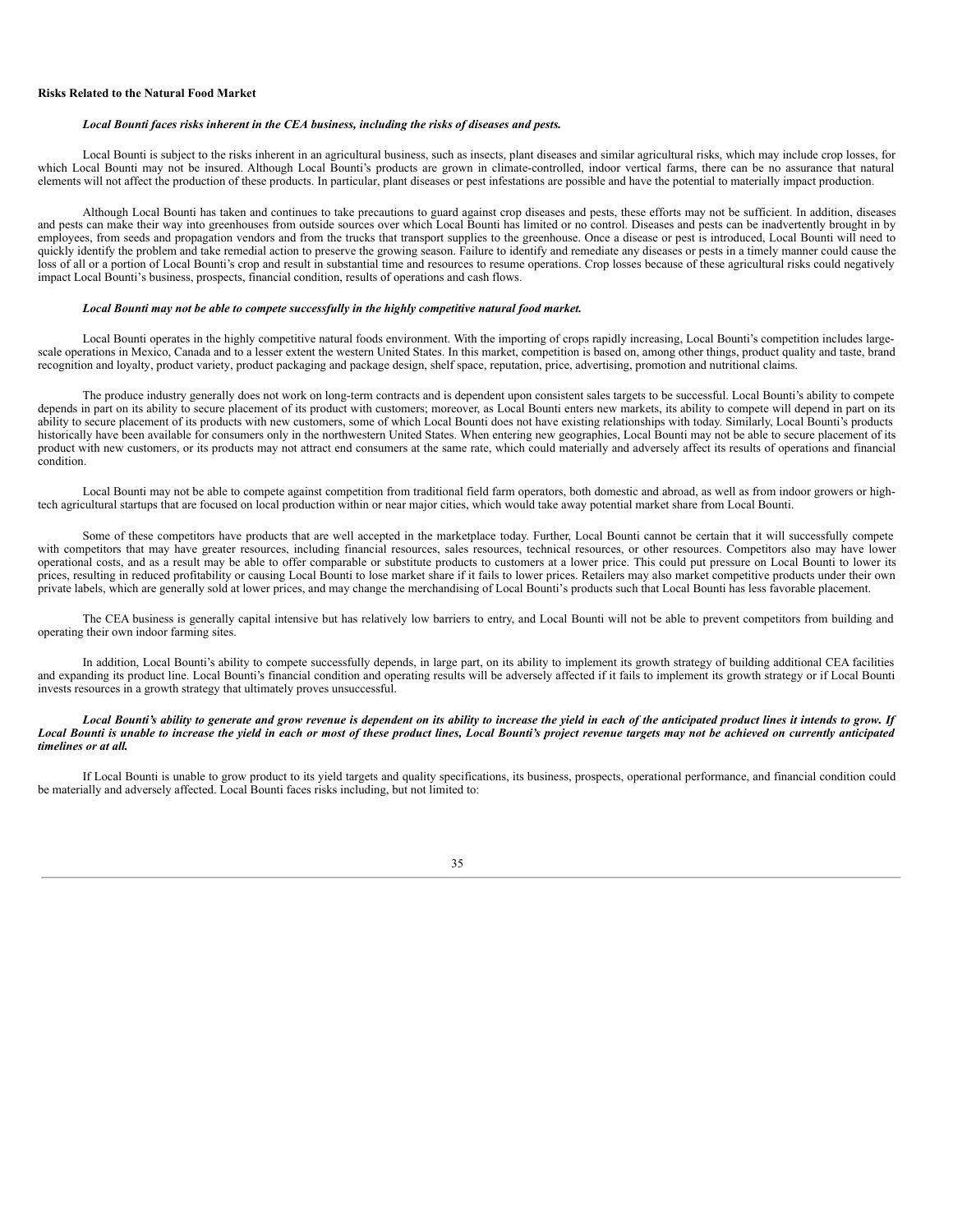#### **Risks Related to the Natural Food Market**

#### *Local Bounti faces risks inherent in the CEA business, including the risks of diseases and pests.*

Local Bounti is subject to the risks inherent in an agricultural business, such as insects, plant diseases and similar agricultural risks, which may include crop losses, for which Local Bounti may not be insured. Although Local Bounti's products are grown in climate-controlled, indoor vertical farms, there can be no assurance that natural elements will not affect the production of these products. In particular, plant diseases or pest infestations are possible and have the potential to materially impact production.

Although Local Bounti has taken and continues to take precautions to guard against crop diseases and pests, these efforts may not be sufficient. In addition, diseases and pests can make their way into greenhouses from outside sources over which Local Bounti has limited or no control. Diseases and pests can be inadvertently brought in by employees, from seeds and propagation vendors and from the trucks that transport supplies to the greenhouse. Once a disease or pest is introduced, Local Bounti will need to quickly identify the problem and take remedial action to preserve the growing season. Failure to identify and remediate any diseases or pests in a timely manner could cause the loss of all or a portion of Local Bounti's crop and result in substantial time and resources to resume operations. Crop losses because of these agricultural risks could negatively impact Local Bounti's business, prospects, financial condition, results of operations and cash flows.

#### *Local Bounti may not be able to compete successfully in the highly competitive natural food market.*

Local Bounti operates in the highly competitive natural foods environment. With the importing of crops rapidly increasing, Local Bounti's competition includes largescale operations in Mexico, Canada and to a lesser extent the western United States. In this market, competition is based on, among other things, product quality and taste, brand recognition and loyalty, product variety, product packaging and package design, shelf space, reputation, price, advertising, promotion and nutritional claims.

The produce industry generally does not work on long-term contracts and is dependent upon consistent sales targets to be successful. Local Bounti's ability to compete depends in part on its ability to secure placement of its product with customers; moreover, as Local Bounti enters new markets, its ability to compete will depend in part on its ability to secure placement of its products with new customers, some of which Local Bounti does not have existing relationships with today. Similarly, Local Bounti's products historically have been available for consumers only in the northwestern United States. When entering new geographies, Local Bounti may not be able to secure placement of its product with new customers, or its products may not attract end consumers at the same rate, which could materially and adversely affect its results of operations and financial condition.

Local Bounti may not be able to compete against competition from traditional field farm operators, both domestic and abroad, as well as from indoor growers or hightech agricultural startups that are focused on local production within or near major cities, which would take away potential market share from Local Bounti.

Some of these competitors have products that are well accepted in the marketplace today. Further, Local Bounti cannot be certain that it will successfully compete with competitors that may have greater resources, including financial resources, sales resources, technical resources, or other resources. Competitors also may have lower operational costs, and as a result may be able to offer comparable or substitute products to customers at a lower price. This could put pressure on Local Bounti to lower its prices, resulting in reduced profitability or causing Local Bounti to lose market share if it fails to lower prices. Retailers may also market competitive products under their own private labels, which are generally sold at lower prices, and may change the merchandising of Local Bounti's products such that Local Bounti has less favorable placement.

The CEA business is generally capital intensive but has relatively low barriers to entry, and Local Bounti will not be able to prevent competitors from building and operating their own indoor farming sites.

In addition, Local Bounti's ability to compete successfully depends, in large part, on its ability to implement its growth strategy of building additional CEA facilities and expanding its product line. Local Bounti's financial condition and operating results will be adversely affected if it fails to implement its growth strategy or if Local Bounti invests resources in a growth strategy that ultimately proves unsuccessful.

#### Local Bounti's ability to generate and grow revenue is dependent on its ability to increase the yield in each of the anticipated product lines it intends to grow. If Local Bounti is unable to increase the yield in each or most of these product lines, Local Bounti's project revenue targets may not be achieved on currently anticipated *timelines or at all.*

If Local Bounti is unable to grow product to its yield targets and quality specifications, its business, prospects, operational performance, and financial condition could be materially and adversely affected. Local Bounti faces risks including, but not limited to:

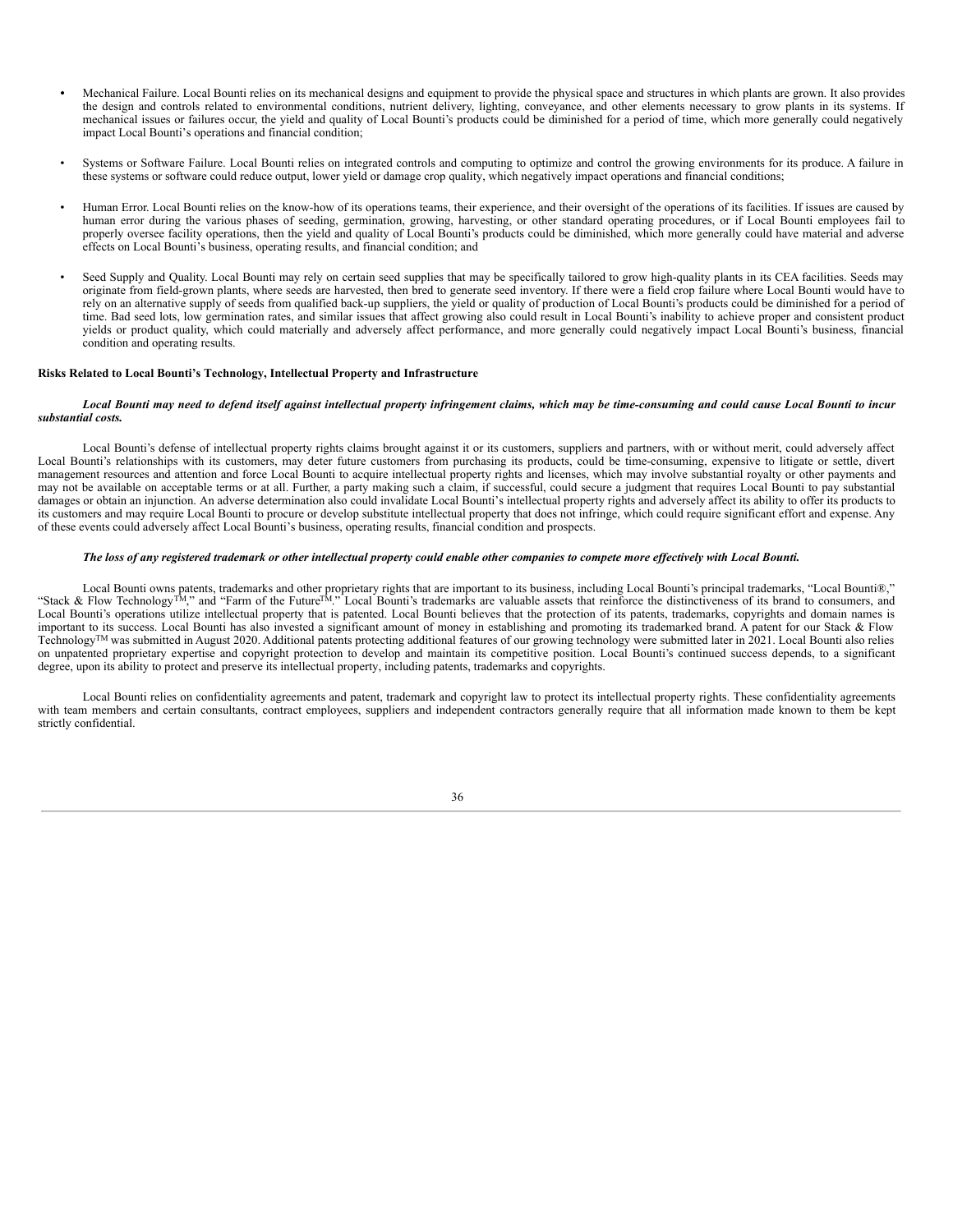- *•* Mechanical Failure. Local Bounti relies on its mechanical designs and equipment to provide the physical space and structures in which plants are grown. It also provides the design and controls related to environmental conditions, nutrient delivery, lighting, conveyance, and other elements necessary to grow plants in its systems. If mechanical issues or failures occur, the yield and quality of Local Bounti's products could be diminished for a period of time, which more generally could negatively impact Local Bounti's operations and financial condition;
- Systems or Software Failure. Local Bounti relies on integrated controls and computing to optimize and control the growing environments for its produce. A failure in these systems or software could reduce output, lower yield or damage crop quality, which negatively impact operations and financial conditions;
- Human Error. Local Bounti relies on the know-how of its operations teams, their experience, and their oversight of the operations of its facilities. If issues are caused by human error during the various phases of seeding, germination, growing, harvesting, or other standard operating procedures, or if Local Bounti employees fail to properly oversee facility operations, then the yield and quality of Local Bounti's products could be diminished, which more generally could have material and adverse effects on Local Bounti's business, operating results, and financial condition; and
- Seed Supply and Quality. Local Bounti may rely on certain seed supplies that may be specifically tailored to grow high-quality plants in its CEA facilities. Seeds may originate from field-grown plants, where seeds are harvested, then bred to generate seed inventory. If there were a field crop failure where Local Bounti would have to rely on an alternative supply of seeds from qualified back-up suppliers, the yield or quality of production of Local Bounti's products could be diminished for a period of time. Bad seed lots, low germination rates, and similar issues that affect growing also could result in Local Bounti's inability to achieve proper and consistent product yields or product quality, which could materially and adversely affect performance, and more generally could negatively impact Local Bounti's business, financial condition and operating results.

#### **Risks Related to Local Bounti's Technology, Intellectual Property and Infrastructure**

#### Local Bounti may need to defend itself against intellectual property infringement claims, which may be time-consuming and could cause Local Bounti to incur *substantial costs.*

Local Bounti's defense of intellectual property rights claims brought against it or its customers, suppliers and partners, with or without merit, could adversely affect Local Bounti's relationships with its customers, may deter future customers from purchasing its products, could be time-consuming, expensive to litigate or settle, divert management resources and attention and force Local Bounti to acquire intellectual property rights and licenses, which may involve substantial royalty or other payments and may not be available on acceptable terms or at all. Further, a party making such a claim, if successful, could secure a judgment that requires Local Bounti to pay substantial damages or obtain an injunction. An adverse determination also could invalidate Local Bounti's intellectual property rights and adversely affect its ability to offer its products to its customers and may require Local Bounti to procure or develop substitute intellectual property that does not infringe, which could require significant effort and expense. Any of these events could adversely affect Local Bounti's business, operating results, financial condition and prospects.

#### The loss of any registered trademark or other intellectual property could enable other companies to compete more effectively with Local Bounti.

Local Bounti owns patents, trademarks and other proprietary rights that are important to its business, including Local Bounti's principal trademarks, "Local Bounti®," "Stack & Flow Technology<sup>TM</sup>," and "Farm of the Future<sup>TM</sup>." Local Bounti's trademarks are valuable assets that reinforce the distinctiveness of its brand to consumers, and Local Bounti's operations utilize intellectual property that is patented. Local Bounti believes that the protection of its patents, trademarks, copyrights and domain names is important to its success. Local Bounti has also invested a significant amount of money in establishing and promoting its trademarked brand. A patent for our Stack & Flow Technology<sup>TM</sup> was submitted in August 2020. Additional patents protecting additional features of our growing technology were submitted later in 2021. Local Bounti also relies on unpatented proprietary expertise and copyright protection to develop and maintain its competitive position. Local Bounti's continued success depends, to a significant degree, upon its ability to protect and preserve its intellectual property, including patents, trademarks and copyrights.

Local Bounti relies on confidentiality agreements and patent, trademark and copyright law to protect its intellectual property rights. These confidentiality agreements with team members and certain consultants, contract employees, suppliers and independent contractors generally require that all information made known to them be kept strictly confidential.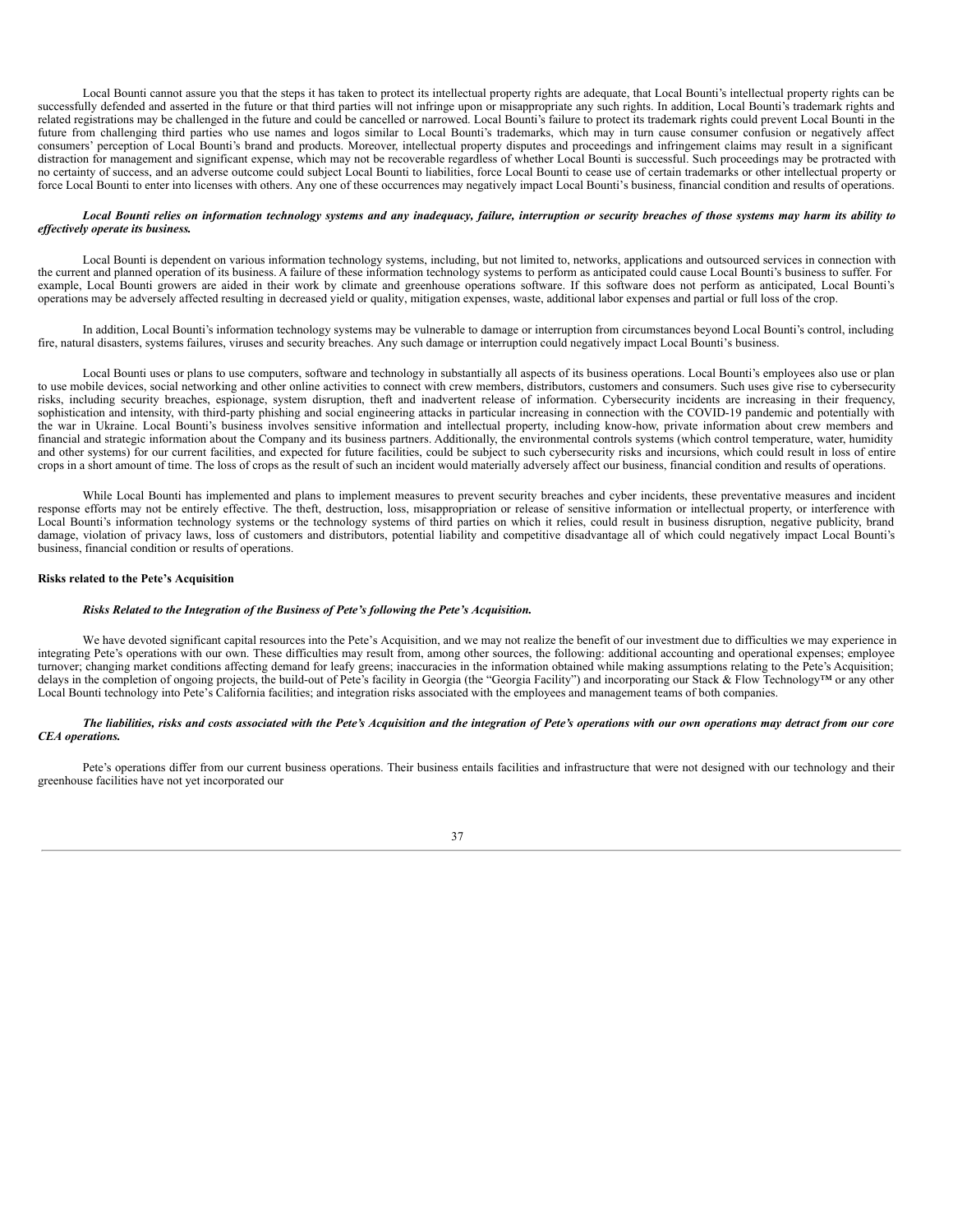Local Bounti cannot assure you that the steps it has taken to protect its intellectual property rights are adequate, that Local Bounti's intellectual property rights can be successfully defended and asserted in the future or that third parties will not infringe upon or misappropriate any such rights. In addition, Local Bounti's trademark rights and related registrations may be challenged in the future and could be cancelled or narrowed. Local Bounti's failure to protect its trademark rights could prevent Local Bounti in the future from challenging third parties who use names and logos similar to Local Bounti's trademarks, which may in turn cause consumer confusion or negatively affect consumers' perception of Local Bounti's brand and products. Moreover, intellectual property disputes and proceedings and infringement claims may result in a significant distraction for management and significant expense, which may not be recoverable regardless of whether Local Bounti is successful. Such proceedings may be protracted with no certainty of success, and an adverse outcome could subject Local Bounti to liabilities, force Local Bounti to cease use of certain trademarks or other intellectual property or force Local Bounti to enter into licenses with others. Any one of these occurrences may negatively impact Local Bounti's business, financial condition and results of operations.

#### Local Bounti relies on information technology systems and any inadequacy, failure, interruption or security breaches of those systems may harm its ability to *ef ectively operate its business.*

Local Bounti is dependent on various information technology systems, including, but not limited to, networks, applications and outsourced services in connection with the current and planned operation of its business. A failure of these information technology systems to perform as anticipated could cause Local Bounti's business to suffer. For example, Local Bounti growers are aided in their work by climate and greenhouse operations software. If this software does not perform as anticipated, Local Bounti's operations may be adversely affected resulting in decreased yield or quality, mitigation expenses, waste, additional labor expenses and partial or full loss of the crop.

In addition, Local Bounti's information technology systems may be vulnerable to damage or interruption from circumstances beyond Local Bounti's control, including fire, natural disasters, systems failures, viruses and security breaches. Any such damage or interruption could negatively impact Local Bounti's business.

Local Bounti uses or plans to use computers, software and technology in substantially all aspects of its business operations. Local Bounti's employees also use or plan to use mobile devices, social networking and other online activities to connect with crew members, distributors, customers and consumers. Such uses give rise to cybersecurity risks, including security breaches, espionage, system disruption, theft and inadvertent release of information. Cybersecurity incidents are increasing in their frequency, sophistication and intensity, with third-party phishing and social engineering attacks in particular increasing in connection with the COVID-19 pandemic and potentially with the war in Ukraine. Local Bounti's business involves sensitive information and intellectual property, including know-how, private information about crew members and financial and strategic information about the Company and its business partners. Additionally, the environmental controls systems (which control temperature, water, humidity and other systems) for our current facilities, and expected for future facilities, could be subject to such cybersecurity risks and incursions, which could result in loss of entire crops in a short amount of time. The loss of crops as the result of such an incident would materially adversely affect our business, financial condition and results of operations.

While Local Bounti has implemented and plans to implement measures to prevent security breaches and cyber incidents, these preventative measures and incident response efforts may not be entirely effective. The theft, destruction, loss, misappropriation or release of sensitive information or intellectual property, or interference with Local Bounti's information technology systems or the technology systems of third parties on which it relies, could result in business disruption, negative publicity, brand damage, violation of privacy laws, loss of customers and distributors, potential liability and competitive disadvantage all of which could negatively impact Local Bounti's business, financial condition or results of operations.

#### **Risks related to the Pete's Acquisition**

#### *Risks Related to the Integration of the Business of Pete's following the Pete's Acquisition.*

We have devoted significant capital resources into the Pete's Acquisition, and we may not realize the benefit of our investment due to difficulties we may experience in integrating Pete's operations with our own. These difficulties may result from, among other sources, the following: additional accounting and operational expenses; employee turnover; changing market conditions affecting demand for leafy greens; inaccuracies in the information obtained while making assumptions relating to the Pete's Acquisition; delays in the completion of ongoing projects, the build-out of Pete's facility in Georgia (the "Georgia Facility") and incorporating our Stack & Flow Technology™ or any other Local Bounti technology into Pete's California facilities; and integration risks associated with the employees and management teams of both companies.

#### The liabilities, risks and costs associated with the Pete's Acquisition and the integration of Pete's operations with our own operations may detract from our core *CEA operations.*

Pete's operations differ from our current business operations. Their business entails facilities and infrastructure that were not designed with our technology and their greenhouse facilities have not yet incorporated our

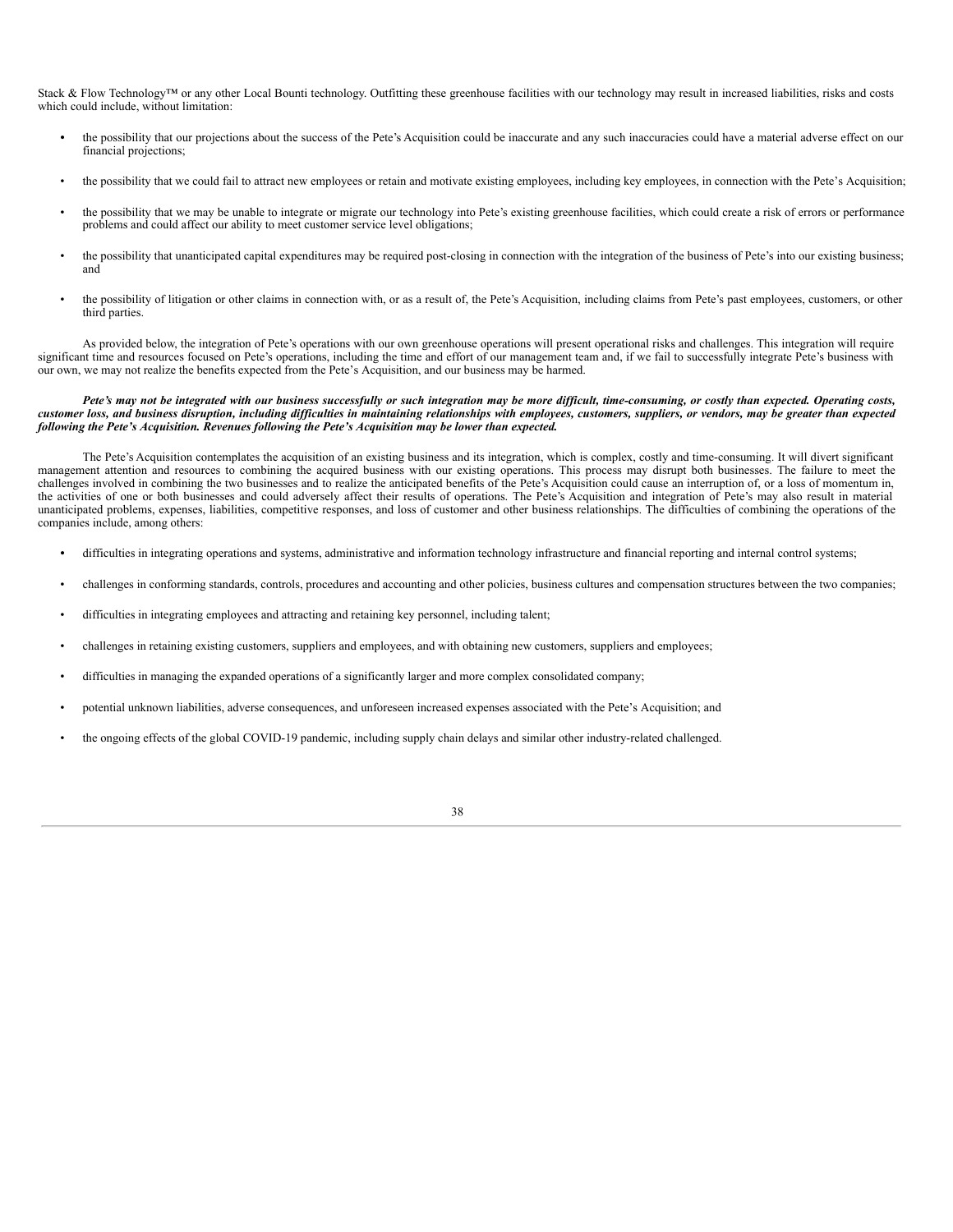Stack & Flow Technology™ or any other Local Bounti technology. Outfitting these greenhouse facilities with our technology may result in increased liabilities, risks and costs which could include, without limitation:

- the possibility that our projections about the success of the Pete's Acquisition could be inaccurate and any such inaccuracies could have a material adverse effect on our financial projections;
- the possibility that we could fail to attract new employees or retain and motivate existing employees, including key employees, in connection with the Pete's Acquisition;
- the possibility that we may be unable to integrate or migrate our technology into Pete's existing greenhouse facilities, which could create a risk of errors or performance problems and could affect our ability to meet customer service level obligations;
- the possibility that unanticipated capital expenditures may be required post-closing in connection with the integration of the business of Pete's into our existing business; and
- the possibility of litigation or other claims in connection with, or as a result of, the Pete's Acquisition, including claims from Pete's past employees, customers, or other third parties.

As provided below, the integration of Pete's operations with our own greenhouse operations will present operational risks and challenges. This integration will require significant time and resources focused on Pete's operations, including the time and effort of our management team and, if we fail to successfully integrate Pete's business with our own, we may not realize the benefits expected from the Pete's Acquisition, and our business may be harmed.

#### Pete's may not be integrated with our business successfully or such integration may be more difficult, time-consuming, or costly than expected. Operating costs, customer loss, and business disruption, including difficulties in maintaining relationships with employees, customers, suppliers, or vendors, may be greater than expected *following the Pete's Acquisition. Revenues following the Pete's Acquisition may be lower than expected.*

The Pete's Acquisition contemplates the acquisition of an existing business and its integration, which is complex, costly and time-consuming. It will divert significant management attention and resources to combining the acquired business with our existing operations. This process may disrupt both businesses. The failure to meet the challenges involved in combining the two businesses and to realize the anticipated benefits of the Pete's Acquisition could cause an interruption of, or a loss of momentum in, the activities of one or both businesses and could adversely affect their results of operations. The Pete's Acquisition and integration of Pete's may also result in material unanticipated problems, expenses, liabilities, competitive responses, and loss of customer and other business relationships. The difficulties of combining the operations of the companies include, among others:

- *•* difficulties in integrating operations and systems, administrative and information technology infrastructure and financial reporting and internal control systems;
- challenges in conforming standards, controls, procedures and accounting and other policies, business cultures and compensation structures between the two companies;
- difficulties in integrating employees and attracting and retaining key personnel, including talent;
- challenges in retaining existing customers, suppliers and employees, and with obtaining new customers, suppliers and employees;
- difficulties in managing the expanded operations of a significantly larger and more complex consolidated company;
- potential unknown liabilities, adverse consequences, and unforeseen increased expenses associated with the Pete's Acquisition; and
- the ongoing effects of the global COVID-19 pandemic, including supply chain delays and similar other industry-related challenged.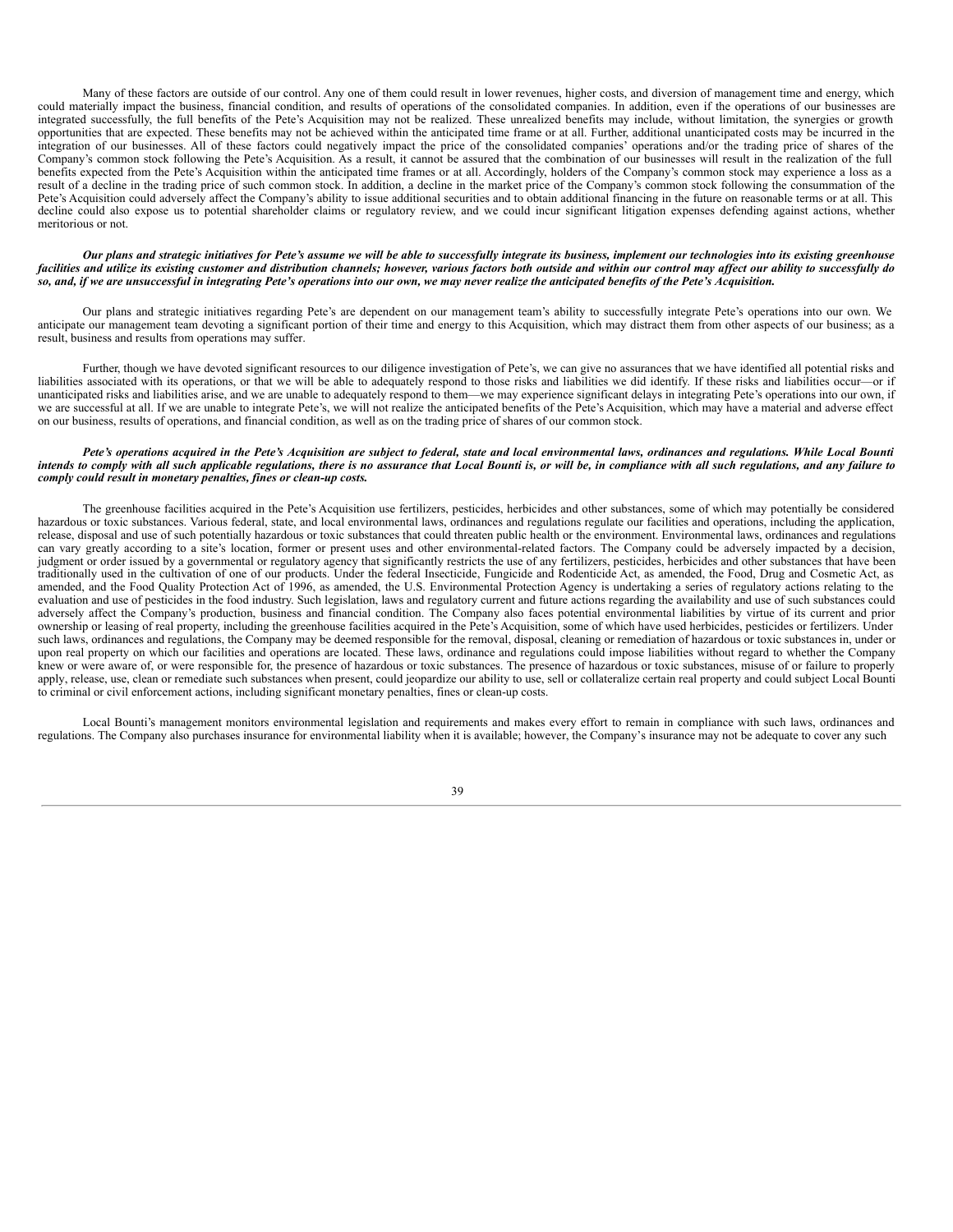Many of these factors are outside of our control. Any one of them could result in lower revenues, higher costs, and diversion of management time and energy, which could materially impact the business, financial condition, and results of operations of the consolidated companies. In addition, even if the operations of our businesses are integrated successfully, the full benefits of the Pete's Acquisition may not be realized. These unrealized benefits may include, without limitation, the synergies or growth opportunities that are expected. These benefits may not be achieved within the anticipated time frame or at all. Further, additional unanticipated costs may be incurred in the integration of our businesses. All of these factors could negatively impact the price of the consolidated companies' operations and/or the trading price of shares of the Company's common stock following the Pete's Acquisition. As a result, it cannot be assured that the combination of our businesses will result in the realization of the full benefits expected from the Pete's Acquisition within the anticipated time frames or at all. Accordingly, holders of the Company's common stock may experience a loss as a result of a decline in the trading price of such common stock. In addition, a decline in the market price of the Company's common stock following the consummation of the Pete's Acquisition could adversely affect the Company's ability to issue additional securities and to obtain additional financing in the future on reasonable terms or at all. This decline could also expose us to potential shareholder claims or regulatory review, and we could incur significant litigation expenses defending against actions, whether meritorious or not.

#### Our plans and strategic initiatives for Pete's assume we will be able to successfully integrate its business, implement our technologies into its existing greenhouse facilities and utilize its existing customer and distribution channels; however, various factors both outside and within our control may affect our ability to successfully do so, and, if we are unsuccessful in integrating Pete's operations into our own, we may never realize the anticipated benefits of the Pete's Acquisition.

Our plans and strategic initiatives regarding Pete's are dependent on our management team's ability to successfully integrate Pete's operations into our own. We anticipate our management team devoting a significant portion of their time and energy to this Acquisition, which may distract them from other aspects of our business; as a result, business and results from operations may suffer.

Further, though we have devoted significant resources to our diligence investigation of Pete's, we can give no assurances that we have identified all potential risks and liabilities associated with its operations, or that we will be able to adequately respond to those risks and liabilities we did identify. If these risks and liabilities occur—or if unanticipated risks and liabilities arise, and we are unable to adequately respond to them—we may experience significant delays in integrating Pete's operations into our own, if we are successful at all. If we are unable to integrate Pete's, we will not realize the anticipated benefits of the Pete's Acquisition, which may have a material and adverse effect on our business, results of operations, and financial condition, as well as on the trading price of shares of our common stock.

#### Pete's operations acquired in the Pete's Acquisition are subject to federal, state and local environmental laws, ordinances and regulations. While Local Bounti intends to comply with all such applicable regulations, there is no assurance that Local Bounti is, or will be, in compliance with all such regulations, and any failure to *comply could result in monetary penalties, fines or clean-up costs.*

The greenhouse facilities acquired in the Pete's Acquisition use fertilizers, pesticides, herbicides and other substances, some of which may potentially be considered hazardous or toxic substances. Various federal, state, and local environmental laws, ordinances and regulations regulate our facilities and operations, including the application, release, disposal and use of such potentially hazardous or toxic substances that could threaten public health or the environment. Environmental laws, ordinances and regulations can vary greatly according to a site's location, former or present uses and other environmental-related factors. The Company could be adversely impacted by a decision, judgment or order issued by a governmental or regulatory agency that significantly restricts the use of any fertilizers, pesticides, herbicides and other substances that have been traditionally used in the cultivation of one of our products. Under the federal Insecticide, Fungicide and Rodenticide Act, as amended, the Food, Drug and Cosmetic Act, as amended, and the Food Quality Protection Act of 1996, as amended, the U.S. Environmental Protection Agency is undertaking a series of regulatory actions relating to the evaluation and use of pesticides in the food industry. Such legislation, laws and regulatory current and future actions regarding the availability and use of such substances could adversely affect the Company's production, business and financial condition. The Company also faces potential environmental liabilities by virtue of its current and prior ownership or leasing of real property, including the greenhouse facilities acquired in the Pete's Acquisition, some of which have used herbicides, pesticides or fertilizers. Under such laws, ordinances and regulations, the Company may be deemed responsible for the removal, disposal, cleaning or remediation of hazardous or toxic substances in, under or upon real property on which our facilities and operations are located. These laws, ordinance and regulations could impose liabilities without regard to whether the Company knew or were aware of, or were responsible for, the presence of hazardous or toxic substances. The presence of hazardous or toxic substances, misuse of or failure to properly apply, release, use, clean or remediate such substances when present, could jeopardize our ability to use, sell or collateralize certain real property and could subject Local Bounti to criminal or civil enforcement actions, including significant monetary penalties, fines or clean-up costs.

Local Bounti's management monitors environmental legislation and requirements and makes every effort to remain in compliance with such laws, ordinances and regulations. The Company also purchases insurance for environmental liability when it is available; however, the Company's insurance may not be adequate to cover any such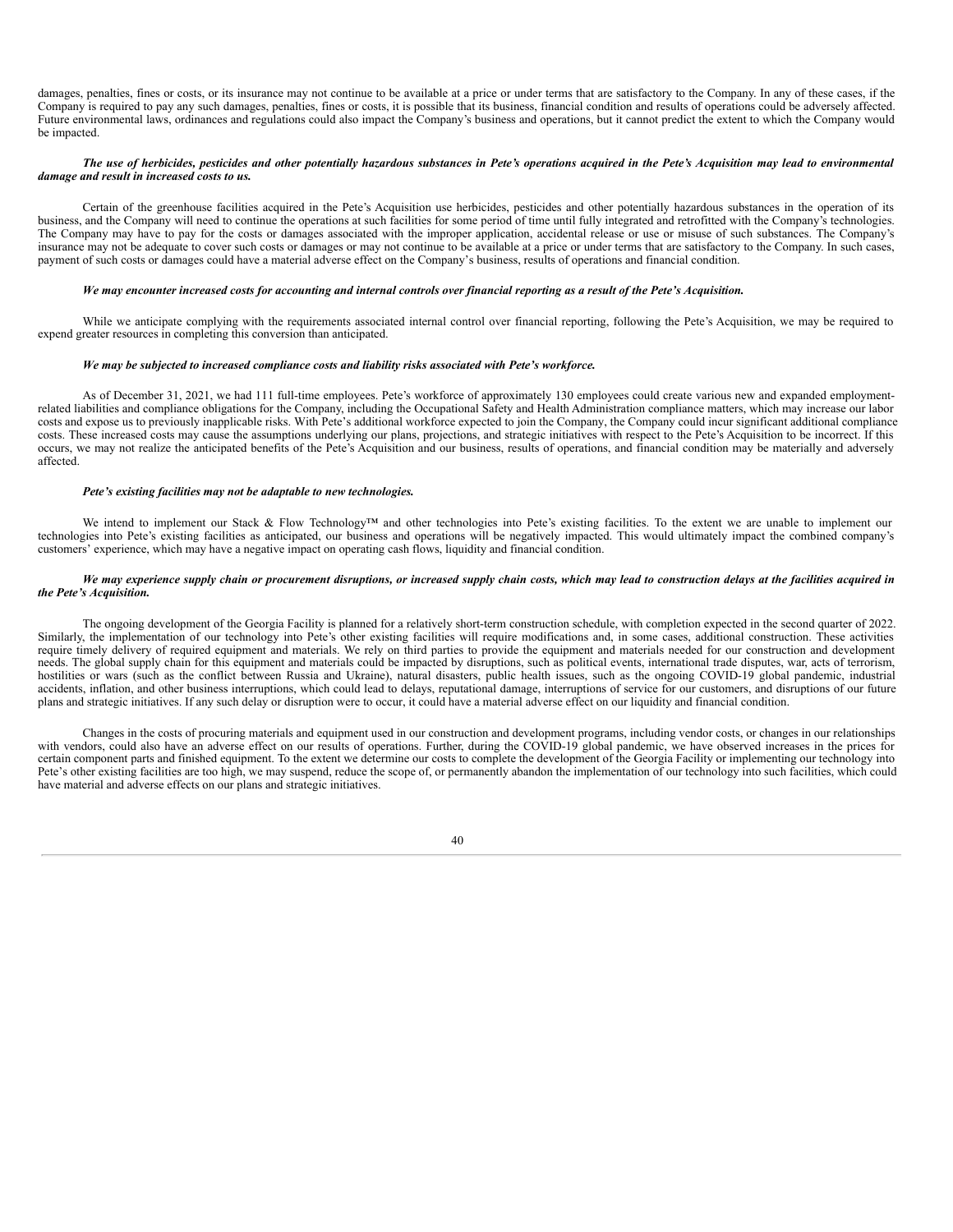damages, penalties, fines or costs, or its insurance may not continue to be available at a price or under terms that are satisfactory to the Company. In any of these cases, if the Company is required to pay any such damages, penalties, fines or costs, it is possible that its business, financial condition and results of operations could be adversely affected. Future environmental laws, ordinances and regulations could also impact the Company's business and operations, but it cannot predict the extent to which the Company would be impacted.

#### The use of herbicides, pesticides and other potentially hazardous substances in Pete's operations acquired in the Pete's Acquisition may lead to environmental *damage and result in increased costs to us.*

Certain of the greenhouse facilities acquired in the Pete's Acquisition use herbicides, pesticides and other potentially hazardous substances in the operation of its business, and the Company will need to continue the operations at such facilities for some period of time until fully integrated and retrofitted with the Company's technologies. The Company may have to pay for the costs or damages associated with the improper application, accidental release or use or misuse of such substances. The Company's insurance may not be adequate to cover such costs or damages or may not continue to be available at a price or under terms that are satisfactory to the Company. In such cases, payment of such costs or damages could have a material adverse effect on the Company's business, results of operations and financial condition.

#### We may encounter increased costs for accounting and internal controls over financial reporting as a result of the Pete's Acquisition.

While we anticipate complying with the requirements associated internal control over financial reporting, following the Pete's Acquisition, we may be required to expend greater resources in completing this conversion than anticipated.

#### *We may be subjected to increased compliance costs and liability risks associated with Pete's workforce.*

As of December 31, 2021, we had 111 full-time employees. Pete's workforce of approximately 130 employees could create various new and expanded employmentrelated liabilities and compliance obligations for the Company, including the Occupational Safety and Health Administration compliance matters, which may increase our labor costs and expose us to previously inapplicable risks. With Pete's additional workforce expected to join the Company, the Company could incur significant additional compliance costs. These increased costs may cause the assumptions underlying our plans, projections, and strategic initiatives with respect to the Pete's Acquisition to be incorrect. If this occurs, we may not realize the anticipated benefits of the Pete's Acquisition and our business, results of operations, and financial condition may be materially and adversely affected.

#### *Pete's existing facilities may not be adaptable to new technologies.*

We intend to implement our Stack & Flow Technology™ and other technologies into Pete's existing facilities. To the extent we are unable to implement our technologies into Pete's existing facilities as anticipated, our business and operations will be negatively impacted. This would ultimately impact the combined company's customers' experience, which may have a negative impact on operating cash flows, liquidity and financial condition.

#### We may experience supply chain or procurement disruptions, or increased supply chain costs, which may lead to construction delays at the facilities acquired in *the Pete's Acquisition.*

The ongoing development of the Georgia Facility is planned for a relatively short-term construction schedule, with completion expected in the second quarter of 2022. Similarly, the implementation of our technology into Pete's other existing facilities will require modifications and, in some cases, additional construction. These activities require timely delivery of required equipment and materials. We rely on third parties to provide the equipment and materials needed for our construction and development needs. The global supply chain for this equipment and materials could be impacted by disruptions, such as political events, international trade disputes, war, acts of terrorism, hostilities or wars (such as the conflict between Russia and Ukraine), natural disasters, public health issues, such as the ongoing COVID-19 global pandemic, industrial accidents, inflation, and other business interruptions, which could lead to delays, reputational damage, interruptions of service for our customers, and disruptions of our future plans and strategic initiatives. If any such delay or disruption were to occur, it could have a material adverse effect on our liquidity and financial condition.

Changes in the costs of procuring materials and equipment used in our construction and development programs, including vendor costs, or changes in our relationships with vendors, could also have an adverse effect on our results of operations. Further, during the COVID-19 global pandemic, we have observed increases in the prices for certain component parts and finished equipment. To the extent we determine our costs to complete the development of the Georgia Facility or implementing our technology into Pete's other existing facilities are too high, we may suspend, reduce the scope of, or permanently abandon the implementation of our technology into such facilities, which could have material and adverse effects on our plans and strategic initiatives.

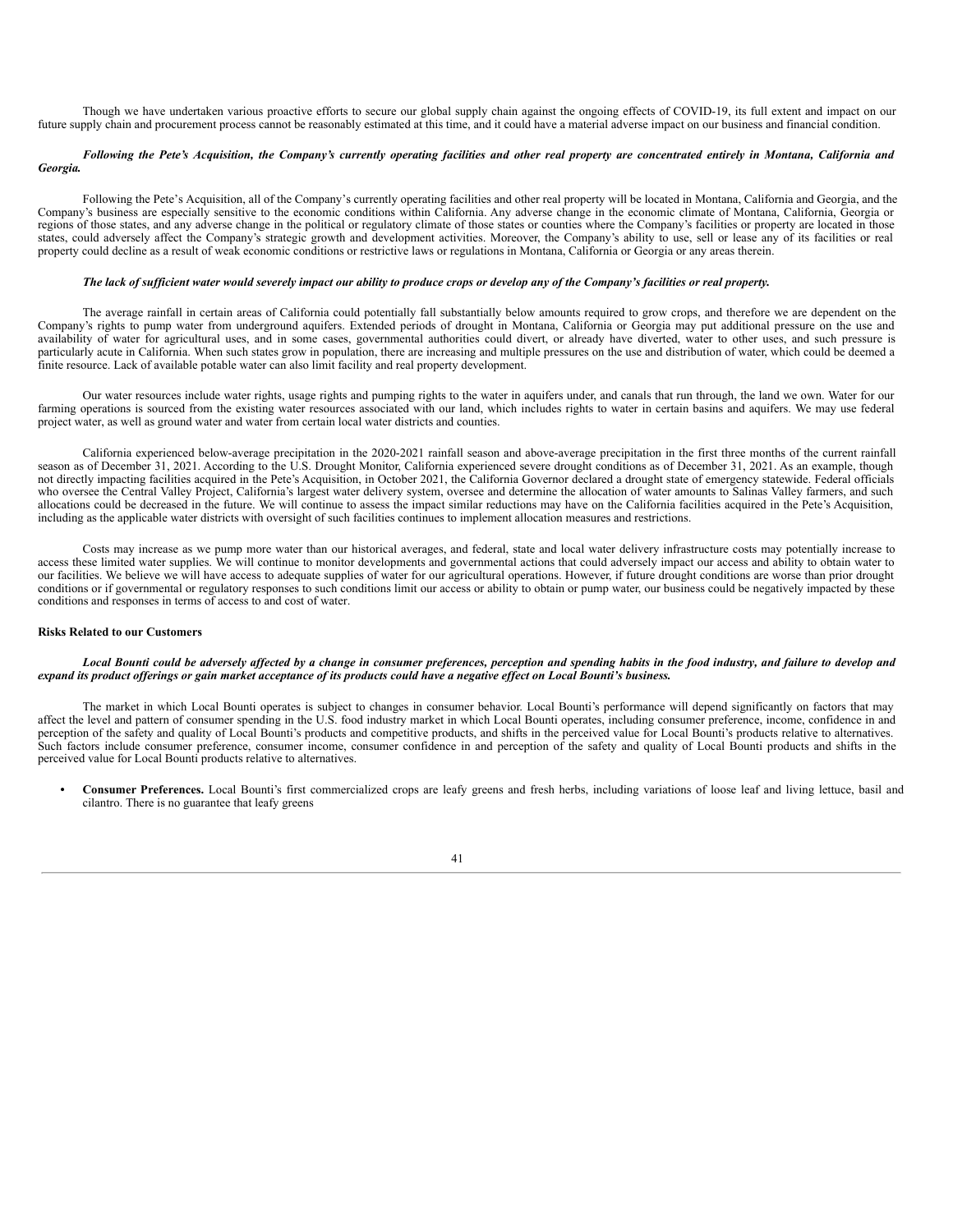Though we have undertaken various proactive efforts to secure our global supply chain against the ongoing effects of COVID-19, its full extent and impact on our future supply chain and procurement process cannot be reasonably estimated at this time, and it could have a material adverse impact on our business and financial condition.

#### Following the Pete's Acquisition, the Company's currently operating facilities and other real property are concentrated entirely in Montana, California and *Georgia.*

Following the Pete's Acquisition, all of the Company's currently operating facilities and other real property will be located in Montana, California and Georgia, and the Company's business are especially sensitive to the economic conditions within California. Any adverse change in the economic climate of Montana, California, Georgia or regions of those states, and any adverse change in the political or regulatory climate of those states or counties where the Company's facilities or property are located in those states, could adversely affect the Company's strategic growth and development activities. Moreover, the Company's ability to use, sell or lease any of its facilities or real property could decline as a result of weak economic conditions or restrictive laws or regulations in Montana, California or Georgia or any areas therein.

#### The lack of sufficient water would severely impact our ability to produce crops or develop any of the Company's facilities or real property.

The average rainfall in certain areas of California could potentially fall substantially below amounts required to grow crops, and therefore we are dependent on the Company's rights to pump water from underground aquifers. Extended periods of drought in Montana, California or Georgia may put additional pressure on the use and availability of water for agricultural uses, and in some cases, governmental authorities could divert, or already have diverted, water to other uses, and such pressure is particularly acute in California. When such states grow in population, there are increasing and multiple pressures on the use and distribution of water, which could be deemed a finite resource. Lack of available potable water can also limit facility and real property development.

Our water resources include water rights, usage rights and pumping rights to the water in aquifers under, and canals that run through, the land we own. Water for our farming operations is sourced from the existing water resources associated with our land, which includes rights to water in certain basins and aquifers. We may use federal project water, as well as ground water and water from certain local water districts and counties.

California experienced below-average precipitation in the 2020-2021 rainfall season and above-average precipitation in the first three months of the current rainfall season as of December 31, 2021. According to the U.S. Drought Monitor, California experienced severe drought conditions as of December 31, 2021. As an example, though not directly impacting facilities acquired in the Pete's Acquisition, in October 2021, the California Governor declared a drought state of emergency statewide. Federal officials who oversee the Central Valley Project, California's largest water delivery system, oversee and determine the allocation of water amounts to Salinas Valley farmers, and such allocations could be decreased in the future. We will continue to assess the impact similar reductions may have on the California facilities acquired in the Pete's Acquisition, including as the applicable water districts with oversight of such facilities continues to implement allocation measures and restrictions.

Costs may increase as we pump more water than our historical averages, and federal, state and local water delivery infrastructure costs may potentially increase to access these limited water supplies. We will continue to monitor developments and governmental actions that could adversely impact our access and ability to obtain water to our facilities. We believe we will have access to adequate supplies of water for our agricultural operations. However, if future drought conditions are worse than prior drought conditions or if governmental or regulatory responses to such conditions limit our access or ability to obtain or pump water, our business could be negatively impacted by these conditions and responses in terms of access to and cost of water.

#### **Risks Related to our Customers**

#### Local Bounti could be adversely affected by a change in consumer preferences, perception and spending habits in the food industry, and failure to develop and expand its product offerings or gain market acceptance of its products could have a negative effect on Local Bounti's business.

The market in which Local Bounti operates is subject to changes in consumer behavior. Local Bounti's performance will depend significantly on factors that may affect the level and pattern of consumer spending in the U.S. food industry market in which Local Bounti operates, including consumer preference, income, confidence in and perception of the safety and quality of Local Bounti's products and competitive products, and shifts in the perceived value for Local Bounti's products relative to alternatives. Such factors include consumer preference, consumer income, consumer confidence in and perception of the safety and quality of Local Bounti products and shifts in the perceived value for Local Bounti products relative to alternatives.

*•* **Consumer Preferences.** Local Bounti's first commercialized crops are leafy greens and fresh herbs, including variations of loose leaf and living lettuce, basil and cilantro. There is no guarantee that leafy greens

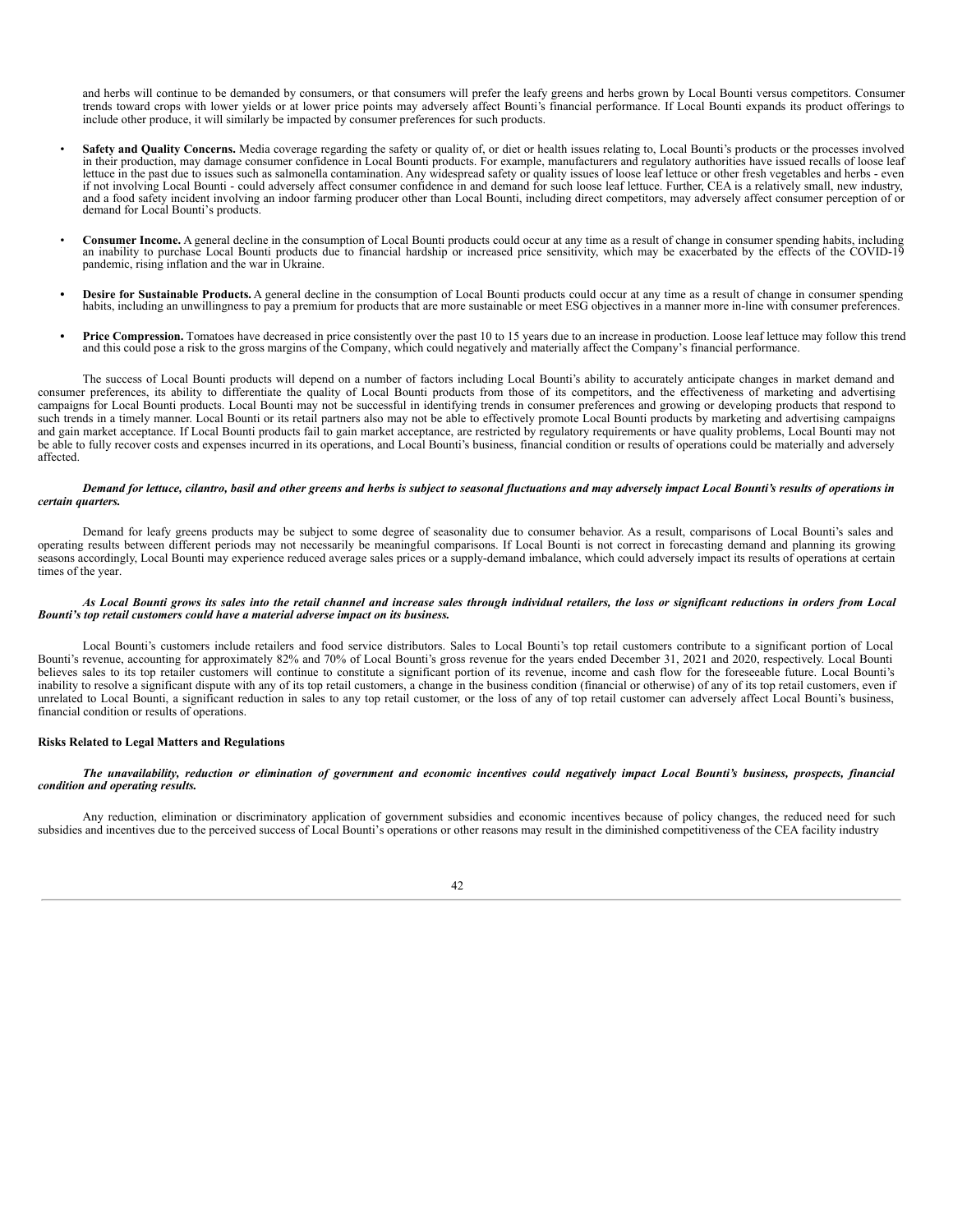and herbs will continue to be demanded by consumers, or that consumers will prefer the leafy greens and herbs grown by Local Bounti versus competitors. Consumer trends toward crops with lower yields or at lower price points may adversely affect Bounti's financial performance. If Local Bounti expands its product offerings to include other produce, it will similarly be impacted by consumer preferences for such products.

- Safety and Quality Concerns. Media coverage regarding the safety or quality of, or diet or health issues relating to, Local Bounti's products or the processes involved in their production, may damage consumer confidence lettuce in the past due to issues such as salmonella contamination. Any widespread safety or quality issues of loose leaf lettuce or other fresh vegetables and herbs - even if not involving Local Bounti - could adversely affect consumer confidence in and demand for such loose leaf lettuce. Further, CEA is a relatively small, new industry, and a food safety incident involving an indoor farming producer other than Local Bounti, including direct competitors, may adversely affect consumer perception of or demand for Local Bounti's products.
- **Consumer Income.** A general decline in the consumption of Local Bounti products could occur at any time as a result of change in consumer spending habits, including an inability to purchase Local Bounti products due to financial hardship or increased price sensitivity, which may be exacerbated by the effects of the COVID-19 pandemic, rising inflation and the war in Ukraine.
- **• Desire for Sustainable Products.** A general decline in the consumption of Local Bounti products could occur at any time as a result of change in consumer spending habits, including an unwillingness to pay a premium for products that are more sustainable or meet ESG objectives in a manner more in-line with consumer preferences.
- **• Price Compression.** Tomatoes have decreased in price consistently over the past 10 to 15 years due to an increase in production. Loose leaf lettuce may follow this trend and this could pose a risk to the gross margins of the Company, which could negatively and materially affect the Company's financial performance.

The success of Local Bounti products will depend on a number of factors including Local Bounti's ability to accurately anticipate changes in market demand and consumer preferences, its ability to differentiate the quality of Local Bounti products from those of its competitors, and the effectiveness of marketing and advertising campaigns for Local Bounti products. Local Bounti may not be successful in identifying trends in consumer preferences and growing or developing products that respond to such trends in a timely manner. Local Bounti or its retail partners also may not be able to effectively promote Local Bounti products by marketing and advertising campaigns and gain market acceptance. If Local Bounti products fail to gain market acceptance, are restricted by regulatory requirements or have quality problems, Local Bounti may not be able to fully recover costs and expenses incurred in its operations, and Local Bounti's business, financial condition or results of operations could be materially and adversely affected.

#### Demand for lettuce, cilantro, basil and other greens and herbs is subject to seasonal fluctuations and may adversely impact Local Bounti's results of operations in *certain quarters.*

Demand for leafy greens products may be subject to some degree of seasonality due to consumer behavior. As a result, comparisons of Local Bounti's sales and operating results between different periods may not necessarily be meaningful comparisons. If Local Bounti is not correct in forecasting demand and planning its growing seasons accordingly, Local Bounti may experience reduced average sales prices or a supply-demand imbalance, which could adversely impact its results of operations at certain times of the year.

#### As Local Bounti grows its sales into the retail channel and increase sales through individual retailers, the loss or significant reductions in orders from Local *Bounti's top retail customers could have a material adverse impact on its business.*

Local Bounti's customers include retailers and food service distributors. Sales to Local Bounti's top retail customers contribute to a significant portion of Local Bounti's revenue, accounting for approximately 82% and 70% of Local Bounti's gross revenue for the years ended December 31, 2021 and 2020, respectively. Local Bounti believes sales to its top retailer customers will continue to constitute a significant portion of its revenue, income and cash flow for the foreseeable future. Local Bounti's inability to resolve a significant dispute with any of its top retail customers, a change in the business condition (financial or otherwise) of any of its top retail customers, even if unrelated to Local Bounti, a significant reduction in sales to any top retail customer, or the loss of any of top retail customer can adversely affect Local Bounti's business, financial condition or results of operations.

#### **Risks Related to Legal Matters and Regulations**

#### The unavailability, reduction or elimination of government and economic incentives could negatively impact Local Bounti's business, prospects, financial *condition and operating results.*

Any reduction, elimination or discriminatory application of government subsidies and economic incentives because of policy changes, the reduced need for such subsidies and incentives due to the perceived success of Local Bounti's operations or other reasons may result in the diminished competitiveness of the CEA facility industry

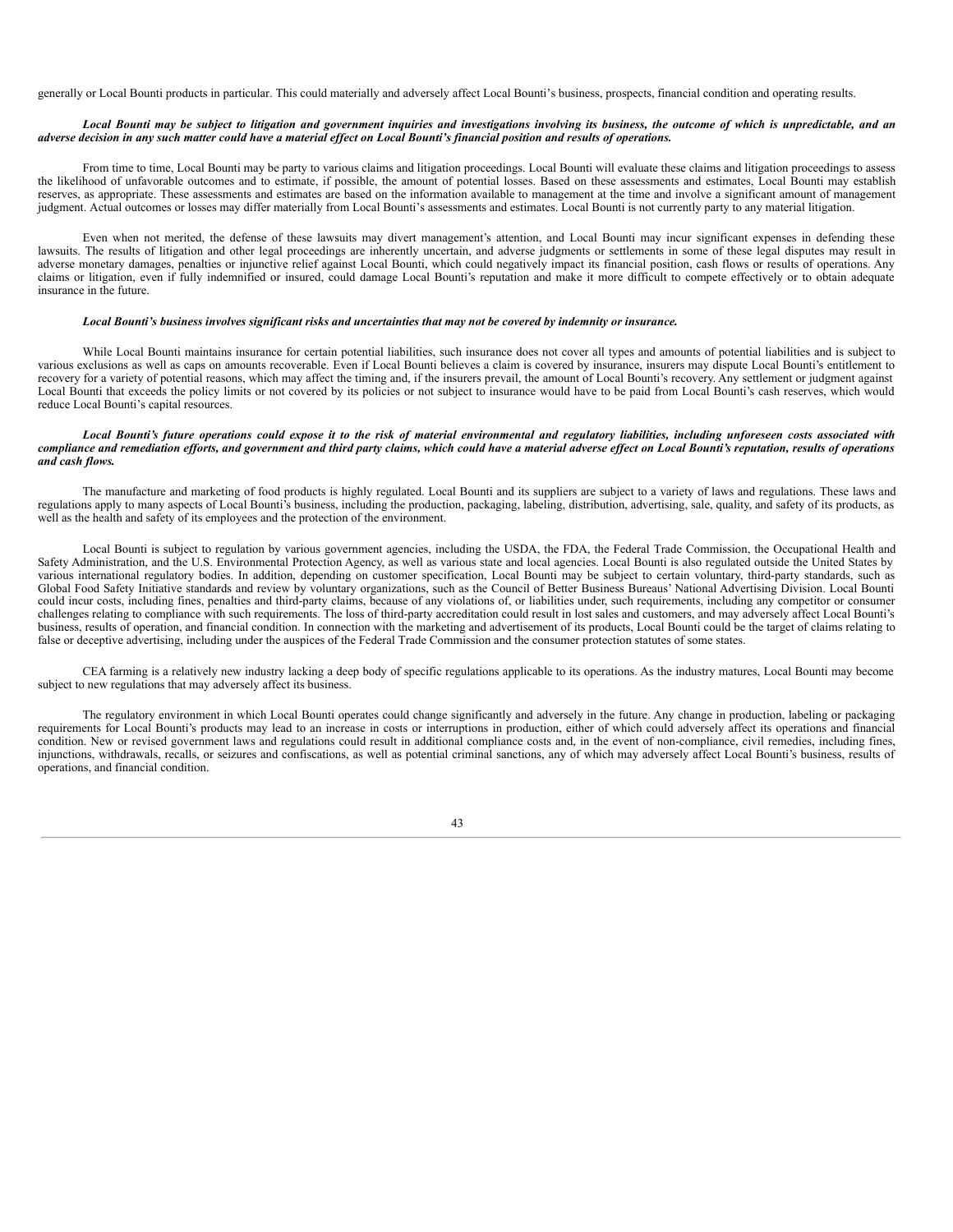generally or Local Bounti products in particular. This could materially and adversely affect Local Bounti's business, prospects, financial condition and operating results.

#### Local Bounti may be subject to litigation and government inquiries and investigations involving its business, the outcome of which is unpredictable, and an adverse decision in any such matter could have a material effect on Local Bounti's financial position and results of operations.

From time to time, Local Bounti may be party to various claims and litigation proceedings. Local Bounti will evaluate these claims and litigation proceedings to assess the likelihood of unfavorable outcomes and to estimate, if possible, the amount of potential losses. Based on these assessments and estimates, Local Bounti may establish reserves, as appropriate. These assessments and estimates are based on the information available to management at the time and involve a significant amount of management judgment. Actual outcomes or losses may differ materially from Local Bounti's assessments and estimates. Local Bounti is not currently party to any material litigation.

Even when not merited, the defense of these lawsuits may divert management's attention, and Local Bounti may incur significant expenses in defending these lawsuits. The results of litigation and other legal proceedings are inherently uncertain, and adverse judgments or settlements in some of these legal disputes may result in adverse monetary damages, penalties or injunctive relief against Local Bounti, which could negatively impact its financial position, cash flows or results of operations. Any claims or litigation, even if fully indemnified or insured, could damage Local Bounti's reputation and make it more difficult to compete effectively or to obtain adequate insurance in the future.

#### Local Bounti's business involves significant risks and uncertainties that may not be covered by indemnity or insurance.

While Local Bounti maintains insurance for certain potential liabilities, such insurance does not cover all types and amounts of potential liabilities and is subject to various exclusions as well as caps on amounts recoverable. Even if Local Bounti believes a claim is covered by insurance, insurers may dispute Local Bounti's entitlement to recovery for a variety of potential reasons, which may affect the timing and, if the insurers prevail, the amount of Local Bounti's recovery. Any settlement or judgment against Local Bounti that exceeds the policy limits or not covered by its policies or not subject to insurance would have to be paid from Local Bounti's cash reserves, which would reduce Local Bounti's capital resources.

#### Local Bounti's future operations could expose it to the risk of material environmental and regulatory liabilities, including unforeseen costs associated with compliance and remediation efforts, and government and third party claims, which could have a material adverse effect on Local Bounti's reputation, results of operations *and cash flows.*

The manufacture and marketing of food products is highly regulated. Local Bounti and its suppliers are subject to a variety of laws and regulations. These laws and regulations apply to many aspects of Local Bounti's business, including the production, packaging, labeling, distribution, advertising, sale, quality, and safety of its products, as well as the health and safety of its employees and the protection of the environment.

Local Bounti is subject to regulation by various government agencies, including the USDA, the FDA, the Federal Trade Commission, the Occupational Health and Safety Administration, and the U.S. Environmental Protection Agency, as well as various state and local agencies. Local Bounti is also regulated outside the United States by various international regulatory bodies. In addition, depending on customer specification, Local Bounti may be subject to certain voluntary, third-party standards, such as Global Food Safety Initiative standards and review by voluntary organizations, such as the Council of Better Business Bureaus' National Advertising Division. Local Bounti could incur costs, including fines, penalties and third-party claims, because of any violations of, or liabilities under, such requirements, including any competitor or consumer challenges relating to compliance with such requirements. The loss of third-party accreditation could result in lost sales and customers, and may adversely affect Local Bounti's business, results of operation, and financial condition. In connection with the marketing and advertisement of its products, Local Bounti could be the target of claims relating to false or deceptive advertising, including under the auspices of the Federal Trade Commission and the consumer protection statutes of some states.

CEA farming is a relatively new industry lacking a deep body of specific regulations applicable to its operations. As the industry matures, Local Bounti may become subject to new regulations that may adversely affect its business.

The regulatory environment in which Local Bounti operates could change significantly and adversely in the future. Any change in production, labeling or packaging requirements for Local Bounti's products may lead to an increase in costs or interruptions in production, either of which could adversely affect its operations and financial condition. New or revised government laws and regulations could result in additional compliance costs and, in the event of non-compliance, civil remedies, including fines, injunctions, withdrawals, recalls, or seizures and confiscations, as well as potential criminal sanctions, any of which may adversely affect Local Bounti's business, results of operations, and financial condition.

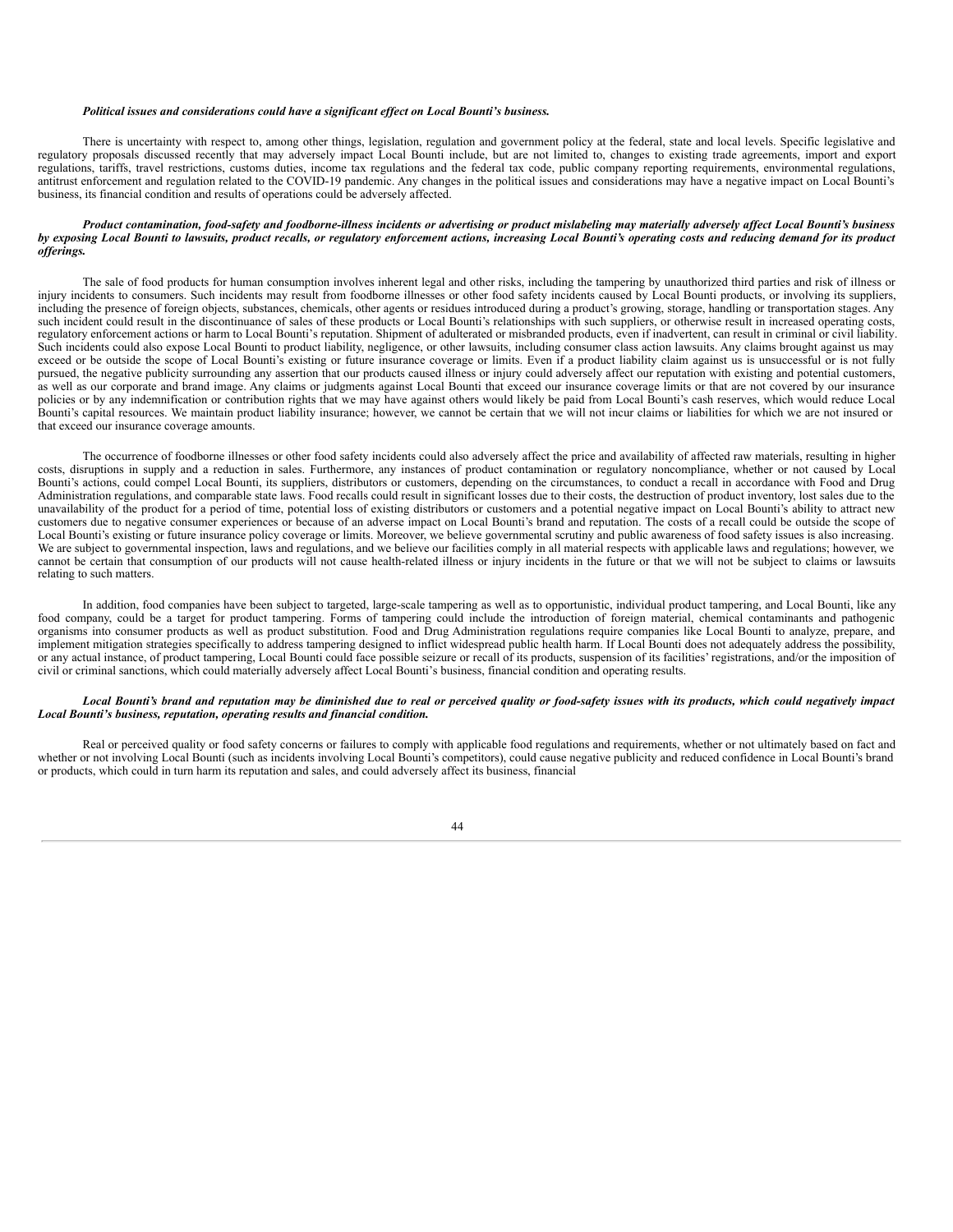#### *Political issues and considerations could have a significant ef ect on Local Bounti's business.*

There is uncertainty with respect to, among other things, legislation, regulation and government policy at the federal, state and local levels. Specific legislative and regulatory proposals discussed recently that may adversely impact Local Bounti include, but are not limited to, changes to existing trade agreements, import and export regulations, tariffs, travel restrictions, customs duties, income tax regulations and the federal tax code, public company reporting requirements, environmental regulations, antitrust enforcement and regulation related to the COVID-19 pandemic. Any changes in the political issues and considerations may have a negative impact on Local Bounti's business, its financial condition and results of operations could be adversely affected.

#### Product contamination, food-safety and foodborne-illness incidents or advertising or product mislabeling may materially adversely affect Local Bounti's business by exposing Local Bounti to lawsuits, product recalls, or regulatory enforcement actions, increasing Local Bounti's operating costs and reducing demand for its product *of erings.*

The sale of food products for human consumption involves inherent legal and other risks, including the tampering by unauthorized third parties and risk of illness or injury incidents to consumers. Such incidents may result from foodborne illnesses or other food safety incidents caused by Local Bounti products, or involving its suppliers, including the presence of foreign objects, substances, chemicals, other agents or residues introduced during a product's growing, storage, handling or transportation stages. Any such incident could result in the discontinuance of sales of these products or Local Bounti's relationships with such suppliers, or otherwise result in increased operating costs, regulatory enforcement actions or harm to Local Bounti's reputation. Shipment of adulterated or misbranded products, even if inadvertent, can result in criminal or civil liability. Such incidents could also expose Local Bounti to product liability, negligence, or other lawsuits, including consumer class action lawsuits. Any claims brought against us may exceed or be outside the scope of Local Bounti's existing or future insurance coverage or limits. Even if a product liability claim against us is unsuccessful or is not fully pursued, the negative publicity surrounding any assertion that our products caused illness or injury could adversely affect our reputation with existing and potential customers, as well as our corporate and brand image. Any claims or judgments against Local Bounti that exceed our insurance coverage limits or that are not covered by our insurance policies or by any indemnification or contribution rights that we may have against others would likely be paid from Local Bounti's cash reserves, which would reduce Local Bounti's capital resources. We maintain product liability insurance; however, we cannot be certain that we will not incur claims or liabilities for which we are not insured or that exceed our insurance coverage amounts.

The occurrence of foodborne illnesses or other food safety incidents could also adversely affect the price and availability of affected raw materials, resulting in higher costs, disruptions in supply and a reduction in sales. Furthermore, any instances of product contamination or regulatory noncompliance, whether or not caused by Local Bounti's actions, could compel Local Bounti, its suppliers, distributors or customers, depending on the circumstances, to conduct a recall in accordance with Food and Drug Administration regulations, and comparable state laws. Food recalls could result in significant losses due to their costs, the destruction of product inventory, lost sales due to the unavailability of the product for a period of time, potential loss of existing distributors or customers and a potential negative impact on Local Bounti's ability to attract new customers due to negative consumer experiences or because of an adverse impact on Local Bounti's brand and reputation. The costs of a recall could be outside the scope of Local Bounti's existing or future insurance policy coverage or limits. Moreover, we believe governmental scrutiny and public awareness of food safety issues is also increasing. We are subject to governmental inspection, laws and regulations, and we believe our facilities comply in all material respects with applicable laws and regulations; however, we cannot be certain that consumption of our products will not cause health-related illness or injury incidents in the future or that we will not be subject to claims or lawsuits relating to such matters.

In addition, food companies have been subject to targeted, large-scale tampering as well as to opportunistic, individual product tampering, and Local Bounti, like any food company, could be a target for product tampering. Forms of tampering could include the introduction of foreign material, chemical contaminants and pathogenic organisms into consumer products as well as product substitution. Food and Drug Administration regulations require companies like Local Bounti to analyze, prepare, and implement mitigation strategies specifically to address tampering designed to inflict widespread public health harm. If Local Bounti does not adequately address the possibility, or any actual instance, of product tampering, Local Bounti could face possible seizure or recall of its products, suspension of its facilities' registrations, and/or the imposition of civil or criminal sanctions, which could materially adversely affect Local Bounti's business, financial condition and operating results.

#### Local Bounti's brand and reputation may be diminished due to real or perceived quality or food-safety issues with its products, which could negatively impact *Local Bounti's business, reputation, operating results and financial condition.*

Real or perceived quality or food safety concerns or failures to comply with applicable food regulations and requirements, whether or not ultimately based on fact and whether or not involving Local Bounti (such as incidents involving Local Bounti's competitors), could cause negative publicity and reduced confidence in Local Bounti's brand or products, which could in turn harm its reputation and sales, and could adversely affect its business, financial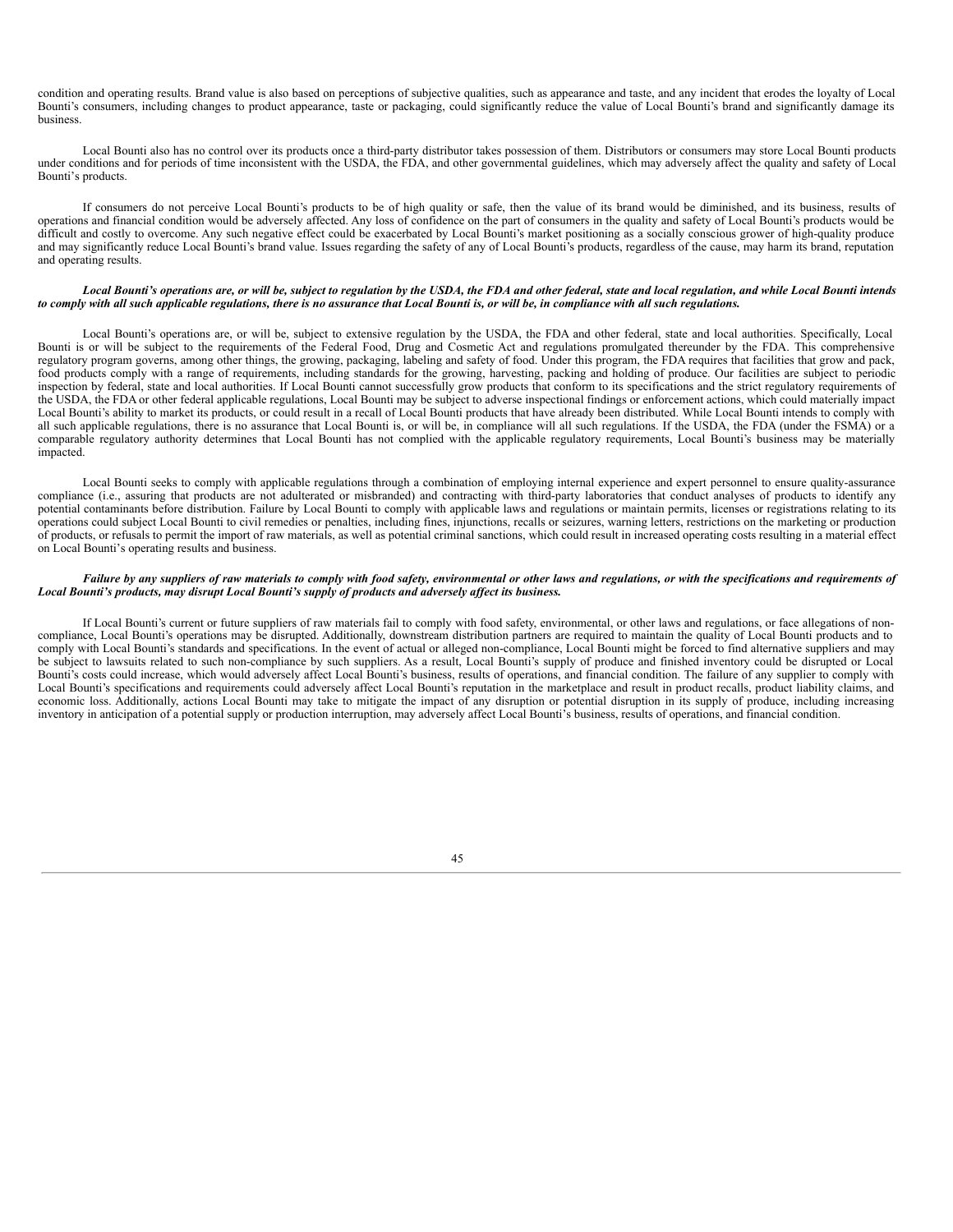condition and operating results. Brand value is also based on perceptions of subjective qualities, such as appearance and taste, and any incident that erodes the loyalty of Local Bounti's consumers, including changes to product appearance, taste or packaging, could significantly reduce the value of Local Bounti's brand and significantly damage its business.

Local Bounti also has no control over its products once a third-party distributor takes possession of them. Distributors or consumers may store Local Bounti products under conditions and for periods of time inconsistent with the USDA, the FDA, and other governmental guidelines, which may adversely affect the quality and safety of Local Bounti's products.

If consumers do not perceive Local Bounti's products to be of high quality or safe, then the value of its brand would be diminished, and its business, results of operations and financial condition would be adversely affected. Any loss of confidence on the part of consumers in the quality and safety of Local Bounti's products would be difficult and costly to overcome. Any such negative effect could be exacerbated by Local Bounti's market positioning as a socially conscious grower of high-quality produce and may significantly reduce Local Bounti's brand value. Issues regarding the safety of any of Local Bounti's products, regardless of the cause, may harm its brand, reputation and operating results.

#### Local Bounti's operations are, or will be, subject to regulation by the USDA, the FDA and other federal, state and local regulation, and while Local Bounti intends to comply with all such applicable regulations, there is no assurance that Local Bounti is, or will be, in compliance with all such regulations.

Local Bounti's operations are, or will be, subject to extensive regulation by the USDA, the FDA and other federal, state and local authorities. Specifically, Local Bounti is or will be subject to the requirements of the Federal Food, Drug and Cosmetic Act and regulations promulgated thereunder by the FDA. This comprehensive regulatory program governs, among other things, the growing, packaging, labeling and safety of food. Under this program, the FDA requires that facilities that grow and pack, food products comply with a range of requirements, including standards for the growing, harvesting, packing and holding of produce. Our facilities are subject to periodic inspection by federal, state and local authorities. If Local Bounti cannot successfully grow products that conform to its specifications and the strict regulatory requirements of the USDA, the FDA or other federal applicable regulations, Local Bounti may be subject to adverse inspectional findings or enforcement actions, which could materially impact Local Bounti's ability to market its products, or could result in a recall of Local Bounti products that have already been distributed. While Local Bounti intends to comply with all such applicable regulations, there is no assurance that Local Bounti is, or will be, in compliance will all such regulations. If the USDA, the FDA (under the FSMA) or a comparable regulatory authority determines that Local Bounti has not complied with the applicable regulatory requirements, Local Bounti's business may be materially impacted.

Local Bounti seeks to comply with applicable regulations through a combination of employing internal experience and expert personnel to ensure quality-assurance compliance (i.e., assuring that products are not adulterated or misbranded) and contracting with third-party laboratories that conduct analyses of products to identify any potential contaminants before distribution. Failure by Local Bounti to comply with applicable laws and regulations or maintain permits, licenses or registrations relating to its operations could subject Local Bounti to civil remedies or penalties, including fines, injunctions, recalls or seizures, warning letters, restrictions on the marketing or production of products, or refusals to permit the import of raw materials, as well as potential criminal sanctions, which could result in increased operating costs resulting in a material effect on Local Bounti's operating results and business.

#### Failure by any suppliers of raw materials to comply with food safety, environmental or other laws and regulations, or with the specifications and requirements of *Local Bounti's products, may disrupt Local Bounti's supply of products and adversely af ect its business.*

If Local Bounti's current or future suppliers of raw materials fail to comply with food safety, environmental, or other laws and regulations, or face allegations of noncompliance, Local Bounti's operations may be disrupted. Additionally, downstream distribution partners are required to maintain the quality of Local Bounti products and to comply with Local Bounti's standards and specifications. In the event of actual or alleged non-compliance, Local Bounti might be forced to find alternative suppliers and may be subject to lawsuits related to such non-compliance by such suppliers. As a result, Local Bounti's supply of produce and finished inventory could be disrupted or Local Bounti's costs could increase, which would adversely affect Local Bounti's business, results of operations, and financial condition. The failure of any supplier to comply with Local Bounti's specifications and requirements could adversely affect Local Bounti's reputation in the marketplace and result in product recalls, product liability claims, and economic loss. Additionally, actions Local Bounti may take to mitigate the impact of any disruption or potential disruption in its supply of produce, including increasing inventory in anticipation of a potential supply or production interruption, may adversely affect Local Bounti's business, results of operations, and financial condition.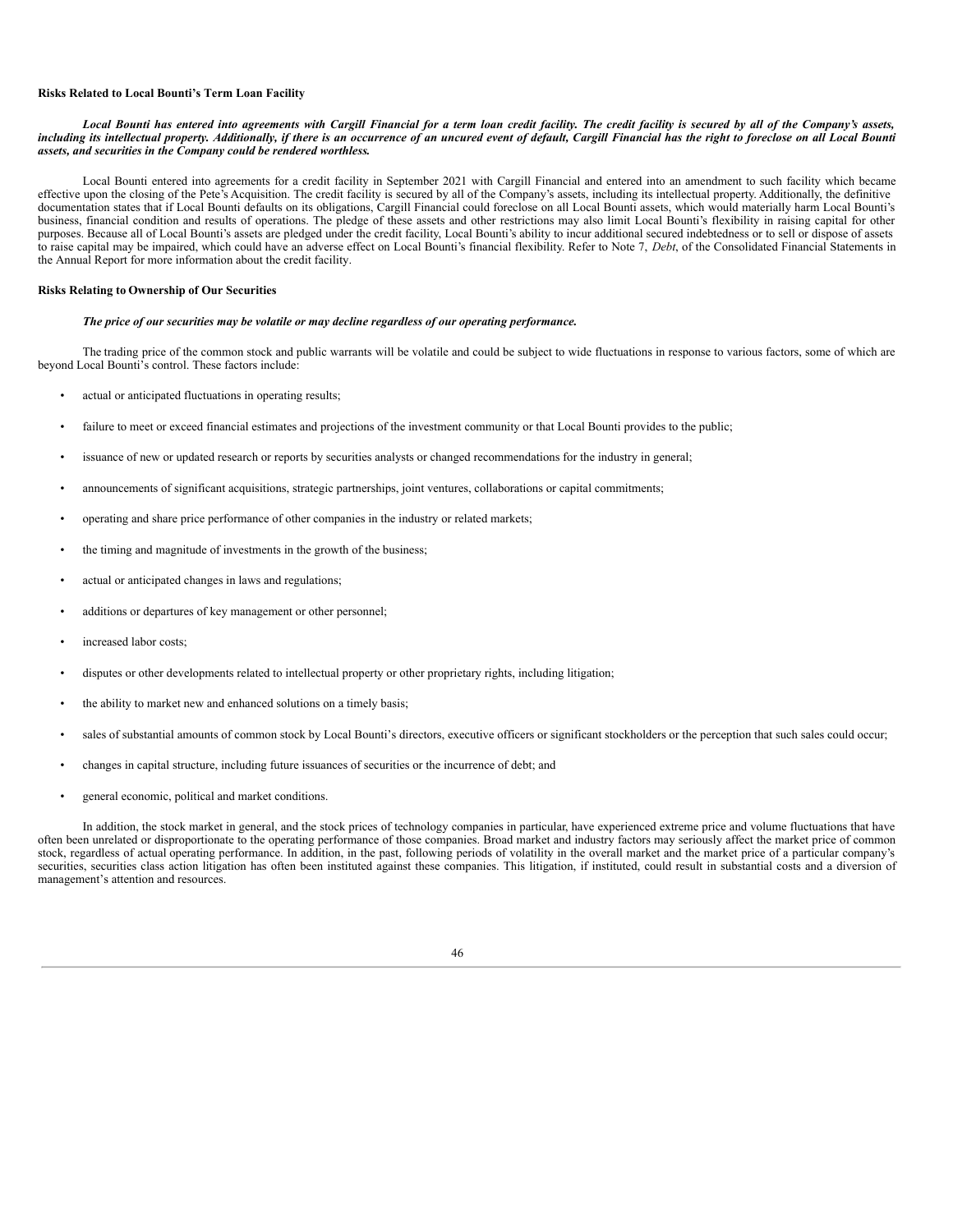#### **Risks Related to Local Bounti's Term Loan Facility**

#### Local Bounti has entered into agreements with Cargill Financial for a term loan credit facility. The credit facility is secured by all of the Company's assets, including its intellectual property. Additionally, if there is an occurrence of an uncured event of default, Cargill Financial has the right to foreclose on all Local Bounti *assets, and securities in the Company could be rendered worthless.*

Local Bounti entered into agreements for a credit facility in September 2021 with Cargill Financial and entered into an amendment to such facility which became effective upon the closing of the Pete's Acquisition. The credit facility is secured by all of the Company's assets, including its intellectual property. Additionally, the definitive documentation states that if Local Bounti defaults on its obligations, Cargill Financial could foreclose on all Local Bounti assets, which would materially harm Local Bounti's business, financial condition and results of operations. The pledge of these assets and other restrictions may also limit Local Bounti's flexibility in raising capital for other purposes. Because all of Local Bounti's assets are pledged under the credit facility, Local Bounti's ability to incur additional secured indebtedness or to sell or dispose of assets to raise capital may be impaired, which could have an adverse effect on Local Bounti's financial flexibility. Refer to Note 7, *Debt*, of the Consolidated Financial Statements in the Annual Report for more information about the credit facility.

#### **Risks Relating to Ownership of Our Securities**

#### *The price of our securities may be volatile or may decline regardless of our operating performance.*

The trading price of the common stock and public warrants will be volatile and could be subject to wide fluctuations in response to various factors, some of which are beyond Local Bounti's control. These factors include:

- actual or anticipated fluctuations in operating results;
- failure to meet or exceed financial estimates and projections of the investment community or that Local Bounti provides to the public;
- issuance of new or updated research or reports by securities analysts or changed recommendations for the industry in general;
- announcements of significant acquisitions, strategic partnerships, joint ventures, collaborations or capital commitments;
- operating and share price performance of other companies in the industry or related markets;
- the timing and magnitude of investments in the growth of the business;
- actual or anticipated changes in laws and regulations;
- additions or departures of key management or other personnel;
- increased labor costs:
- disputes or other developments related to intellectual property or other proprietary rights, including litigation;
- the ability to market new and enhanced solutions on a timely basis;
- sales of substantial amounts of common stock by Local Bounti's directors, executive officers or significant stockholders or the perception that such sales could occur;
- changes in capital structure, including future issuances of securities or the incurrence of debt; and
- general economic, political and market conditions.

In addition, the stock market in general, and the stock prices of technology companies in particular, have experienced extreme price and volume fluctuations that have often been unrelated or disproportionate to the operating performance of those companies. Broad market and industry factors may seriously affect the market price of common stock, regardless of actual operating performance. In addition, in the past, following periods of volatility in the overall market and the market price of a particular company's securities, securities class action litigation has often been instituted against these companies. This litigation, if instituted, could result in substantial costs and a diversion of management's attention and resources.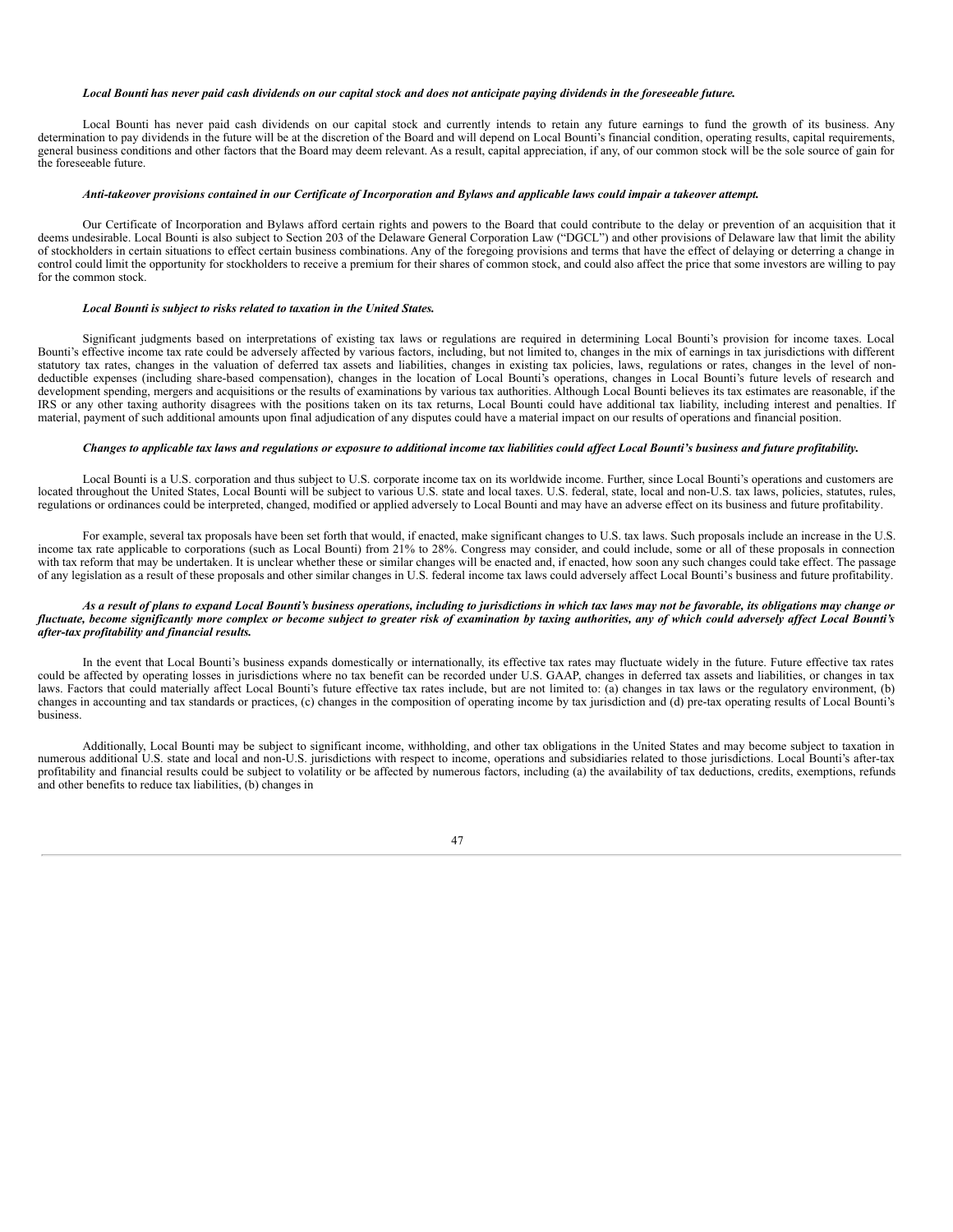#### Local Bounti has never paid cash dividends on our capital stock and does not anticipate paying dividends in the foreseeable future.

Local Bounti has never paid cash dividends on our capital stock and currently intends to retain any future earnings to fund the growth of its business. Any determination to pay dividends in the future will be at the discretion of the Board and will depend on Local Bounti's financial condition, operating results, capital requirements, general business conditions and other factors that the Board may deem relevant. As a result, capital appreciation, if any, of our common stock will be the sole source of gain for the foreseeable future.

#### Anti-takeover provisions contained in our Certificate of Incorporation and Bylaws and applicable laws could impair a takeover attempt.

Our Certificate of Incorporation and Bylaws afford certain rights and powers to the Board that could contribute to the delay or prevention of an acquisition that it deems undesirable. Local Bounti is also subject to Section 203 of the Delaware General Corporation Law ("DGCL") and other provisions of Delaware law that limit the ability of stockholders in certain situations to effect certain business combinations. Any of the foregoing provisions and terms that have the effect of delaying or deterring a change in control could limit the opportunity for stockholders to receive a premium for their shares of common stock, and could also affect the price that some investors are willing to pay for the common stock.

#### *Local Bounti is subject to risks related to taxation in the United States.*

Significant judgments based on interpretations of existing tax laws or regulations are required in determining Local Bounti's provision for income taxes. Local Bounti's effective income tax rate could be adversely affected by various factors, including, but not limited to, changes in the mix of earnings in tax jurisdictions with different statutory tax rates, changes in the valuation of deferred tax assets and liabilities, changes in existing tax policies, laws, regulations or rates, changes in the level of nondeductible expenses (including share-based compensation), changes in the location of Local Bounti's operations, changes in Local Bounti's future levels of research and development spending, mergers and acquisitions or the results of examinations by various tax authorities. Although Local Bounti believes its tax estimates are reasonable, if the IRS or any other taxing authority disagrees with the positions taken on its tax returns, Local Bounti could have additional tax liability, including interest and penalties. If material, payment of such additional amounts upon final adjudication of any disputes could have a material impact on our results of operations and financial position.

#### Changes to applicable tax laws and regulations or exposure to additional income tax liabilities could affect Local Bounti's business and future profitability.

Local Bounti is a U.S. corporation and thus subject to U.S. corporate income tax on its worldwide income. Further, since Local Bounti's operations and customers are located throughout the United States, Local Bounti will be subject to various U.S. state and local taxes. U.S. federal, state, local and non-U.S. tax laws, policies, statutes, rules, regulations or ordinances could be interpreted, changed, modified or applied adversely to Local Bounti and may have an adverse effect on its business and future profitability.

For example, several tax proposals have been set forth that would, if enacted, make significant changes to U.S. tax laws. Such proposals include an increase in the U.S. income tax rate applicable to corporations (such as Local Bounti) from 21% to 28%. Congress may consider, and could include, some or all of these proposals in connection with tax reform that may be undertaken. It is unclear whether these or similar changes will be enacted and, if enacted, how soon any such changes could take effect. The passage of any legislation as a result of these proposals and other similar changes in U.S. federal income tax laws could adversely affect Local Bounti's business and future profitability.

#### As a result of plans to expand Local Bounti's business operations, including to jurisdictions in which tax laws may not be favorable, its obligations may change or fluctuate, become significantly more complex or become subject to greater risk of examination by taxing authorities, any of which could adversely affect Local Bounti's *after-tax profitability and financial results.*

In the event that Local Bounti's business expands domestically or internationally, its effective tax rates may fluctuate widely in the future. Future effective tax rates could be affected by operating losses in jurisdictions where no tax benefit can be recorded under U.S. GAAP, changes in deferred tax assets and liabilities, or changes in tax laws. Factors that could materially affect Local Bounti's future effective tax rates include, but are not limited to: (a) changes in tax laws or the regulatory environment, (b) changes in accounting and tax standards or practices, (c) changes in the composition of operating income by tax jurisdiction and (d) pre-tax operating results of Local Bounti's business.

Additionally, Local Bounti may be subject to significant income, withholding, and other tax obligations in the United States and may become subject to taxation in numerous additional U.S. state and local and non-U.S. jurisdictions with respect to income, operations and subsidiaries related to those jurisdictions. Local Bounti's after-tax profitability and financial results could be subject to volatility or be affected by numerous factors, including (a) the availability of tax deductions, credits, exemptions, refunds and other benefits to reduce tax liabilities, (b) changes in

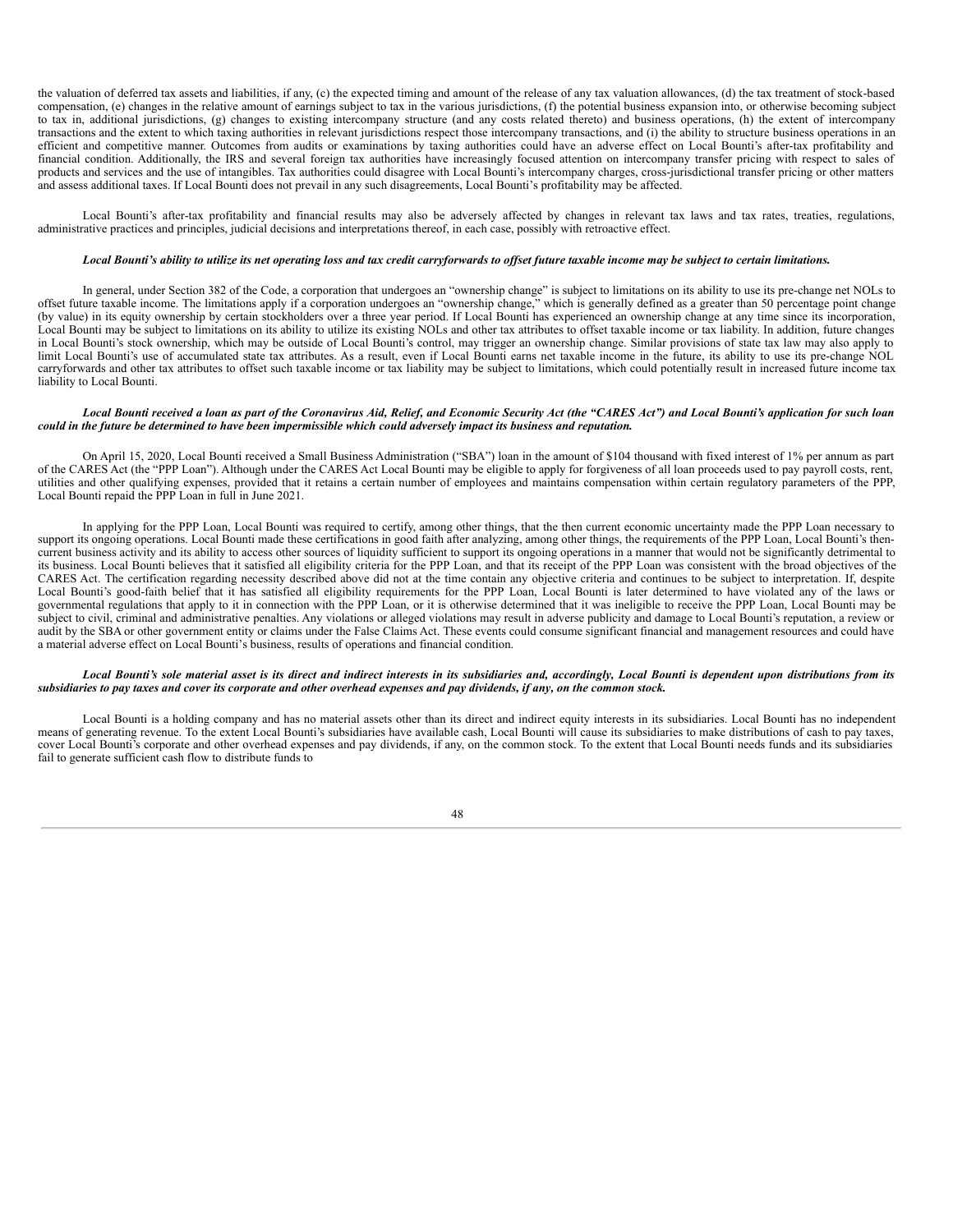the valuation of deferred tax assets and liabilities, if any, (c) the expected timing and amount of the release of any tax valuation allowances, (d) the tax treatment of stock-based compensation, (e) changes in the relative amount of earnings subject to tax in the various jurisdictions, (f) the potential business expansion into, or otherwise becoming subject to tax in, additional jurisdictions, (g) changes to existing intercompany structure (and any costs related thereto) and business operations, (h) the extent of intercompany transactions and the extent to which taxing authorities in relevant jurisdictions respect those intercompany transactions, and (i) the ability to structure business operations in an efficient and competitive manner. Outcomes from audits or examinations by taxing authorities could have an adverse effect on Local Bounti's after-tax profitability and financial condition. Additionally, the IRS and several foreign tax authorities have increasingly focused attention on intercompany transfer pricing with respect to sales of products and services and the use of intangibles. Tax authorities could disagree with Local Bounti's intercompany charges, cross-jurisdictional transfer pricing or other matters and assess additional taxes. If Local Bounti does not prevail in any such disagreements, Local Bounti's profitability may be affected.

Local Bounti's after-tax profitability and financial results may also be adversely affected by changes in relevant tax laws and tax rates, treaties, regulations, administrative practices and principles, judicial decisions and interpretations thereof, in each case, possibly with retroactive effect.

#### Local Bounti's ability to utilize its net operating loss and tax credit carryforwards to offset future taxable income may be subject to certain limitations.

In general, under Section 382 of the Code, a corporation that undergoes an "ownership change" is subject to limitations on its ability to use its pre-change net NOLs to offset future taxable income. The limitations apply if a corporation undergoes an "ownership change," which is generally defined as a greater than 50 percentage point change (by value) in its equity ownership by certain stockholders over a three year period. If Local Bounti has experienced an ownership change at any time since its incorporation, Local Bounti may be subject to limitations on its ability to utilize its existing NOLs and other tax attributes to offset taxable income or tax liability. In addition, future changes in Local Bounti's stock ownership, which may be outside of Local Bounti's control, may trigger an ownership change. Similar provisions of state tax law may also apply to limit Local Bounti's use of accumulated state tax attributes. As a result, even if Local Bounti earns net taxable income in the future, its ability to use its pre-change NOL carryforwards and other tax attributes to offset such taxable income or tax liability may be subject to limitations, which could potentially result in increased future income tax liability to Local Bounti.

#### Local Bounti received a loan as part of the Coronavirus Aid, Relief, and Economic Security Act (the "CARES Act") and Local Bounti's application for such loan could in the future be determined to have been impermissible which could adversely impact its business and reputation.

On April 15, 2020, Local Bounti received a Small Business Administration ("SBA") loan in the amount of \$104 thousand with fixed interest of 1% per annum as part of the CARES Act (the "PPP Loan"). Although under the CARES Act Local Bounti may be eligible to apply for forgiveness of all loan proceeds used to pay payroll costs, rent, utilities and other qualifying expenses, provided that it retains a certain number of employees and maintains compensation within certain regulatory parameters of the PPP, Local Bounti repaid the PPP Loan in full in June 2021.

In applying for the PPP Loan, Local Bounti was required to certify, among other things, that the then current economic uncertainty made the PPP Loan necessary to support its ongoing operations. Local Bounti made these certifications in good faith after analyzing, among other things, the requirements of the PPP Loan, Local Bounti's thencurrent business activity and its ability to access other sources of liquidity sufficient to support its ongoing operations in a manner that would not be significantly detrimental to its business. Local Bounti believes that it satisfied all eligibility criteria for the PPP Loan, and that its receipt of the PPP Loan was consistent with the broad objectives of the CARES Act. The certification regarding necessity described above did not at the time contain any objective criteria and continues to be subject to interpretation. If, despite Local Bounti's good-faith belief that it has satisfied all eligibility requirements for the PPP Loan, Local Bounti is later determined to have violated any of the laws or governmental regulations that apply to it in connection with the PPP Loan, or it is otherwise determined that it was ineligible to receive the PPP Loan, Local Bounti may be subject to civil, criminal and administrative penalties. Any violations or alleged violations may result in adverse publicity and damage to Local Bounti's reputation, a review or audit by the SBA or other government entity or claims under the False Claims Act. These events could consume significant financial and management resources and could have a material adverse effect on Local Bounti's business, results of operations and financial condition.

#### Local Bounti's sole material asset is its direct and indirect interests in its subsidiaries and, accordingly, Local Bounti is dependent upon distributions from its subsidiaries to pay taxes and cover its corporate and other overhead expenses and pay dividends, if any, on the common stock.

Local Bounti is a holding company and has no material assets other than its direct and indirect equity interests in its subsidiaries. Local Bounti has no independent means of generating revenue. To the extent Local Bounti's subsidiaries have available cash, Local Bounti will cause its subsidiaries to make distributions of cash to pay taxes, cover Local Bounti's corporate and other overhead expenses and pay dividends, if any, on the common stock. To the extent that Local Bounti needs funds and its subsidiaries fail to generate sufficient cash flow to distribute funds to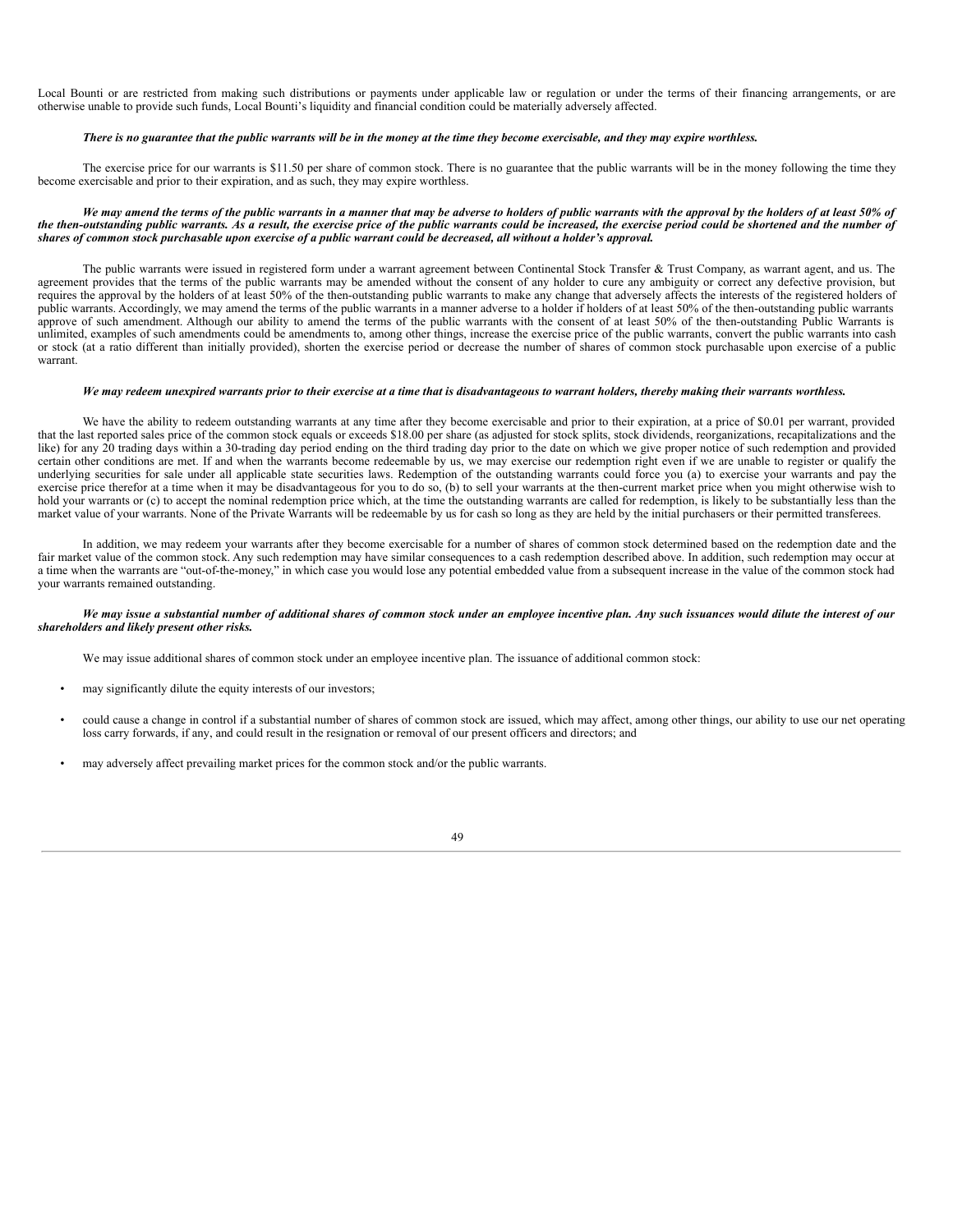Local Bounti or are restricted from making such distributions or payments under applicable law or regulation or under the terms of their financing arrangements, or are otherwise unable to provide such funds, Local Bounti's liquidity and financial condition could be materially adversely affected.

#### There is no guarantee that the public warrants will be in the money at the time they become exercisable, and they may expire worthless.

The exercise price for our warrants is \$11.50 per share of common stock. There is no guarantee that the public warrants will be in the money following the time they become exercisable and prior to their expiration, and as such, they may expire worthless.

#### We may amend the terms of the public warrants in a manner that may be adverse to holders of public warrants with the approval by the holders of at least 50% of the then-outstanding public warrants. As a result, the exercise price of the public warrants could be increased, the exercise period could be shortened and the number of shares of common stock purchasable upon exercise of a public warrant could be decreased, all without a holder's approval.

The public warrants were issued in registered form under a warrant agreement between Continental Stock Transfer & Trust Company, as warrant agent, and us. The agreement provides that the terms of the public warrants may be amended without the consent of any holder to cure any ambiguity or correct any defective provision, but requires the approval by the holders of at least 50% of the then-outstanding public warrants to make any change that adversely affects the interests of the registered holders of public warrants. Accordingly, we may amend the terms of the public warrants in a manner adverse to a holder if holders of at least 50% of the then-outstanding public warrants approve of such amendment. Although our ability to amend the terms of the public warrants with the consent of at least 50% of the then-outstanding Public Warrants is unlimited, examples of such amendments could be amendments to, among other things, increase the exercise price of the public warrants, convert the public warrants into cash or stock (at a ratio different than initially provided), shorten the exercise period or decrease the number of shares of common stock purchasable upon exercise of a public warrant.

#### We may redeem unexpired warrants prior to their exercise at a time that is disadvantageous to warrant holders, thereby making their warrants worthless.

We have the ability to redeem outstanding warrants at any time after they become exercisable and prior to their expiration, at a price of \$0.01 per warrant, provided that the last reported sales price of the common stock equals or exceeds \$18.00 per share (as adjusted for stock splits, stock dividends, reorganizations, recapitalizations and the like) for any 20 trading days within a 30-trading day period ending on the third trading day prior to the date on which we give proper notice of such redemption and provided certain other conditions are met. If and when the warrants become redeemable by us, we may exercise our redemption right even if we are unable to register or qualify the underlying securities for sale under all applicable state securities laws. Redemption of the outstanding warrants could force you (a) to exercise your warrants and pay the exercise price therefor at a time when it may be disadvantageous for you to do so, (b) to sell your warrants at the then-current market price when you might otherwise wish to hold your warrants or (c) to accept the nominal redemption price which, at the time the outstanding warrants are called for redemption, is likely to be substantially less than the market value of your warrants. None of the Private Warrants will be redeemable by us for cash so long as they are held by the initial purchasers or their permitted transferees.

In addition, we may redeem your warrants after they become exercisable for a number of shares of common stock determined based on the redemption date and the fair market value of the common stock. Any such redemption may have similar consequences to a cash redemption described above. In addition, such redemption may occur at a time when the warrants are "out-of-the-money," in which case you would lose any potential embedded value from a subsequent increase in the value of the common stock had your warrants remained outstanding.

#### We may issue a substantial number of additional shares of common stock under an employee incentive plan. Any such issuances would dilute the interest of our *shareholders and likely present other risks.*

We may issue additional shares of common stock under an employee incentive plan. The issuance of additional common stock:

- may significantly dilute the equity interests of our investors;
- could cause a change in control if a substantial number of shares of common stock are issued, which may affect, among other things, our ability to use our net operating loss carry forwards, if any, and could result in the resignation or removal of our present officers and directors; and
- may adversely affect prevailing market prices for the common stock and/or the public warrants.

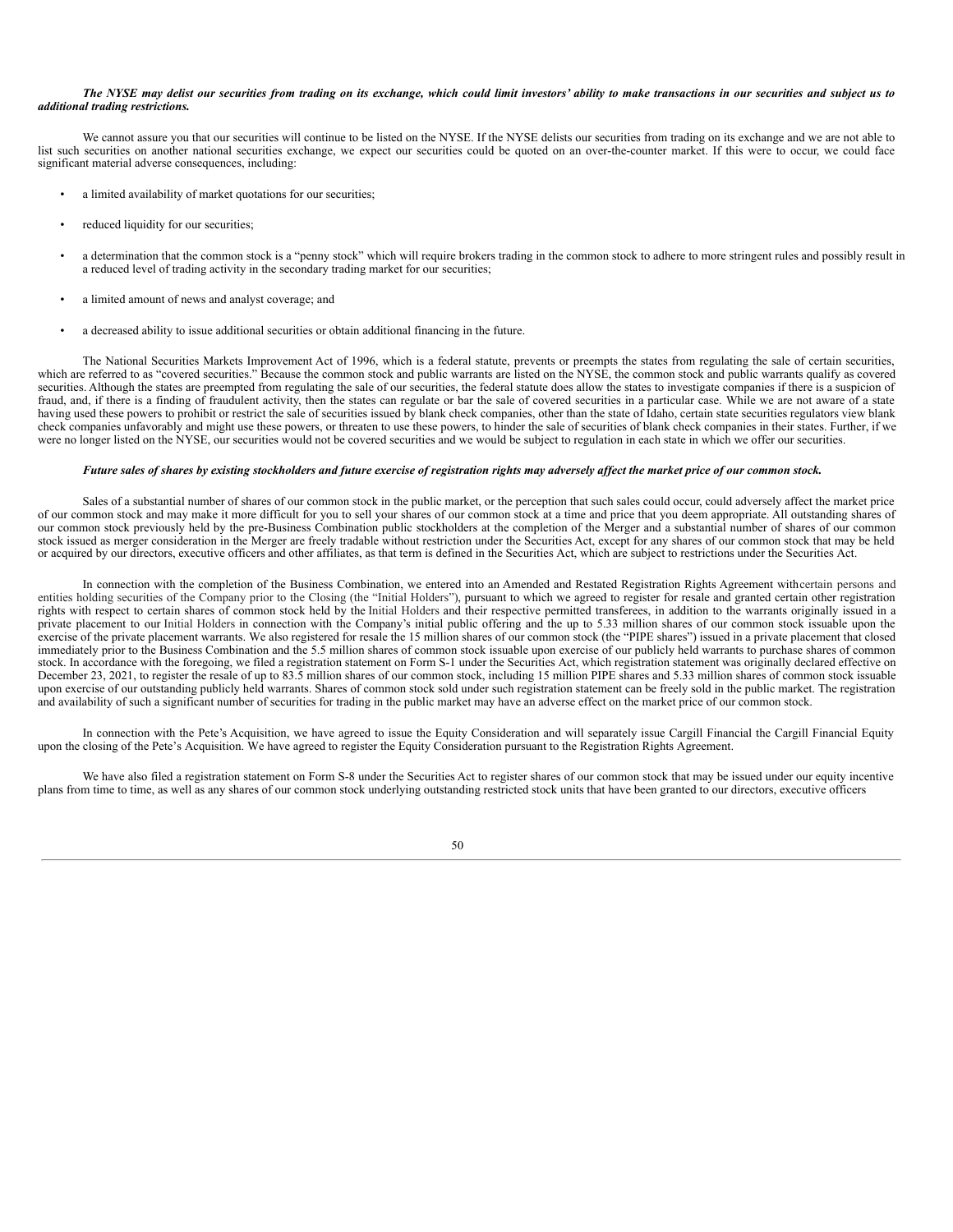#### The NYSE may delist our securities from trading on its exchange, which could limit investors' ability to make transactions in our securities and subject us to *additional trading restrictions.*

We cannot assure you that our securities will continue to be listed on the NYSE. If the NYSE delists our securities from trading on its exchange and we are not able to list such securities on another national securities exchange, we expect our securities could be quoted on an over-the-counter market. If this were to occur, we could face significant material adverse consequences, including:

- a limited availability of market quotations for our securities;
- reduced liquidity for our securities;
- a determination that the common stock is a "penny stock" which will require brokers trading in the common stock to adhere to more stringent rules and possibly result in a reduced level of trading activity in the secondary trading market for our securities;
- a limited amount of news and analyst coverage; and
- a decreased ability to issue additional securities or obtain additional financing in the future.

The National Securities Markets Improvement Act of 1996, which is a federal statute, prevents or preempts the states from regulating the sale of certain securities, which are referred to as "covered securities." Because the common stock and public warrants are listed on the NYSE, the common stock and public warrants qualify as covered securities. Although the states are preempted from regulating the sale of our securities, the federal statute does allow the states to investigate companies if there is a suspicion of fraud, and, if there is a finding of fraudulent activity, then the states can regulate or bar the sale of covered securities in a particular case. While we are not aware of a state having used these powers to prohibit or restrict the sale of securities issued by blank check companies, other than the state of Idaho, certain state securities regulators view blank check companies unfavorably and might use these powers, or threaten to use these powers, to hinder the sale of securities of blank check companies in their states. Further, if we were no longer listed on the NYSE, our securities would not be covered securities and we would be subject to regulation in each state in which we offer our securities.

#### Future sales of shares by existing stockholders and future exercise of registration rights may adversely affect the market price of our common stock.

Sales of a substantial number of shares of our common stock in the public market, or the perception that such sales could occur, could adversely affect the market price of our common stock and may make it more difficult for you to sell your shares of our common stock at a time and price that you deem appropriate. All outstanding shares of our common stock previously held by the pre-Business Combination public stockholders at the completion of the Merger and a substantial number of shares of our common stock issued as merger consideration in the Merger are freely tradable without restriction under the Securities Act, except for any shares of our common stock that may be held or acquired by our directors, executive officers and other affiliates, as that term is defined in the Securities Act, which are subject to restrictions under the Securities Act.

In connection with the completion of the Business Combination, we entered into an Amended and Restated Registration Rights Agreement withcertain persons and entities holding securities of the Company prior to the Closing (the "Initial Holders"), pursuant to which we agreed to register for resale and granted certain other registration rights with respect to certain shares of common stock held by the Initial Holders and their respective permitted transferees, in addition to the warrants originally issued in a private placement to our Initial Holders in connection with the Company's initial public offering and the up to 5.33 million shares of our common stock issuable upon the exercise of the private placement warrants. We also registered for resale the 15 million shares of our common stock (the "PIPE shares") issued in a private placement that closed immediately prior to the Business Combination and the 5.5 million shares of common stock issuable upon exercise of our publicly held warrants to purchase shares of common stock. In accordance with the foregoing, we filed a registration statement on Form S-1 under the Securities Act, which registration statement was originally declared effective on December 23, 2021, to register the resale of up to 83.5 million shares of our common stock, including 15 million PIPE shares and 5.33 million shares of common stock issuable upon exercise of our outstanding publicly held warrants. Shares of common stock sold under such registration statement can be freely sold in the public market. The registration and availability of such a significant number of securities for trading in the public market may have an adverse effect on the market price of our common stock.

In connection with the Pete's Acquisition, we have agreed to issue the Equity Consideration and will separately issue Cargill Financial the Cargill Financial Equity upon the closing of the Pete's Acquisition. We have agreed to register the Equity Consideration pursuant to the Registration Rights Agreement.

We have also filed a registration statement on Form S-8 under the Securities Act to register shares of our common stock that may be issued under our equity incentive plans from time to time, as well as any shares of our common stock underlying outstanding restricted stock units that have been granted to our directors, executive officers

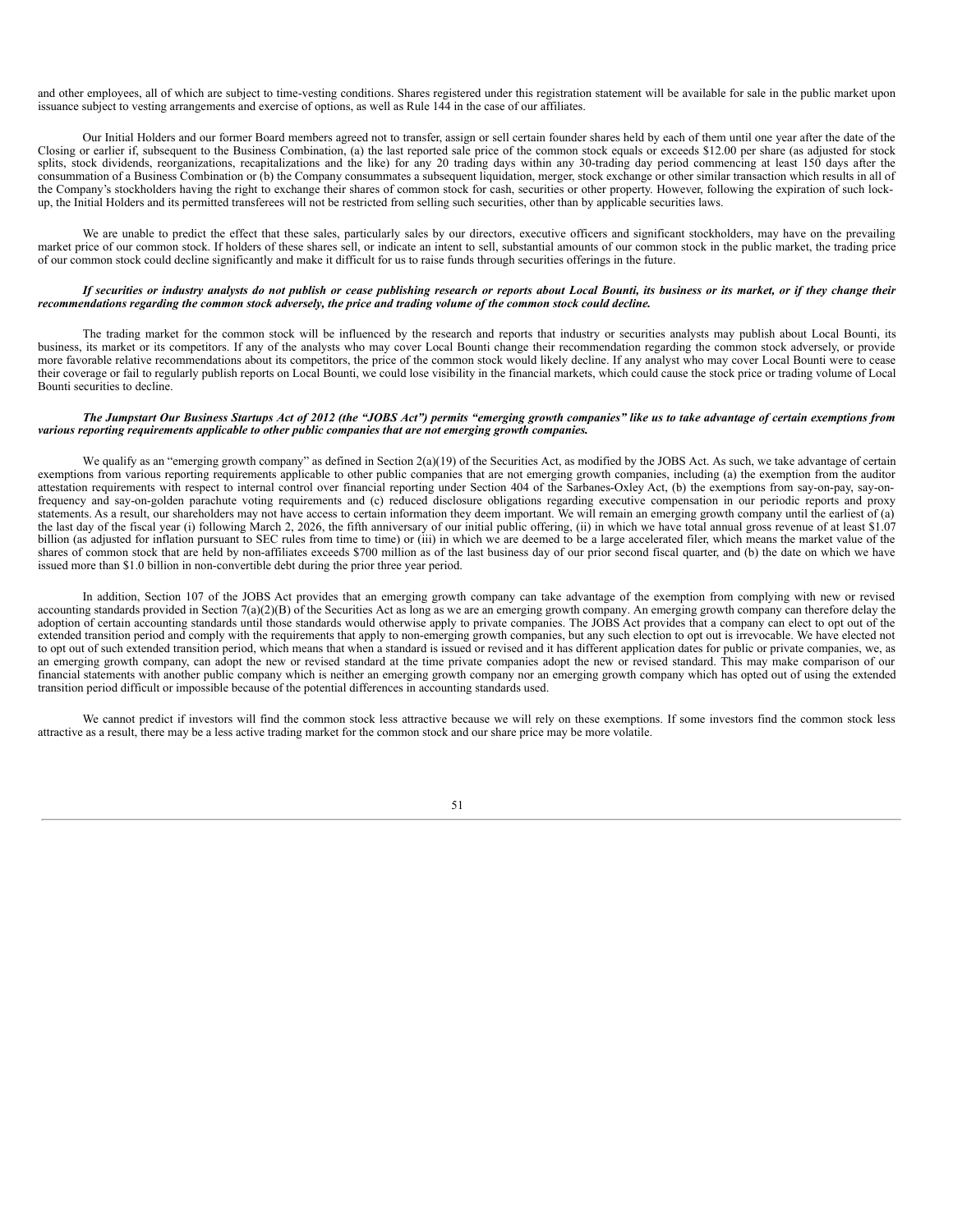and other employees, all of which are subject to time-vesting conditions. Shares registered under this registration statement will be available for sale in the public market upon issuance subject to vesting arrangements and exercise of options, as well as Rule 144 in the case of our affiliates.

Our Initial Holders and our former Board members agreed not to transfer, assign or sell certain founder shares held by each of them until one year after the date of the Closing or earlier if, subsequent to the Business Combination, (a) the last reported sale price of the common stock equals or exceeds \$12.00 per share (as adjusted for stock splits, stock dividends, reorganizations, recapitalizations and the like) for any 20 trading days within any 30-trading day period commencing at least 150 days after the consummation of a Business Combination or (b) the Company consummates a subsequent liquidation, merger, stock exchange or other similar transaction which results in all of the Company's stockholders having the right to exchange their shares of common stock for cash, securities or other property. However, following the expiration of such lockup, the Initial Holders and its permitted transferees will not be restricted from selling such securities, other than by applicable securities laws.

We are unable to predict the effect that these sales, particularly sales by our directors, executive officers and significant stockholders, may have on the prevailing market price of our common stock. If holders of these shares sell, or indicate an intent to sell, substantial amounts of our common stock in the public market, the trading price of our common stock could decline significantly and make it difficult for us to raise funds through securities offerings in the future.

#### If securities or industry analysts do not publish or cease publishing research or reports about Local Bounti, its business or its market, or if they change their recommendations regarding the common stock adversely, the price and trading volume of the common stock could decline.

The trading market for the common stock will be influenced by the research and reports that industry or securities analysts may publish about Local Bounti, its business, its market or its competitors. If any of the analysts who may cover Local Bounti change their recommendation regarding the common stock adversely, or provide more favorable relative recommendations about its competitors, the price of the common stock would likely decline. If any analyst who may cover Local Bounti were to cease their coverage or fail to regularly publish reports on Local Bounti, we could lose visibility in the financial markets, which could cause the stock price or trading volume of Local Bounti securities to decline.

#### The Jumpstart Our Business Startups Act of 2012 (the "JOBS Act") permits "emerging growth companies" like us to take advantage of certain exemptions from *various reporting requirements applicable to other public companies that are not emerging growth companies.*

We qualify as an "emerging growth company" as defined in Section  $2(a)(19)$  of the Securities Act, as modified by the JOBS Act. As such, we take advantage of certain exemptions from various reporting requirements applicable to other public companies that are not emerging growth companies, including (a) the exemption from the auditor attestation requirements with respect to internal control over financial reporting under Section 404 of the Sarbanes-Oxley Act, (b) the exemptions from say-on-pay, say-onfrequency and say-on-golden parachute voting requirements and (c) reduced disclosure obligations regarding executive compensation in our periodic reports and proxy statements. As a result, our shareholders may not have access to certain information they deem important. We will remain an emerging growth company until the earliest of (a) the last day of the fiscal year (i) following March 2, 2026, the fifth anniversary of our initial public offering, (ii) in which we have total annual gross revenue of at least \$1.07 billion (as adjusted for inflation pursuant to SEC rules from time to time) or (iii) in which we are deemed to be a large accelerated filer, which means the market value of the shares of common stock that are held by non-affiliates exceeds \$700 million as of the last business day of our prior second fiscal quarter, and (b) the date on which we have issued more than \$1.0 billion in non-convertible debt during the prior three year period.

In addition, Section 107 of the JOBS Act provides that an emerging growth company can take advantage of the exemption from complying with new or revised accounting standards provided in Section 7(a)(2)(B) of the Securities Act as long as we are an emerging growth company. An emerging growth company can therefore delay the adoption of certain accounting standards until those standards would otherwise apply to private companies. The JOBS Act provides that a company can elect to opt out of the extended transition period and comply with the requirements that apply to non-emerging growth companies, but any such election to opt out is irrevocable. We have elected not to opt out of such extended transition period, which means that when a standard is issued or revised and it has different application dates for public or private companies, we, as an emerging growth company, can adopt the new or revised standard at the time private companies adopt the new or revised standard. This may make comparison of our financial statements with another public company which is neither an emerging growth company nor an emerging growth company which has opted out of using the extended transition period difficult or impossible because of the potential differences in accounting standards used.

<span id="page-50-0"></span>We cannot predict if investors will find the common stock less attractive because we will rely on these exemptions. If some investors find the common stock less attractive as a result, there may be a less active trading market for the common stock and our share price may be more volatile.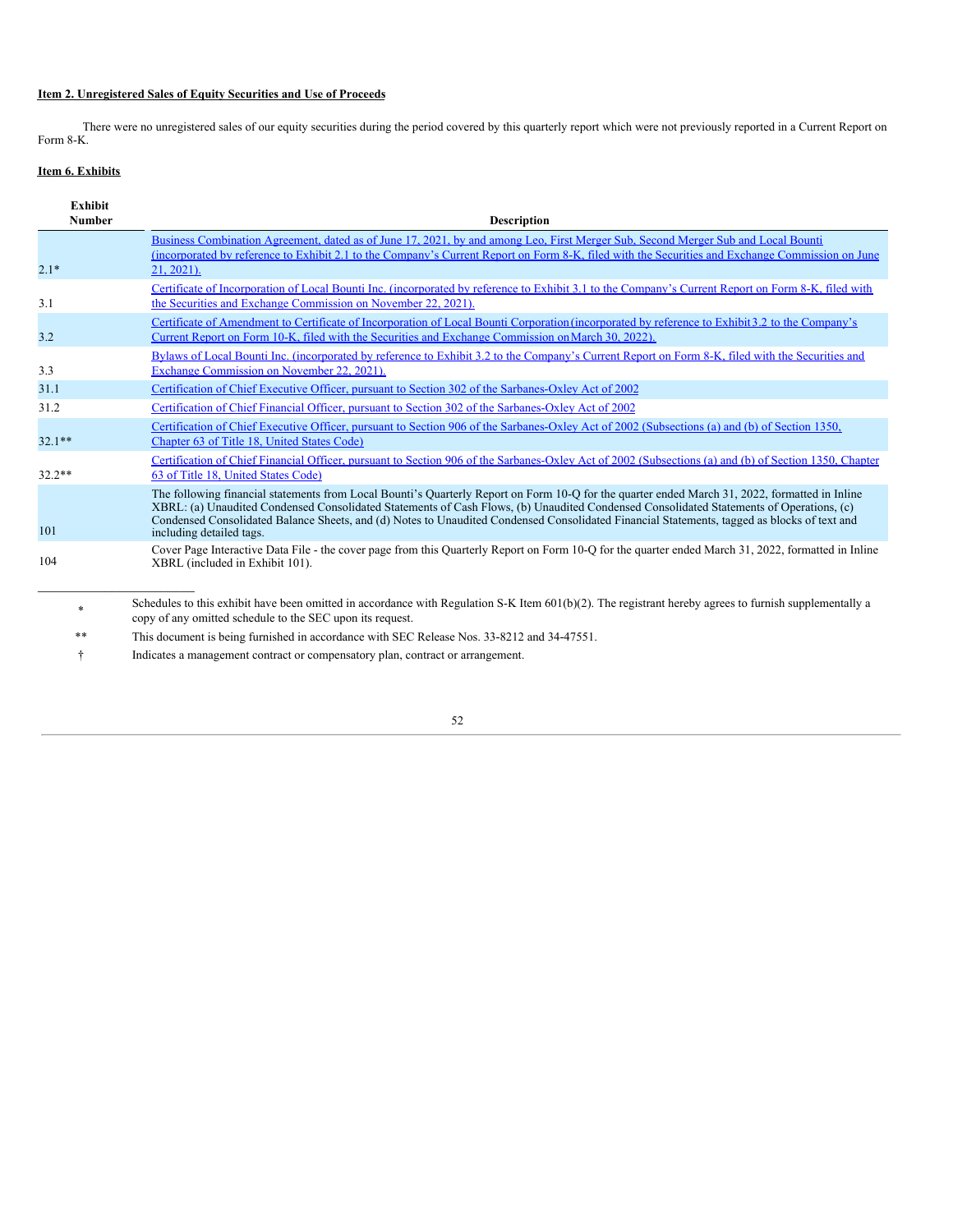# **Item 2. Unregistered Sales of Equity Securities and Use of Proceeds**

There were no unregistered sales of our equity securities during the period covered by this quarterly report which were not previously reported in a Current Report on Form 8-K.

# <span id="page-51-0"></span>**Item 6. Exhibits**

| <b>Exhibit</b><br><b>Number</b> | <b>Description</b>                                                                                                                                                                                                                                                                                                                                                                                                                                                   |
|---------------------------------|----------------------------------------------------------------------------------------------------------------------------------------------------------------------------------------------------------------------------------------------------------------------------------------------------------------------------------------------------------------------------------------------------------------------------------------------------------------------|
|                                 | Business Combination Agreement, dated as of June 17, 2021, by and among Leo, First Merger Sub, Second Merger Sub and Local Bounti                                                                                                                                                                                                                                                                                                                                    |
| $2.1*$                          | (incorporated by reference to Exhibit 2.1 to the Company's Current Report on Form 8-K, filed with the Securities and Exchange Commission on June<br>$21, 2021$ ).                                                                                                                                                                                                                                                                                                    |
| 3.1                             | Certificate of Incorporation of Local Bounti Inc. (incorporated by reference to Exhibit 3.1 to the Company's Current Report on Form 8-K, filed with<br>the Securities and Exchange Commission on November 22, 2021).                                                                                                                                                                                                                                                 |
| 3.2                             | Certificate of Amendment to Certificate of Incorporation of Local Bounti Corporation (incorporated by reference to Exhibit 3.2 to the Company's<br>Current Report on Form 10-K, filed with the Securities and Exchange Commission on March 30, 2022).                                                                                                                                                                                                                |
| 3.3                             | Bylaws of Local Bounti Inc. (incorporated by reference to Exhibit 3.2 to the Company's Current Report on Form 8-K, filed with the Securities and<br>Exchange Commission on November 22, 2021).                                                                                                                                                                                                                                                                       |
| 31.1                            | Certification of Chief Executive Officer, pursuant to Section 302 of the Sarbanes-Oxlev Act of 2002                                                                                                                                                                                                                                                                                                                                                                  |
| 31.2                            | Certification of Chief Financial Officer, pursuant to Section 302 of the Sarbanes-Oxley Act of 2002                                                                                                                                                                                                                                                                                                                                                                  |
| $32.1**$                        | Certification of Chief Executive Officer, pursuant to Section 906 of the Sarbanes-Oxley Act of 2002 (Subsections (a) and (b) of Section 1350,<br>Chapter 63 of Title 18. United States Code)                                                                                                                                                                                                                                                                         |
| $32.2**$                        | Certification of Chief Financial Officer, pursuant to Section 906 of the Sarbanes-Oxley Act of 2002 (Subsections (a) and (b) of Section 1350, Chapter<br>63 of Title 18. United States Code)                                                                                                                                                                                                                                                                         |
| 101                             | The following financial statements from Local Bounti's Quarterly Report on Form 10-Q for the quarter ended March 31, 2022, formatted in Inline<br>XBRL: (a) Unaudited Condensed Consolidated Statements of Cash Flows, (b) Unaudited Condensed Consolidated Statements of Operations, (c)<br>Condensed Consolidated Balance Sheets, and (d) Notes to Unaudited Condensed Consolidated Financial Statements, tagged as blocks of text and<br>including detailed tags. |
| 104                             | Cover Page Interactive Data File - the cover page from this Quarterly Report on Form 10-Q for the quarter ended March 31, 2022, formatted in Inline<br>XBRL (included in Exhibit 101).                                                                                                                                                                                                                                                                               |
|                                 | Schedules to this exhibit have been omitted in accordance with Regulation S-K Item $601(b)(2)$ . The registrant hereby agrees to furnish supplementally a<br>copy of any omitted schedule to the SEC upon its request.                                                                                                                                                                                                                                               |

\*\* This document is being furnished in accordance with SEC Release Nos. 33-8212 and 34-47551.

<span id="page-51-1"></span>† Indicates a management contract or compensatory plan, contract or arrangement.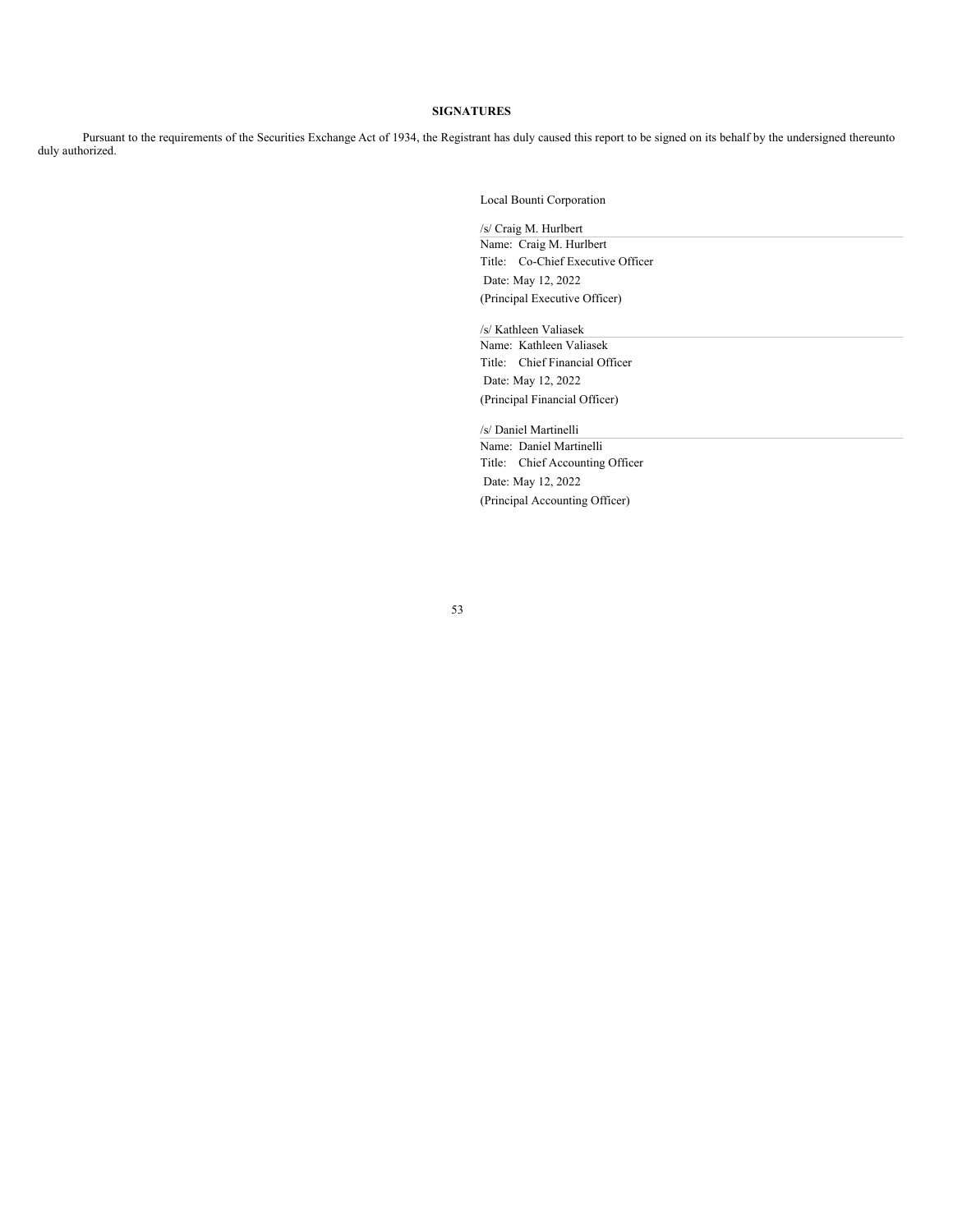### **SIGNATURES**

Pursuant to the requirements of the Securities Exchange Act of 1934, the Registrant has duly caused this report to be signed on its behalf by the undersigned thereunto duly authorized.

Local Bounti Corporation

/s/ Craig M. Hurlbert Name: Craig M. Hurlbert Title: Co-Chief Executive Officer Date: May 12, 2022 (Principal Executive Officer)

/s/ Kathleen Valiasek

Name: Kathleen Valiasek Title: Chief Financial Officer Date: May 12, 2022 (Principal Financial Officer)

/s/ Daniel Martinelli

Name: Daniel Martinelli Title: Chief Accounting Officer Date: May 12, 2022 (Principal Accounting Officer)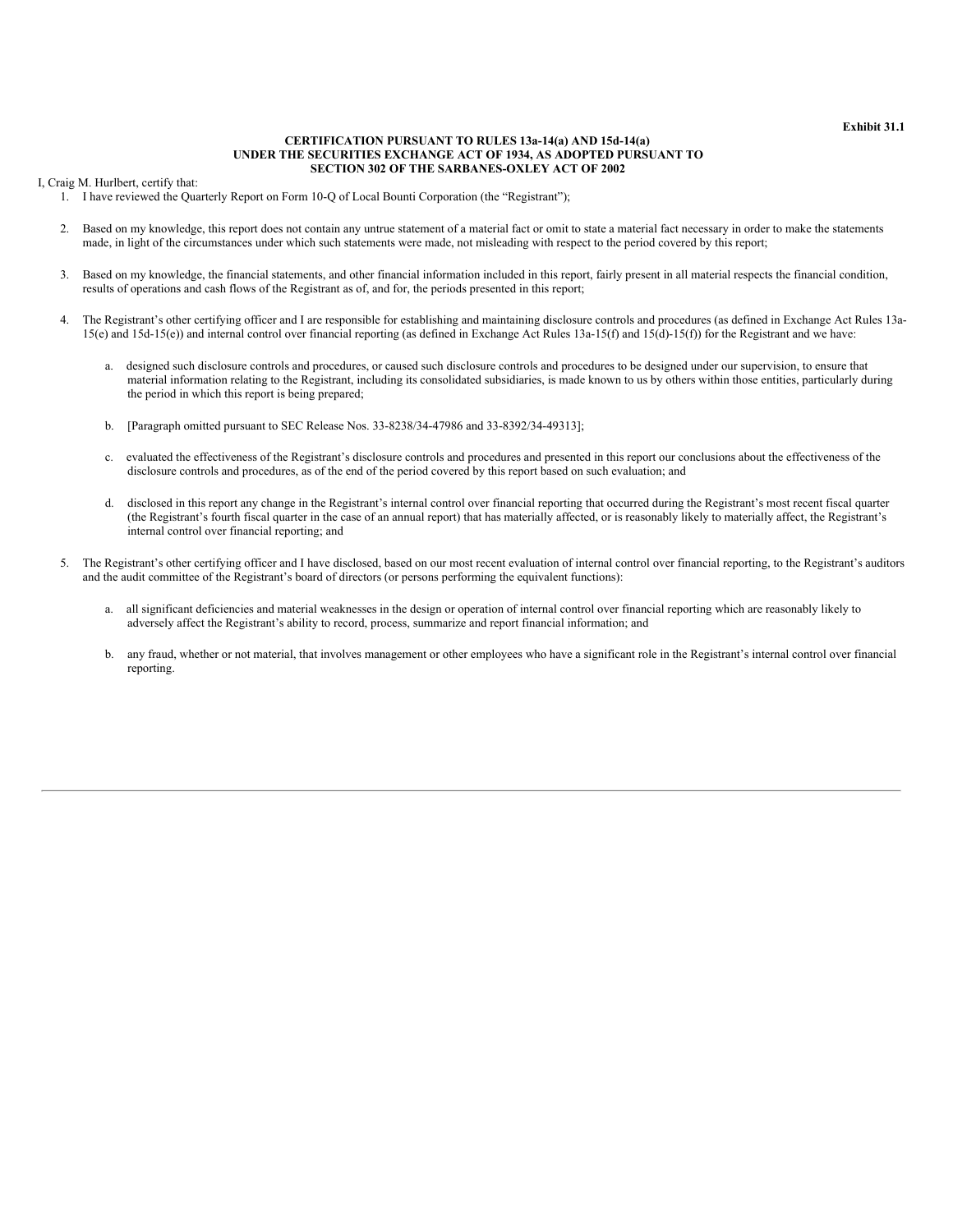#### **Exhibit 31.1**

#### **CERTIFICATION PURSUANT TO RULES 13a-14(a) AND 15d-14(a) UNDER THE SECURITIES EXCHANGE ACT OF 1934, AS ADOPTED PURSUANT TO SECTION 302 OF THE SARBANES-OXLEY ACT OF 2002**

<span id="page-53-0"></span>I, Craig M. Hurlbert, certify that:

1. I have reviewed the Quarterly Report on Form 10-Q of Local Bounti Corporation (the "Registrant");

- 2. Based on my knowledge, this report does not contain any untrue statement of a material fact or omit to state a material fact necessary in order to make the statements made, in light of the circumstances under which such statements were made, not misleading with respect to the period covered by this report;
- 3. Based on my knowledge, the financial statements, and other financial information included in this report, fairly present in all material respects the financial condition, results of operations and cash flows of the Registrant as of, and for, the periods presented in this report;
- 4. The Registrant's other certifying officer and I are responsible for establishing and maintaining disclosure controls and procedures (as defined in Exchange Act Rules 13a-15(e) and 15d-15(e)) and internal control over financial reporting (as defined in Exchange Act Rules 13a-15(f) and 15(d)-15(f)) for the Registrant and we have:
	- a. designed such disclosure controls and procedures, or caused such disclosure controls and procedures to be designed under our supervision, to ensure that material information relating to the Registrant, including its consolidated subsidiaries, is made known to us by others within those entities, particularly during the period in which this report is being prepared;
	- b. [Paragraph omitted pursuant to SEC Release Nos. 33-8238/34-47986 and 33-8392/34-49313];
	- c. evaluated the effectiveness of the Registrant's disclosure controls and procedures and presented in this report our conclusions about the effectiveness of the disclosure controls and procedures, as of the end of the period covered by this report based on such evaluation; and
	- d. disclosed in this report any change in the Registrant's internal control over financial reporting that occurred during the Registrant's most recent fiscal quarter (the Registrant's fourth fiscal quarter in the case of an annual report) that has materially affected, or is reasonably likely to materially affect, the Registrant's internal control over financial reporting; and
- 5. The Registrant's other certifying officer and I have disclosed, based on our most recent evaluation of internal control over financial reporting, to the Registrant's auditors and the audit committee of the Registrant's board of directors (or persons performing the equivalent functions):
	- a. all significant deficiencies and material weaknesses in the design or operation of internal control over financial reporting which are reasonably likely to adversely affect the Registrant's ability to record, process, summarize and report financial information; and
	- b. any fraud, whether or not material, that involves management or other employees who have a significant role in the Registrant's internal control over financial reporting.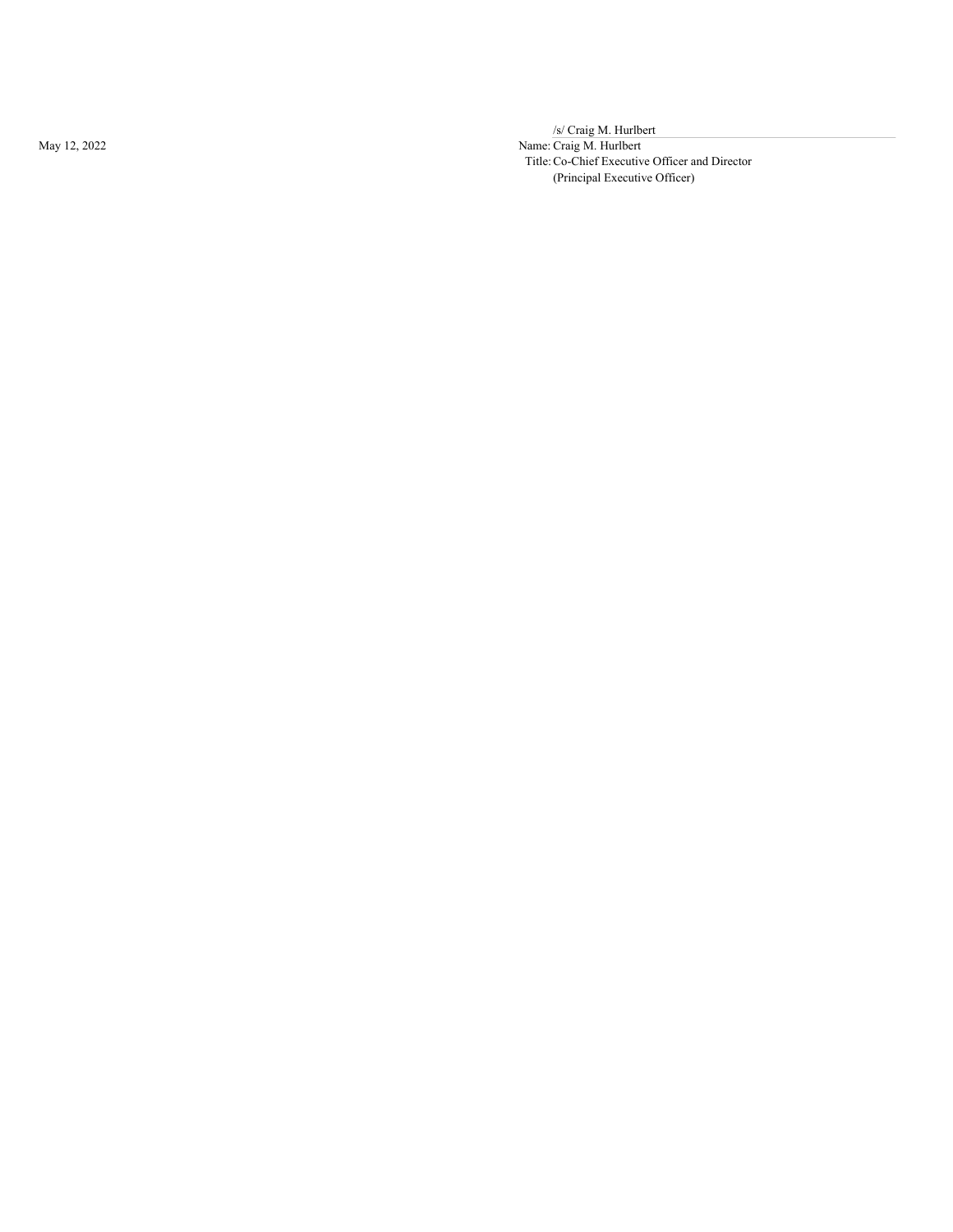May 12, 2022

/s/ Craig M. Hurlbert

Name: Craig M. Hurlbert Title: Co-Chief Executive Officer and Director (Principal Executive Officer)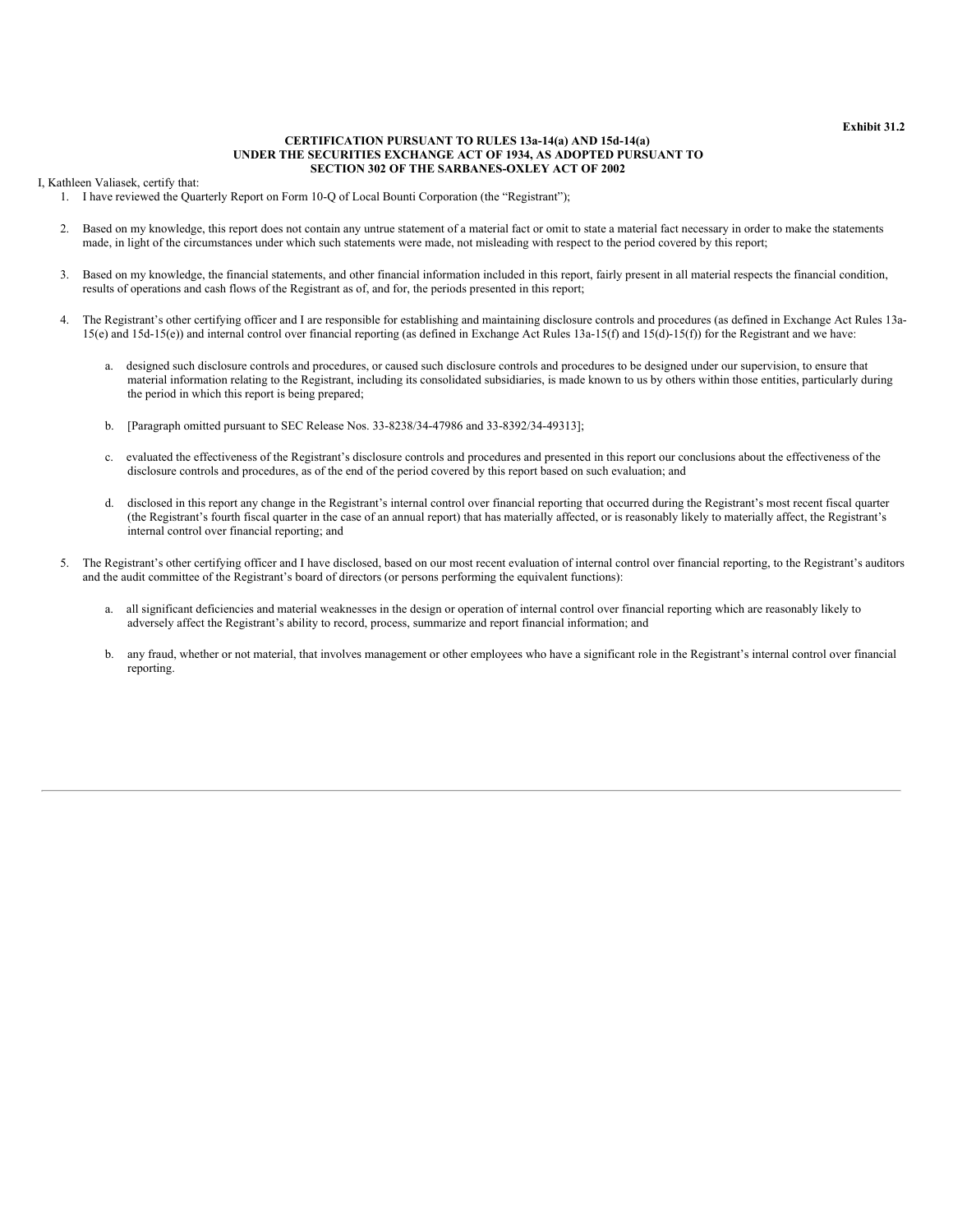#### **Exhibit 31.2**

#### **CERTIFICATION PURSUANT TO RULES 13a-14(a) AND 15d-14(a) UNDER THE SECURITIES EXCHANGE ACT OF 1934, AS ADOPTED PURSUANT TO SECTION 302 OF THE SARBANES-OXLEY ACT OF 2002**

<span id="page-55-0"></span>I, Kathleen Valiasek, certify that:

1. I have reviewed the Quarterly Report on Form 10-Q of Local Bounti Corporation (the "Registrant");

- 2. Based on my knowledge, this report does not contain any untrue statement of a material fact or omit to state a material fact necessary in order to make the statements made, in light of the circumstances under which such statements were made, not misleading with respect to the period covered by this report;
- 3. Based on my knowledge, the financial statements, and other financial information included in this report, fairly present in all material respects the financial condition, results of operations and cash flows of the Registrant as of, and for, the periods presented in this report;
- 4. The Registrant's other certifying officer and I are responsible for establishing and maintaining disclosure controls and procedures (as defined in Exchange Act Rules 13a-15(e) and 15d-15(e)) and internal control over financial reporting (as defined in Exchange Act Rules 13a-15(f) and 15(d)-15(f)) for the Registrant and we have:
	- a. designed such disclosure controls and procedures, or caused such disclosure controls and procedures to be designed under our supervision, to ensure that material information relating to the Registrant, including its consolidated subsidiaries, is made known to us by others within those entities, particularly during the period in which this report is being prepared;
	- b. [Paragraph omitted pursuant to SEC Release Nos. 33-8238/34-47986 and 33-8392/34-49313];
	- c. evaluated the effectiveness of the Registrant's disclosure controls and procedures and presented in this report our conclusions about the effectiveness of the disclosure controls and procedures, as of the end of the period covered by this report based on such evaluation; and
	- d. disclosed in this report any change in the Registrant's internal control over financial reporting that occurred during the Registrant's most recent fiscal quarter (the Registrant's fourth fiscal quarter in the case of an annual report) that has materially affected, or is reasonably likely to materially affect, the Registrant's internal control over financial reporting; and
- 5. The Registrant's other certifying officer and I have disclosed, based on our most recent evaluation of internal control over financial reporting, to the Registrant's auditors and the audit committee of the Registrant's board of directors (or persons performing the equivalent functions):
	- a. all significant deficiencies and material weaknesses in the design or operation of internal control over financial reporting which are reasonably likely to adversely affect the Registrant's ability to record, process, summarize and report financial information; and
	- b. any fraud, whether or not material, that involves management or other employees who have a significant role in the Registrant's internal control over financial reporting.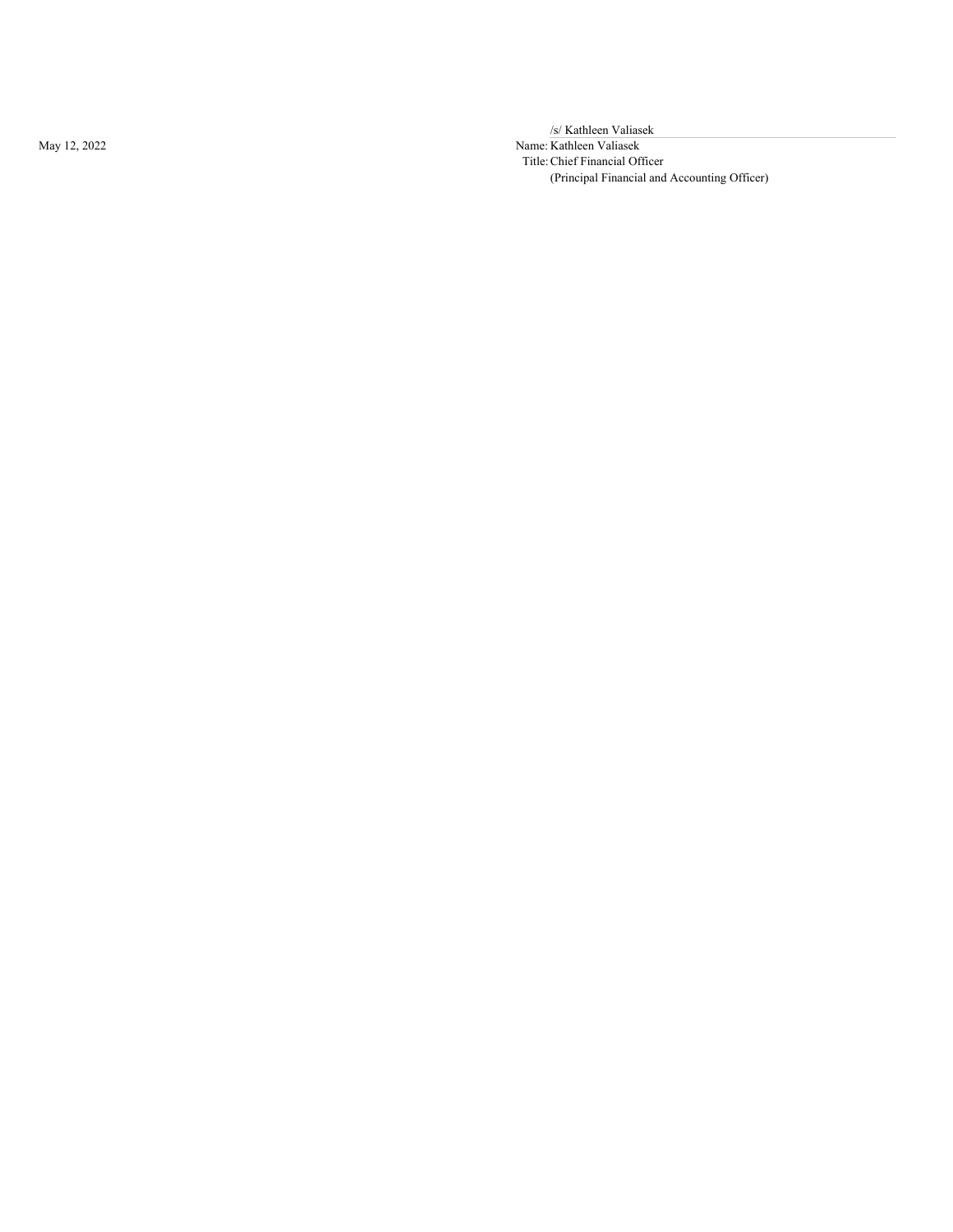May 12, 2022

/s/ Kathleen Valiasek

Name: Kathleen Valiasek Title: Chief Financial Officer (Principal Financial and Accounting Officer)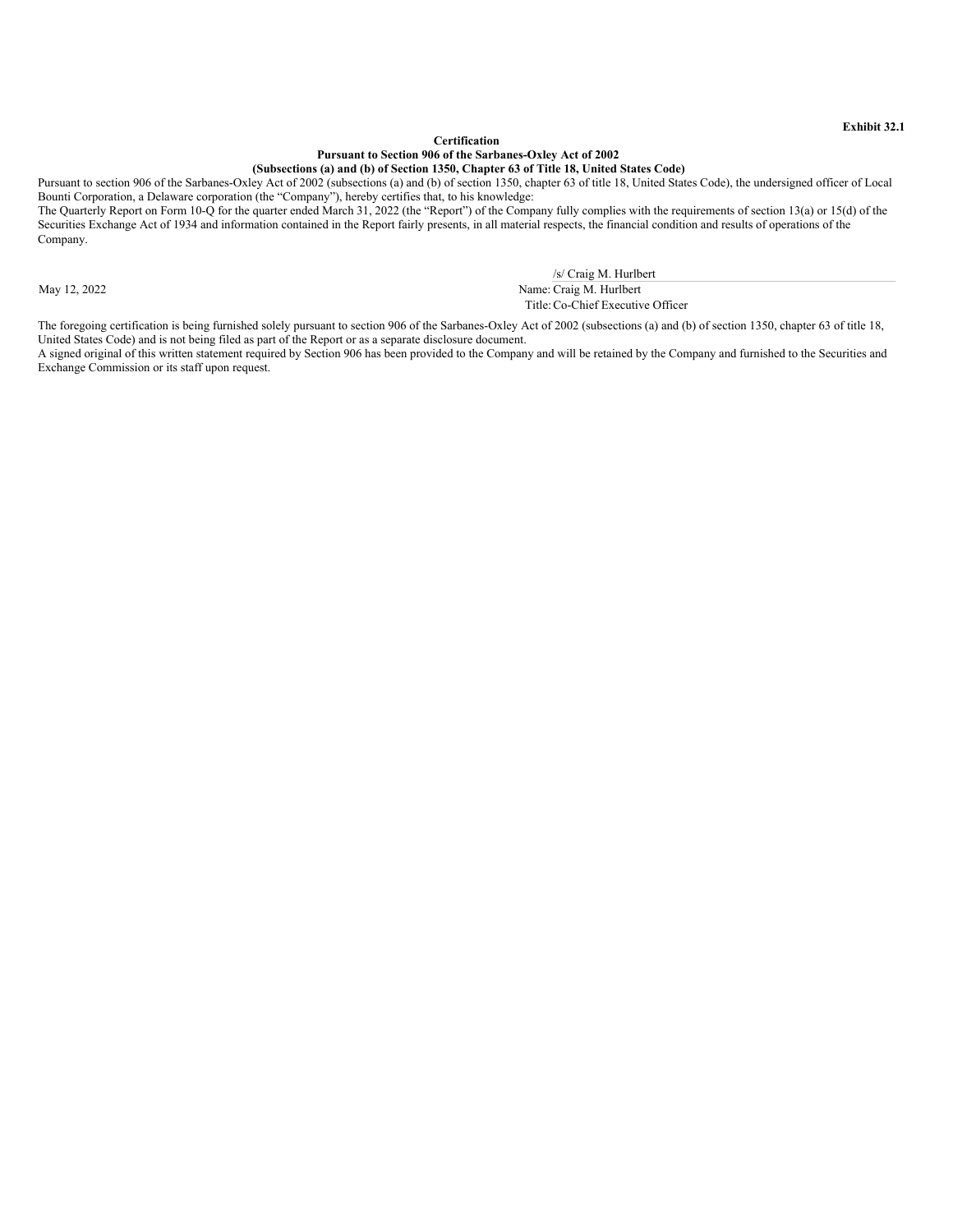#### **Certification Pursuant to Section 906 of the Sarbanes-Oxley Act of 2002 (Subsections (a) and (b) of Section 1350, Chapter 63 of Title 18, United States Code)**

<span id="page-57-0"></span>Pursuant to section 906 of the Sarbanes-Oxley Act of 2002 (subsections (a) and (b) of section 1350, chapter 63 of title 18, United States Code), the undersigned officer of Local Bounti Corporation, a Delaware corporation (the "Company"), hereby certifies that, to his knowledge: The Quarterly Report on Form 10-Q for the quarter ended March 31, 2022 (the "Report") of the Company fully complies with the requirements of section 13(a) or 15(d) of the

Securities Exchange Act of 1934 and information contained in the Report fairly presents, in all material respects, the financial condition and results of operations of the Company.

/s/ Craig M. Hurlbert

May 12, 2022 Name: Craig M. Hurlbert Title:Co-Chief Executive Officer

The foregoing certification is being furnished solely pursuant to section 906 of the Sarbanes-Oxley Act of 2002 (subsections (a) and (b) of section 1350, chapter 63 of title 18, United States Code) and is not being filed as part of the Report or as a separate disclosure document.

A signed original of this written statement required by Section 906 has been provided to the Company and will be retained by the Company and furnished to the Securities and Exchange Commission or its staff upon request.